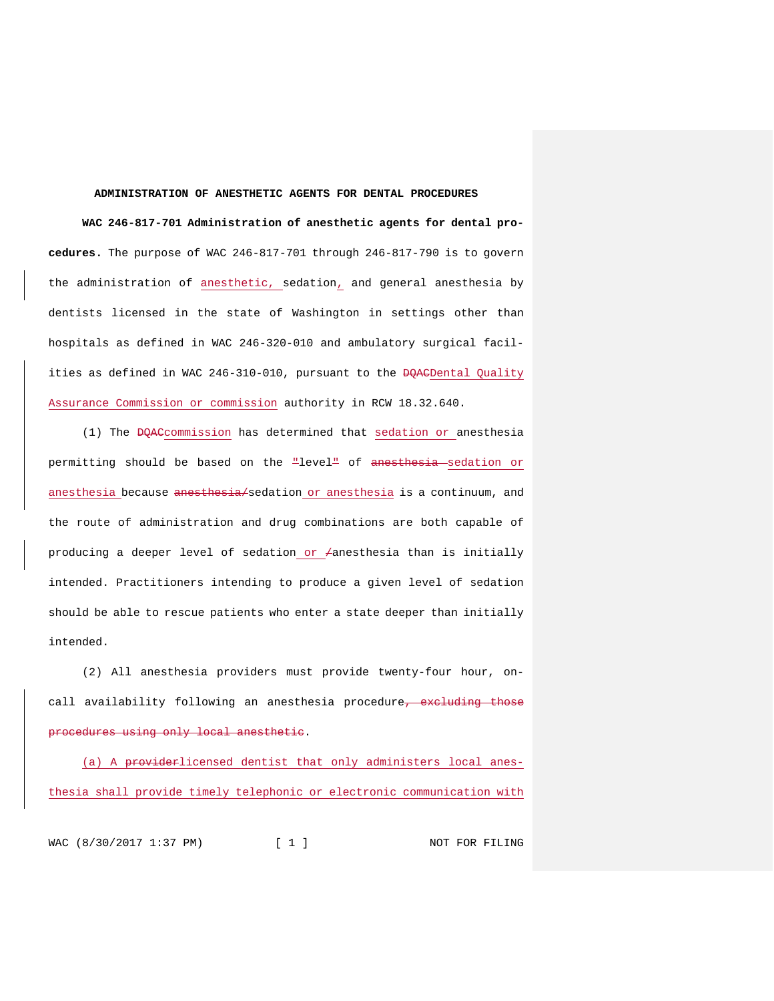### **ADMINISTRATION OF ANESTHETIC AGENTS FOR DENTAL PROCEDURES**

**WAC 246-817-701 Administration of anesthetic agents for dental procedures.** The purpose of WAC 246-817-701 through 246-817-790 is to govern the administration of anesthetic, sedation, and general anesthesia by dentists licensed in the state of Washington in settings other than hospitals as defined in WAC 246-320-010 and ambulatory surgical facilities as defined in WAC 246-310-010, pursuant to the <del>DQAC</del>Dental Quality Assurance Commission or commission authority in RCW 18.32.640.

(1) The DQACcommission has determined that sedation or anesthesia permitting should be based on the "level" of anesthesia sedation or anesthesia because anesthesia/sedation or anesthesia is a continuum, and the route of administration and drug combinations are both capable of producing a deeper level of sedation or  $\neq$ anesthesia than is initially intended. Practitioners intending to produce a given level of sedation should be able to rescue patients who enter a state deeper than initially intended.

(2) All anesthesia providers must provide twenty-four hour, oncall availability following an anesthesia procedure<del>, excluding those</del> procedures using only local anesthetic.

(a) A providerlicensed dentist that only administers local anesthesia shall provide timely telephonic or electronic communication with

WAC (8/30/2017 1:37 PM) [ 1 ] NOT FOR FILING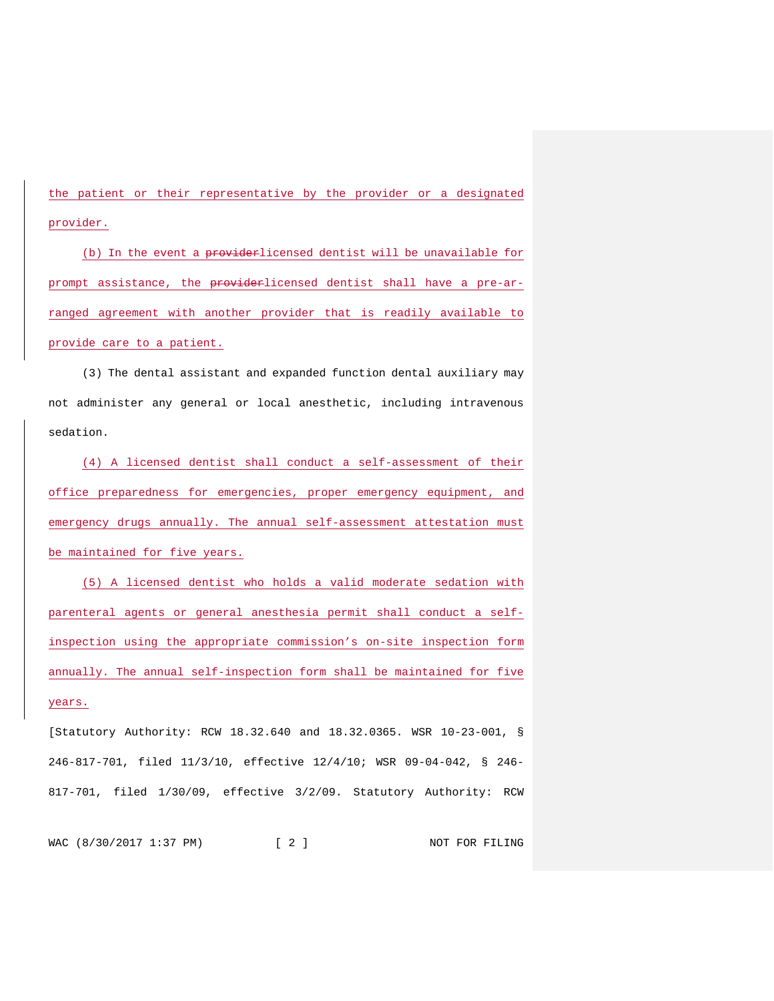the patient or their representative by the provider or a designated provider.

(b) In the event a providerlicensed dentist will be unavailable for prompt assistance, the providerlicensed dentist shall have a pre-arranged agreement with another provider that is readily available to provide care to a patient.

(3) The dental assistant and expanded function dental auxiliary may not administer any general or local anesthetic, including intravenous sedation.

(4) A licensed dentist shall conduct a self-assessment of their office preparedness for emergencies, proper emergency equipment, and emergency drugs annually. The annual self-assessment attestation must be maintained for five years.

(5) A licensed dentist who holds a valid moderate sedation with parenteral agents or general anesthesia permit shall conduct a selfinspection using the appropriate commission's on-site inspection form annually. The annual self-inspection form shall be maintained for five years.

[Statutory Authority: RCW 18.32.640 and 18.32.0365. WSR 10-23-001, § 246-817-701, filed 11/3/10, effective 12/4/10; WSR 09-04-042, § 246- 817-701, filed 1/30/09, effective 3/2/09. Statutory Authority: RCW

WAC (8/30/2017 1:37 PM) [ 2 ] NOT FOR FILING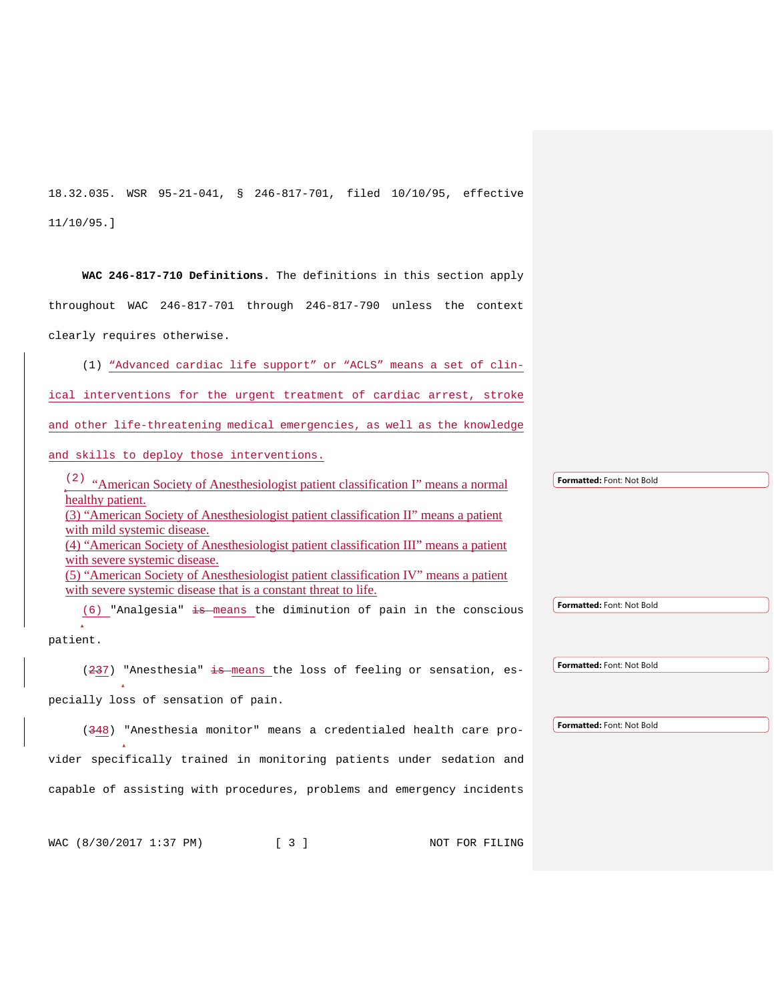18.32.035. WSR 95-21-041, § 246-817-701, filed 10/10/95, effective 11/10/95.]

**WAC 246-817-710 Definitions.** The definitions in this section apply throughout WAC 246-817-701 through 246-817-790 unless the context clearly requires otherwise.

(1) "Advanced cardiac life support" or "ACLS" means a set of clin-

ical interventions for the urgent treatment of cardiac arrest, stroke

and other life-threatening medical emergencies, as well as the knowledge

and skills to deploy those interventions.

(2) "American Society of Anesthesiologist patient classification I" means a normal healthy patient. (3) "American Society of Anesthesiologist patient classification II" means a patient with mild systemic disease. (4) "American Society of Anesthesiologist patient classification III" means a patient with severe systemic disease. (5) "American Society of Anesthesiologist patient classification IV" means a patient with severe systemic disease that is a constant threat to life.

 $(6)$  "Analgesia" is means the diminution of pain in the conscious

patient.

 $(237)$  "Anesthesia" is means the loss of feeling or sensation, es-

pecially loss of sensation of pain.

(348) "Anesthesia monitor" means a credentialed health care pro-

vider specifically trained in monitoring patients under sedation and capable of assisting with procedures, problems and emergency incidents

WAC (8/30/2017 1:37 PM) [ 3 ] NOT FOR FILING

**Formatted:** Font: Not Bold

**Formatted:** Font: Not Bold

**Formatted:** Font: Not Bold

**Formatted:** Font: Not Bold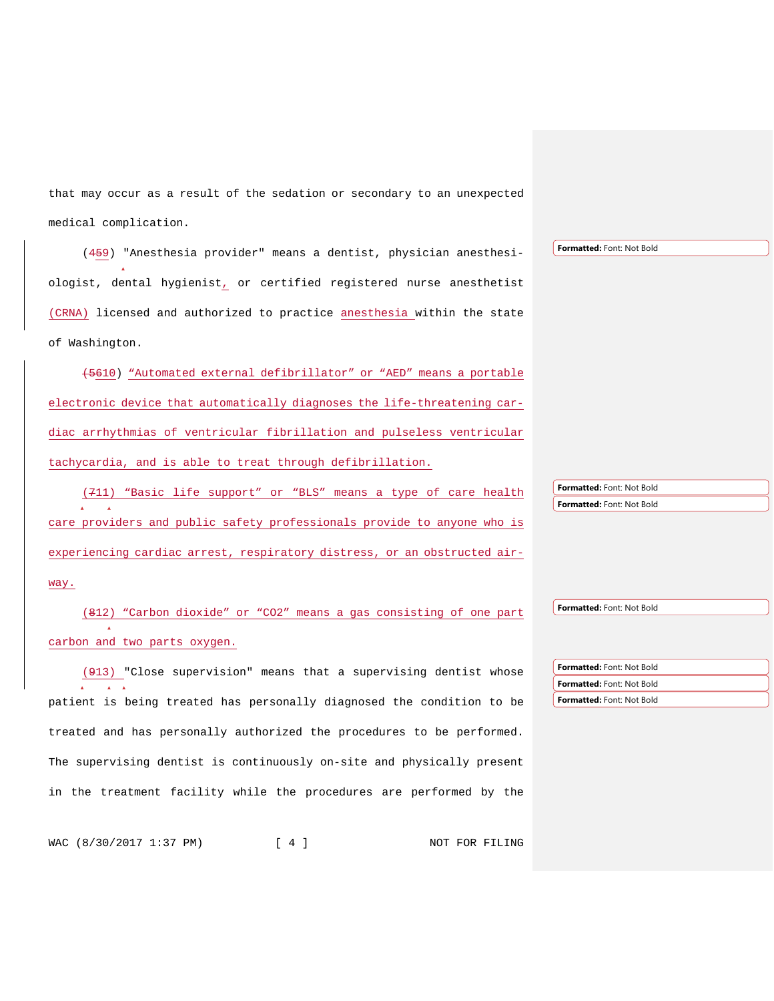that may occur as a result of the sedation or secondary to an unexpected medical complication.

(459) "Anesthesia provider" means a dentist, physician anesthesiologist, dental hygienist, or certified registered nurse anesthetist (CRNA) licensed and authorized to practice anesthesia within the state of Washington.

(5610) "Automated external defibrillator" or "AED" means a portable electronic device that automatically diagnoses the life-threatening cardiac arrhythmias of ventricular fibrillation and pulseless ventricular tachycardia, and is able to treat through defibrillation.

(711) "Basic life support" or "BLS" means a type of care health care providers and public safety professionals provide to anyone who is experiencing cardiac arrest, respiratory distress, or an obstructed air-

(812) "Carbon dioxide" or "CO2" means a gas consisting of one part carbon and two parts oxygen.

(913) "Close supervision" means that a supervising dentist whose patient is being treated has personally diagnosed the condition to be treated and has personally authorized the procedures to be performed. The supervising dentist is continuously on-site and physically present in the treatment facility while the procedures are performed by the

WAC (8/30/2017 1:37 PM) [ 4 ] NOT FOR FILING

**Formatted:** Font: Not Bold **Formatted:** Font: Not Bold

**Formatted:** Font: Not Bold

**Formatted:** Font: Not Bold **Formatted:** Font: Not Bold **Formatted:** Font: Not Bold

**Formatted:** Font: Not Bold

way.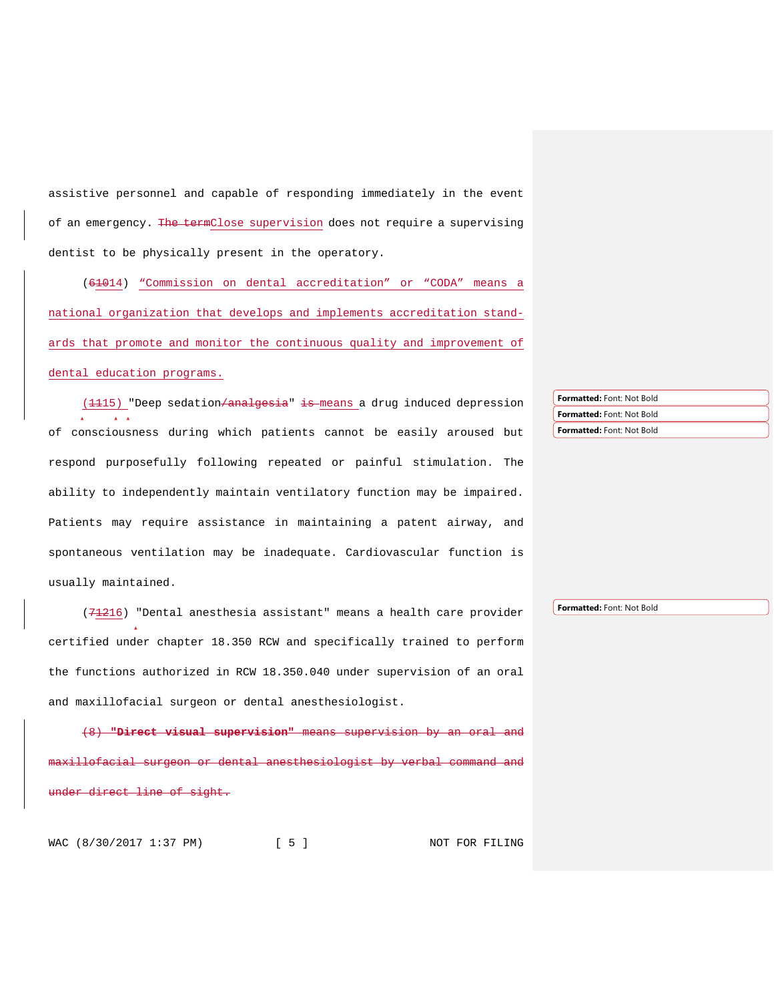assistive personnel and capable of responding immediately in the event of an emergency. The termClose supervision does not require a supervising dentist to be physically present in the operatory.

(61014) "Commission on dental accreditation" or "CODA" means a national organization that develops and implements accreditation standards that promote and monitor the continuous quality and improvement of dental education programs.

(1115) "Deep sedation/analgesia" is means a drug induced depression of consciousness during which patients cannot be easily aroused but respond purposefully following repeated or painful stimulation. The ability to independently maintain ventilatory function may be impaired. Patients may require assistance in maintaining a patent airway, and spontaneous ventilation may be inadequate. Cardiovascular function is usually maintained.

(71216) "Dental anesthesia assistant" means a health care provider certified under chapter 18.350 RCW and specifically trained to perform the functions authorized in RCW 18.350.040 under supervision of an oral and maxillofacial surgeon or dental anesthesiologist.

(8) **"Direct visual supervision"** means supervision by an llofacial surgeon or dental anesthesiologist by verbal command and direct line of sight.

**Formatted:** Font: Not Bold **Formatted:** Font: Not Bold **Formatted:** Font: Not Bold

**Formatted:** Font: Not Bold

WAC (8/30/2017 1:37 PM) [ 5 ] NOT FOR FILING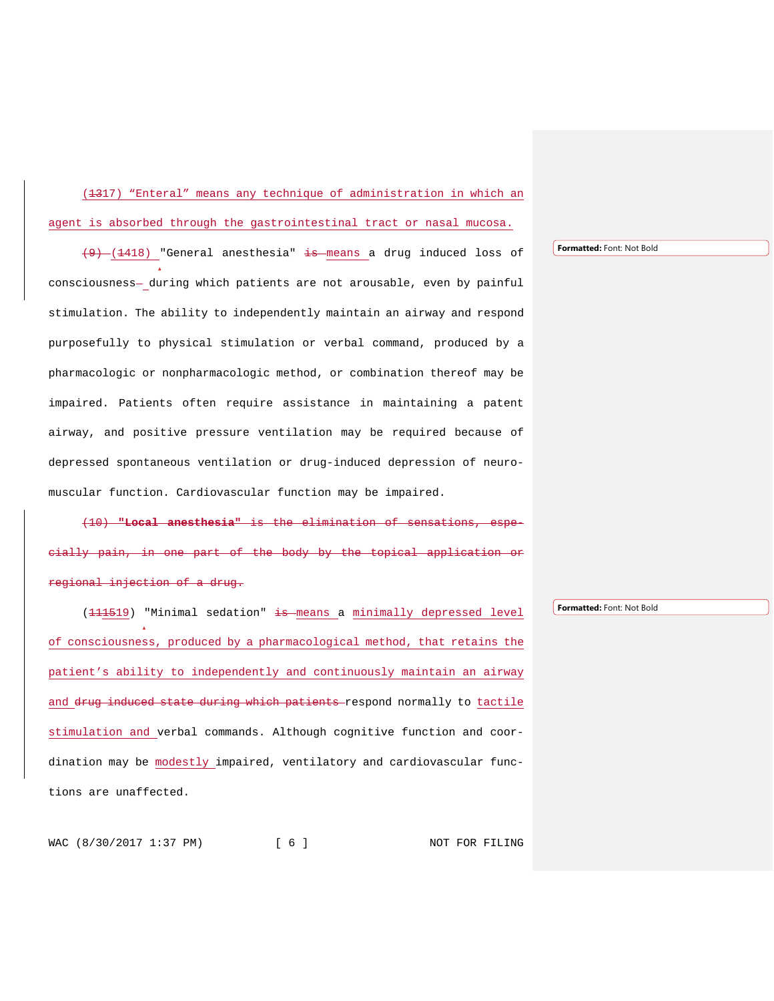(1317) "Enteral" means any technique of administration in which an agent is absorbed through the gastrointestinal tract or nasal mucosa.

 $(9)$   $(1418)$  "General anesthesia" is means a drug induced loss of consciousness- during which patients are not arousable, even by painful stimulation. The ability to independently maintain an airway and respond purposefully to physical stimulation or verbal command, produced by a pharmacologic or nonpharmacologic method, or combination thereof may be impaired. Patients often require assistance in maintaining a patent airway, and positive pressure ventilation may be required because of depressed spontaneous ventilation or drug-induced depression of neuromuscular function. Cardiovascular function may be impaired.

(10) **"Local anesthesia"** is the elimination cially pain, in one part of the body by the topical application or gional injection of a drug.

(111519) "Minimal sedation" is means a minimally depressed level of consciousness, produced by a pharmacological method, that retains the patient's ability to independently and continuously maintain an airway and drug induced state during which patients respond normally to tactile stimulation and verbal commands. Although cognitive function and coordination may be modestly impaired, ventilatory and cardiovascular functions are unaffected.

**Formatted:** Font: Not Bold

**Formatted:** Font: Not Bold

WAC (8/30/2017 1:37 PM) [ 6 ] NOT FOR FILING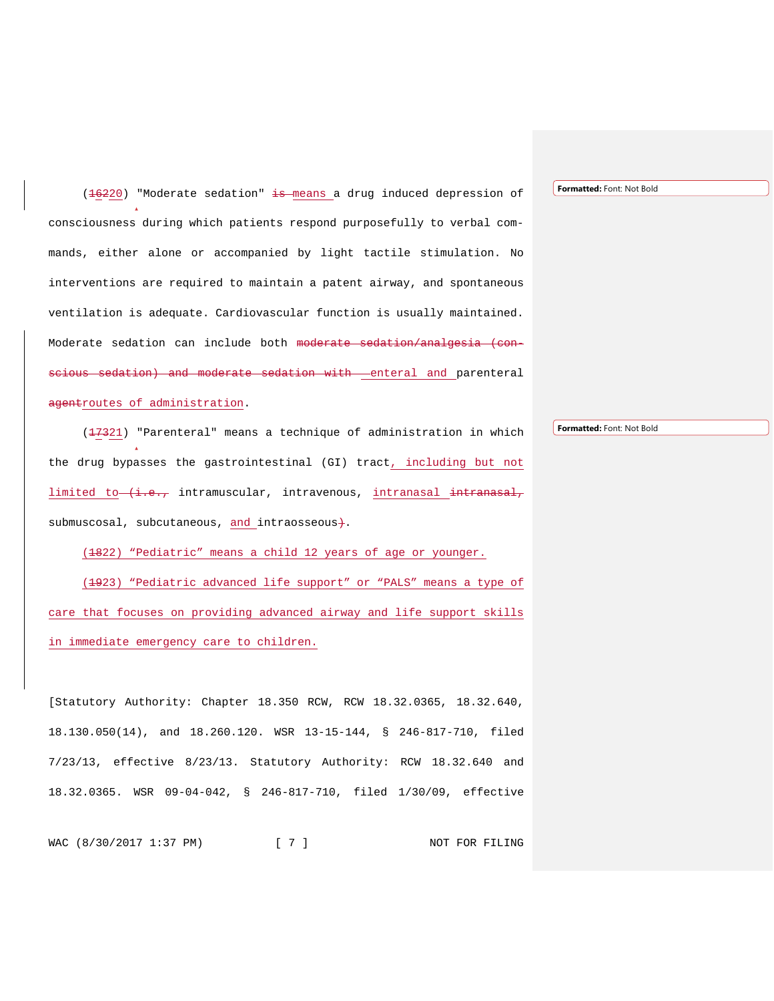(16220) "Moderate sedation" is means a drug induced depression of consciousness during which patients respond purposefully to verbal commands, either alone or accompanied by light tactile stimulation. No interventions are required to maintain a patent airway, and spontaneous ventilation is adequate. Cardiovascular function is usually maintained. Moderate sedation can include both moderate sedation/analgesia (conscious sedation) and moderate sedation with enteral and parenteral agentroutes of administration.

(17321) "Parenteral" means a technique of administration in which the drug bypasses the gastrointestinal (GI) tract, including but not limited to  $(i.e.,$  intramuscular, intravenous, intranasal intranasal, submuscosal, subcutaneous, and intraosseous+.

(1822) "Pediatric" means a child 12 years of age or younger. (1923) "Pediatric advanced life support" or "PALS" means a type of care that focuses on providing advanced airway and life support skills in immediate emergency care to children.

[Statutory Authority: Chapter 18.350 RCW, RCW 18.32.0365, 18.32.640, 18.130.050(14), and 18.260.120. WSR 13-15-144, § 246-817-710, filed 7/23/13, effective 8/23/13. Statutory Authority: RCW 18.32.640 and 18.32.0365. WSR 09-04-042, § 246-817-710, filed 1/30/09, effective

WAC (8/30/2017 1:37 PM) [ 7 ] NOT FOR FILING

**Formatted:** Font: Not Bold

**Formatted:** Font: Not Bold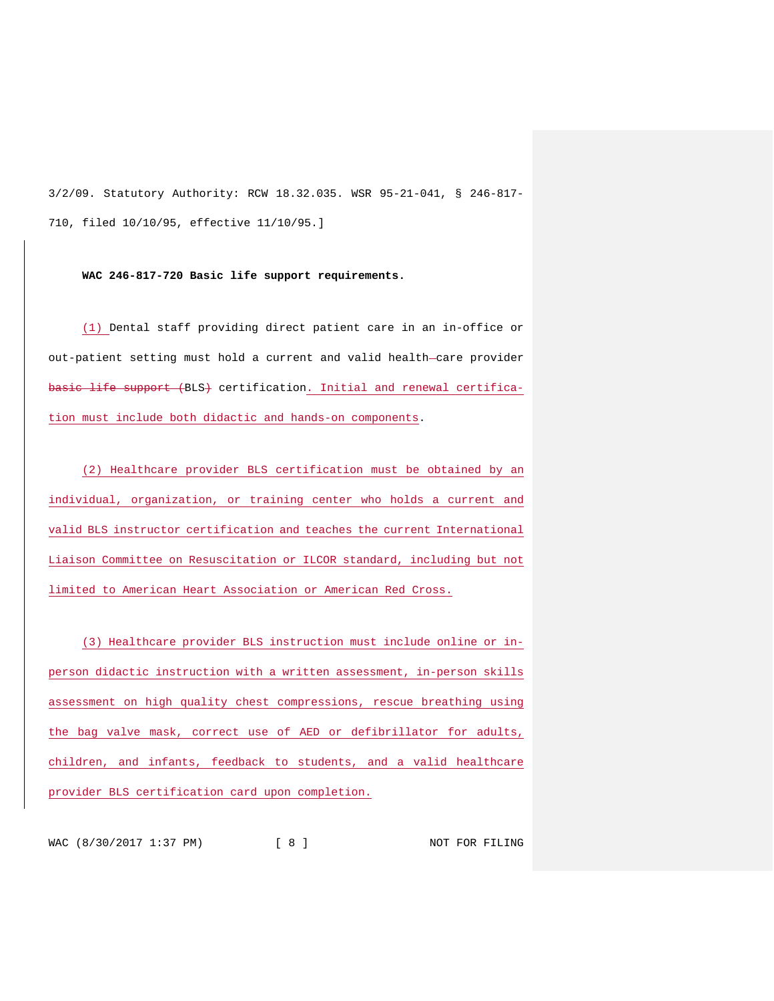3/2/09. Statutory Authority: RCW 18.32.035. WSR 95-21-041, § 246-817- 710, filed 10/10/95, effective 11/10/95.]

**WAC 246-817-720 Basic life support requirements.**

(1) Dental staff providing direct patient care in an in-office or out-patient setting must hold a current and valid health-care provider basic life support (BLS) certification. Initial and renewal certification must include both didactic and hands-on components.

(2) Healthcare provider BLS certification must be obtained by an individual, organization, or training center who holds a current and valid BLS instructor certification and teaches the current International Liaison Committee on Resuscitation or ILCOR standard, including but not limited to American Heart Association or American Red Cross.

(3) Healthcare provider BLS instruction must include online or inperson didactic instruction with a written assessment, in-person skills assessment on high quality chest compressions, rescue breathing using the bag valve mask, correct use of AED or defibrillator for adults, children, and infants, feedback to students, and a valid healthcare provider BLS certification card upon completion.

WAC (8/30/2017 1:37 PM) [ 8 ] NOT FOR FILING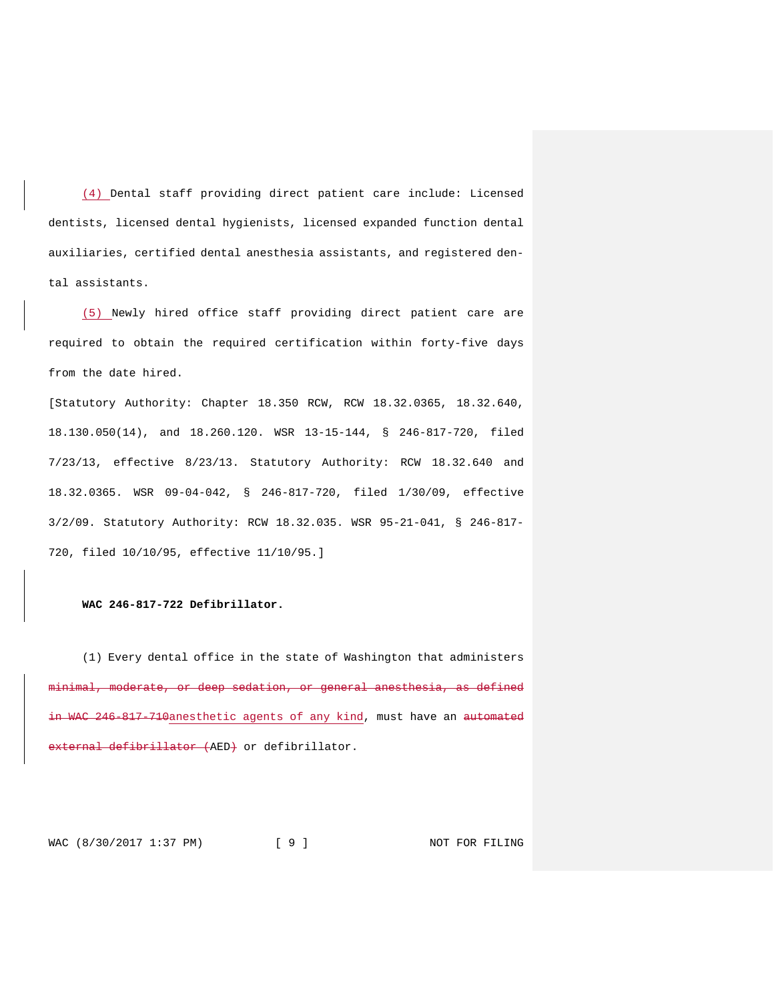(4) Dental staff providing direct patient care include: Licensed dentists, licensed dental hygienists, licensed expanded function dental auxiliaries, certified dental anesthesia assistants, and registered dental assistants.

(5) Newly hired office staff providing direct patient care are required to obtain the required certification within forty-five days from the date hired.

[Statutory Authority: Chapter 18.350 RCW, RCW 18.32.0365, 18.32.640, 18.130.050(14), and 18.260.120. WSR 13-15-144, § 246-817-720, filed 7/23/13, effective 8/23/13. Statutory Authority: RCW 18.32.640 and 18.32.0365. WSR 09-04-042, § 246-817-720, filed 1/30/09, effective 3/2/09. Statutory Authority: RCW 18.32.035. WSR 95-21-041, § 246-817- 720, filed 10/10/95, effective 11/10/95.]

### **WAC 246-817-722 Defibrillator.**

(1) Every dental office in the state of Washington that administers minimal, moderate, or deep sedation, or general anesthesia, as defined in WAC 246-817-710anesthetic agents of any kind, must have an <del>automated</del> external defibrillator (AED) or defibrillator.

WAC (8/30/2017 1:37 PM) [ 9 ] NOT FOR FILING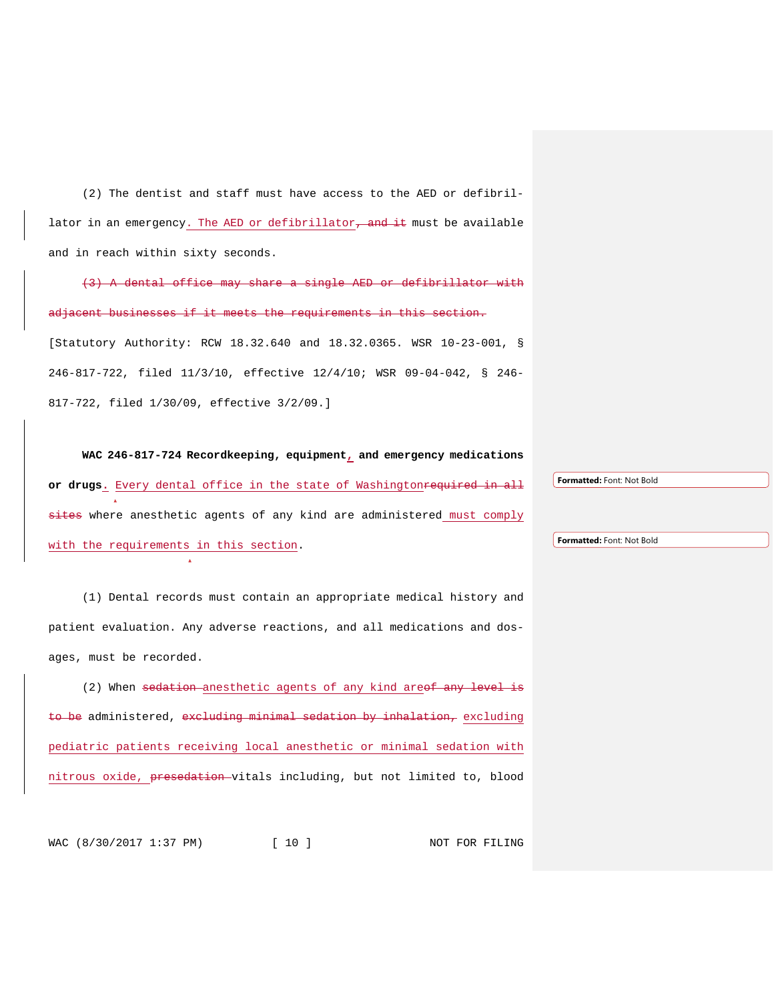(2) The dentist and staff must have access to the AED or defibrillator in an emergency. The AED or defibrillator<del>, and it</del> must be available and in reach within sixty seconds.

(3) A dental office may share a single AED or defibrillator with adjacent businesses if it meets the requirements in this section. [Statutory Authority: RCW 18.32.640 and 18.32.0365. WSR 10-23-001, § 246-817-722, filed 11/3/10, effective 12/4/10; WSR 09-04-042, § 246- 817-722, filed 1/30/09, effective 3/2/09.]

**WAC 246-817-724 Recordkeeping, equipment, and emergency medications**  or drugs. Every dental office in the state of Washington<del>required in all</del> sites where anesthetic agents of any kind are administered must comply with the requirements in this section.

(1) Dental records must contain an appropriate medical history and patient evaluation. Any adverse reactions, and all medications and dosages, must be recorded.

(2) When sedation anesthetic agents of any kind areof any level is to be administered, excluding minimal sedation by inhalation, excluding pediatric patients receiving local anesthetic or minimal sedation with nitrous oxide, presedation vitals including, but not limited to, blood

WAC (8/30/2017 1:37 PM) [ 10 ] NOT FOR FILING

**Formatted:** Font: Not Bold

**Formatted:** Font: Not Bold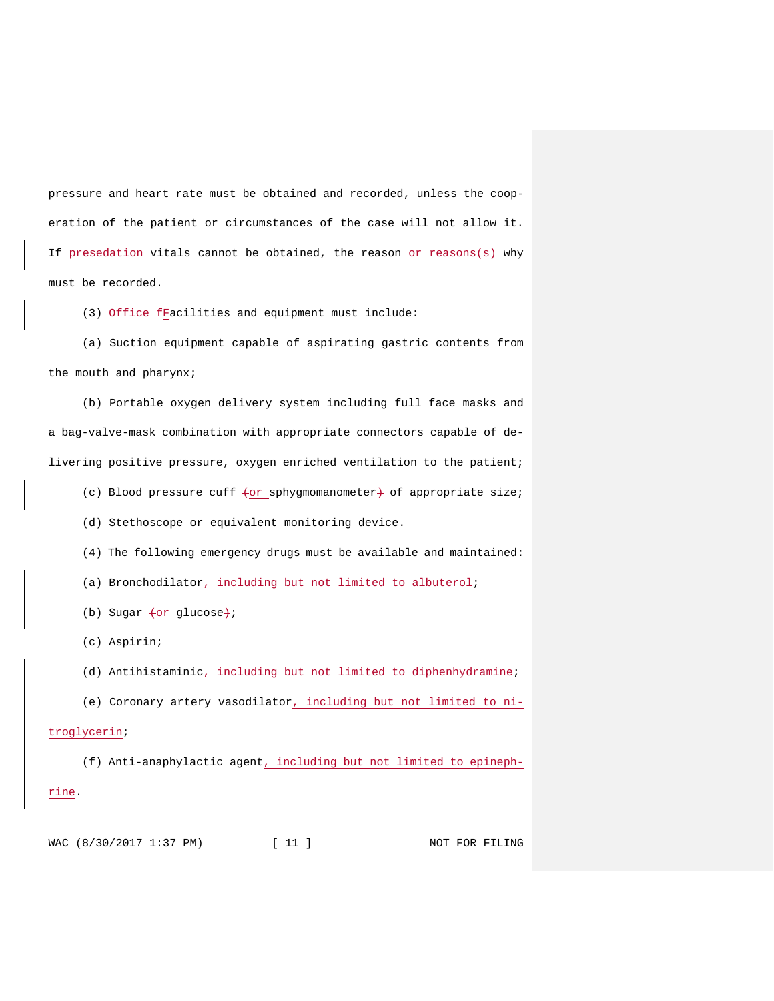pressure and heart rate must be obtained and recorded, unless the cooperation of the patient or circumstances of the case will not allow it. If presedation-vitals cannot be obtained, the reason or reasons $\leftrightarrow$  why must be recorded.

(3) Office fFacilities and equipment must include:

(a) Suction equipment capable of aspirating gastric contents from the mouth and pharynx;

(b) Portable oxygen delivery system including full face masks and a bag-valve-mask combination with appropriate connectors capable of delivering positive pressure, oxygen enriched ventilation to the patient;

(c) Blood pressure cuff  $\text{for }$  sphygmomanometer $\text{+}$  of appropriate size;

(d) Stethoscope or equivalent monitoring device.

(4) The following emergency drugs must be available and maintained:

(a) Bronchodilator, including but not limited to albuterol;

(b) Sugar  $\text{for glucose}$ ;

(c) Aspirin;

(d) Antihistaminic, including but not limited to diphenhydramine;

(e) Coronary artery vasodilator, including but not limited to ni-

troglycerin;

(f) Anti-anaphylactic agent, including but not limited to epinephrine.

WAC (8/30/2017 1:37 PM) [ 11 ] NOT FOR FILING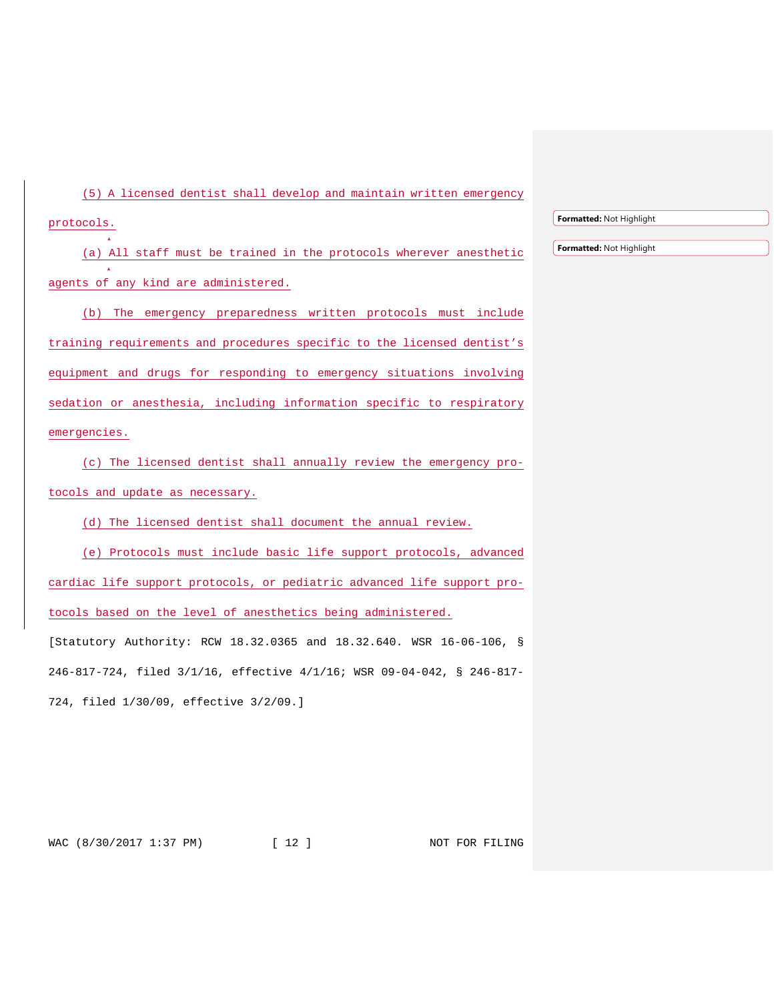(5) A licensed dentist shall develop and maintain written emergency protocols.

(a) All staff must be trained in the protocols wherever anesthetic agents of any kind are administered.

(b) The emergency preparedness written protocols must include training requirements and procedures specific to the licensed dentist's equipment and drugs for responding to emergency situations involving sedation or anesthesia, including information specific to respiratory emergencies.

(c) The licensed dentist shall annually review the emergency protocols and update as necessary.

(d) The licensed dentist shall document the annual review.

(e) Protocols must include basic life support protocols, advanced cardiac life support protocols, or pediatric advanced life support protocols based on the level of anesthetics being administered.

[Statutory Authority: RCW 18.32.0365 and 18.32.640. WSR 16-06-106, § 246-817-724, filed 3/1/16, effective 4/1/16; WSR 09-04-042, § 246-817- 724, filed 1/30/09, effective 3/2/09.]

WAC (8/30/2017 1:37 PM) [ 12 ] NOT FOR FILING

**Formatted:** Not Highlight

**Formatted:** Not Highlight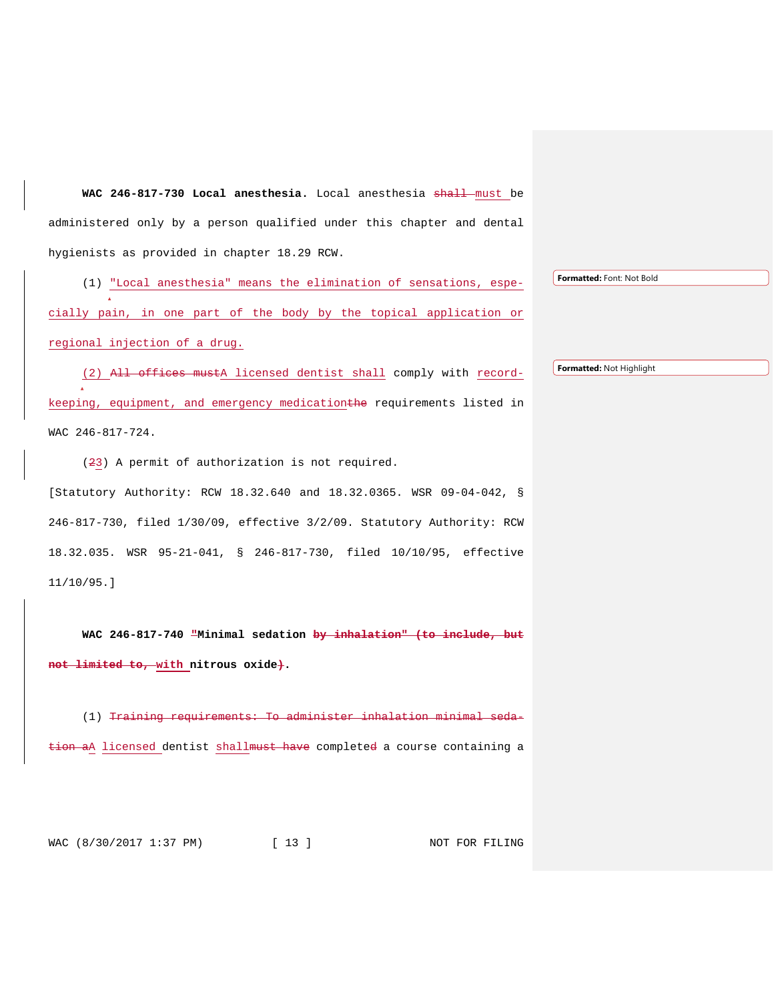WAC 246-817-730 Local anesthesia. Local anesthesia shall must be administered only by a person qualified under this chapter and dental hygienists as provided in chapter 18.29 RCW.

(1) "Local anesthesia" means the elimination of sensations, especially pain, in one part of the body by the topical application or regional injection of a drug.

(2) All offices mustA licensed dentist shall comply with recordkeeping, equipment, and emergency medicationthe requirements listed in WAC 246-817-724.

(23) A permit of authorization is not required. [Statutory Authority: RCW 18.32.640 and 18.32.0365. WSR 09-04-042, § 246-817-730, filed 1/30/09, effective 3/2/09. Statutory Authority: RCW 18.32.035. WSR 95-21-041, § 246-817-730, filed 10/10/95, effective 11/10/95.]

**WAC 246-817-740 "Minimal sedation by inhalation" (to include, but not limited to, with nitrous oxide).**

(1) Training requirements: To administer inhalation minimal sedation aA licensed dentist shall must have completed a course containing a

WAC (8/30/2017 1:37 PM) [ 13 ] NOT FOR FILING

**Formatted:** Font: Not Bold

**Formatted:** Not Highlight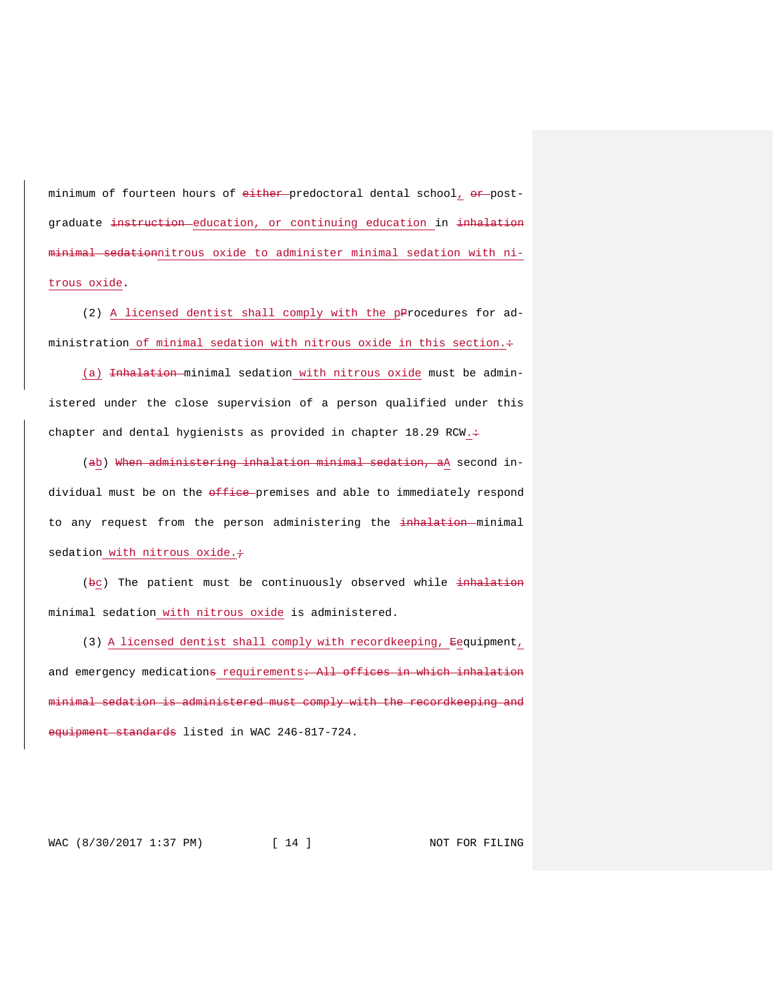minimum of fourteen hours of either-predoctoral dental school, or postgraduate instruction education, or continuing education in inhalation minimal sedationnitrous oxide to administer minimal sedation with nitrous oxide.

(2) A licensed dentist shall comply with the pProcedures for administration of minimal sedation with nitrous oxide in this section.+

(a) Inhalation minimal sedation with nitrous oxide must be administered under the close supervision of a person qualified under this chapter and dental hygienists as provided in chapter 18.29 RCW. $\div$ 

(ab) When administering inhalation minimal sedation, aA second individual must be on the office premises and able to immediately respond to any request from the person administering the inhalation minimal sedation with nitrous oxide. $\div$ 

(bc) The patient must be continuously observed while inhalation minimal sedation with nitrous oxide is administered.

(3) A licensed dentist shall comply with recordkeeping, Eequipment, and emergency medications requirements + All offices in which inhalation minimal sedation is administered must comply with the recordkeeping and e<del>quipment standards</del> listed in WAC 246-817-724.

WAC (8/30/2017 1:37 PM) [ 14 ] NOT FOR FILING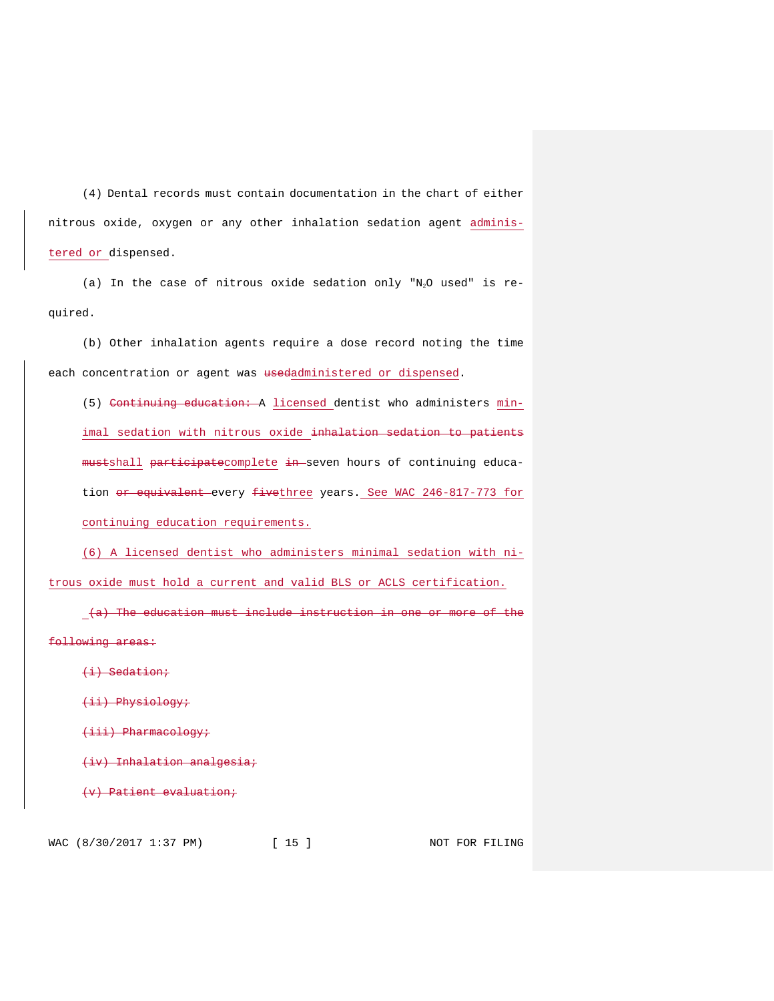(4) Dental records must contain documentation in the chart of either nitrous oxide, oxygen or any other inhalation sedation agent administered or dispensed.

(a) In the case of nitrous oxide sedation only "N2O used" is required.

(b) Other inhalation agents require a dose record noting the time each concentration or agent was usedadministered or dispensed.

(5) Continuing education: A licensed dentist who administers minimal sedation with nitrous oxide inhalation sedation to patients mustshall participatecomplete in seven hours of continuing education or equivalent every fivethree years. See WAC 246-817-773 for continuing education requirements.

(6) A licensed dentist who administers minimal sedation with nitrous oxide must hold a current and valid BLS or ACLS certification.

(a) The education must include instruction in one or more of the following areas:

(i) Sedation;

(ii) Physiology;

(iii) Pharmacology;

(iv) Inhalation analgesia;

(v) Patient evaluation;

WAC (8/30/2017 1:37 PM) [ 15 ] NOT FOR FILING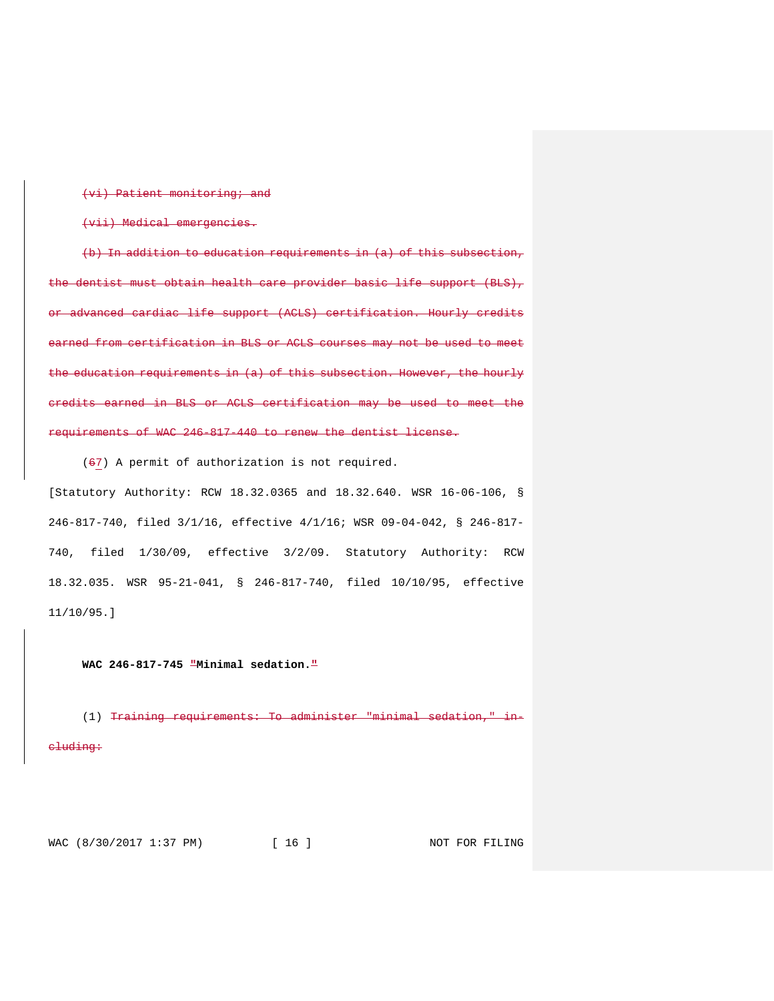(vi) Patient monitoring; and

(vii) Medical emergencies.

(b) In addition to education requirements in  $(a)$  of this subsection, the dentist must obtain health care provider basic life support (BLS), or advanced cardiac life support (ACLS) certification. Hourly credits earned from certification in BLS or ACLS courses may not be used to meet the education requirements in (a) of this subsection. However, the hourly credits earned in BLS or ACLS certification may be used to meet the requirements of WAC 246-817-440 to renew the dentist license.

(67) A permit of authorization is not required.

[Statutory Authority: RCW 18.32.0365 and 18.32.640. WSR 16-06-106, § 246-817-740, filed 3/1/16, effective 4/1/16; WSR 09-04-042, § 246-817- 740, filed 1/30/09, effective 3/2/09. Statutory Authority: RCW 18.32.035. WSR 95-21-041, § 246-817-740, filed 10/10/95, effective 11/10/95.]

**WAC 246-817-745 "Minimal sedation."**

(1) Training requirements: To administer "minimal sedation," cluding:

WAC (8/30/2017 1:37 PM) [ 16 ] NOT FOR FILING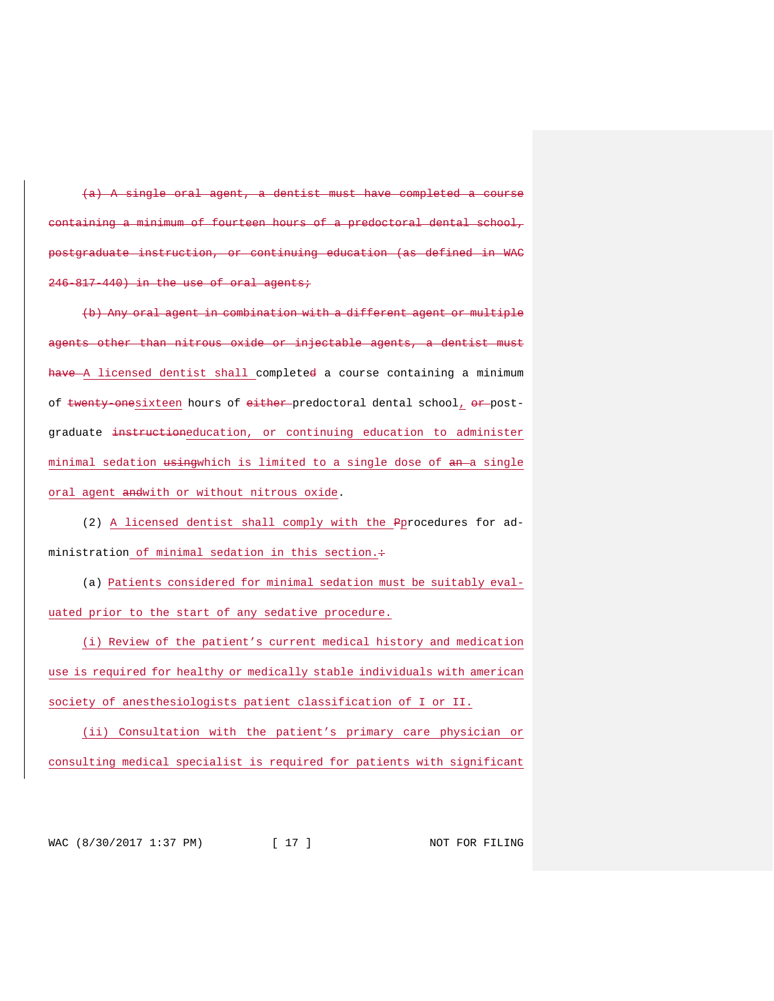agent, a dentist must have completed minimum of fourteen hours of a predoctoral dental school, postgraduate instruction, or continuing education (as defined in WAC 246-817-440) in the use of oral agents;

(b) Any oral agent in combination with a different agent or multiple agents other than nitrous oxide or injectable agents, a dentist must have - A licensed dentist shall completed a course containing a minimum of twenty-onesixteen hours of either predoctoral dental school, or postgraduate instructioneducation, or continuing education to administer minimal sedation usingwhich is limited to a single dose of an a single oral agent andwith or without nitrous oxide.

(2) A licensed dentist shall comply with the Pprocedures for administration of minimal sedation in this section. $\div$ 

(a) Patients considered for minimal sedation must be suitably evaluated prior to the start of any sedative procedure.

(i) Review of the patient's current medical history and medication use is required for healthy or medically stable individuals with american society of anesthesiologists patient classification of I or II.

(ii) Consultation with the patient's primary care physician or consulting medical specialist is required for patients with significant

WAC (8/30/2017 1:37 PM) [ 17 ] NOT FOR FILING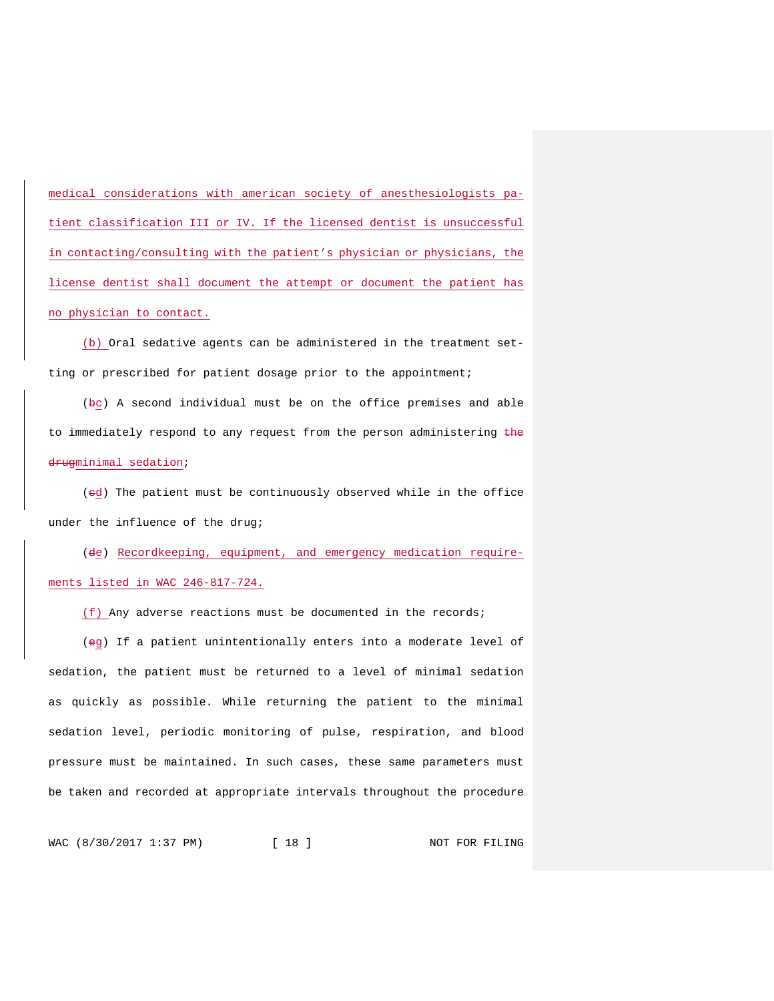medical considerations with american society of anesthesiologists patient classification III or IV. If the licensed dentist is unsuccessful in contacting/consulting with the patient's physician or physicians, the license dentist shall document the attempt or document the patient has no physician to contact.

(b) Oral sedative agents can be administered in the treatment setting or prescribed for patient dosage prior to the appointment;

(bc) A second individual must be on the office premises and able to immediately respond to any request from the person administering the drugminimal sedation;

(cd) The patient must be continuously observed while in the office under the influence of the drug;

(de) Recordkeeping, equipment, and emergency medication requirements listed in WAC 246-817-724.

(f) Any adverse reactions must be documented in the records;

(eg) If a patient unintentionally enters into a moderate level of sedation, the patient must be returned to a level of minimal sedation as quickly as possible. While returning the patient to the minimal sedation level, periodic monitoring of pulse, respiration, and blood pressure must be maintained. In such cases, these same parameters must be taken and recorded at appropriate intervals throughout the procedure

WAC (8/30/2017 1:37 PM) [ 18 ] NOT FOR FILING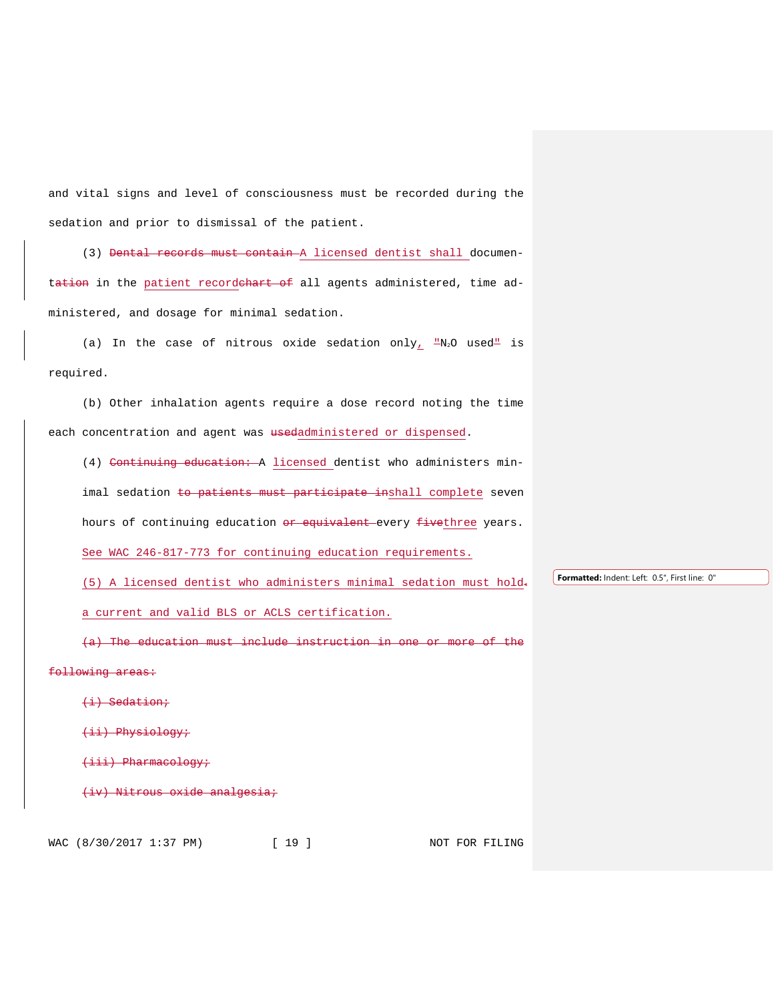and vital signs and level of consciousness must be recorded during the sedation and prior to dismissal of the patient.

(3) Dental records must contain A licensed dentist shall documentation in the patient recordehart of all agents administered, time administered, and dosage for minimal sedation.

(a) In the case of nitrous oxide sedation only,  $\mathbb{L}N_2$ O used<sup>"</sup> is required.

(b) Other inhalation agents require a dose record noting the time each concentration and agent was usedadministered or dispensed.

(4) Continuing education: A licensed dentist who administers minimal sedation to patients must participate inshall complete seven hours of continuing education or equivalent every fivethree years. See WAC 246-817-773 for continuing education requirements.

(5) A licensed dentist who administers minimal sedation must hold

a current and valid BLS or ACLS certification.

(a) The education must include instruction in one or more of the

following areas:

(i) Sedation;

(ii) Physiology;

(iii) Pharmacology;

(iv) Nitrous oxide analgesia;

WAC (8/30/2017 1:37 PM) [ 19 ] NOT FOR FILING

**Formatted:** Indent: Left: 0.5", First line: 0"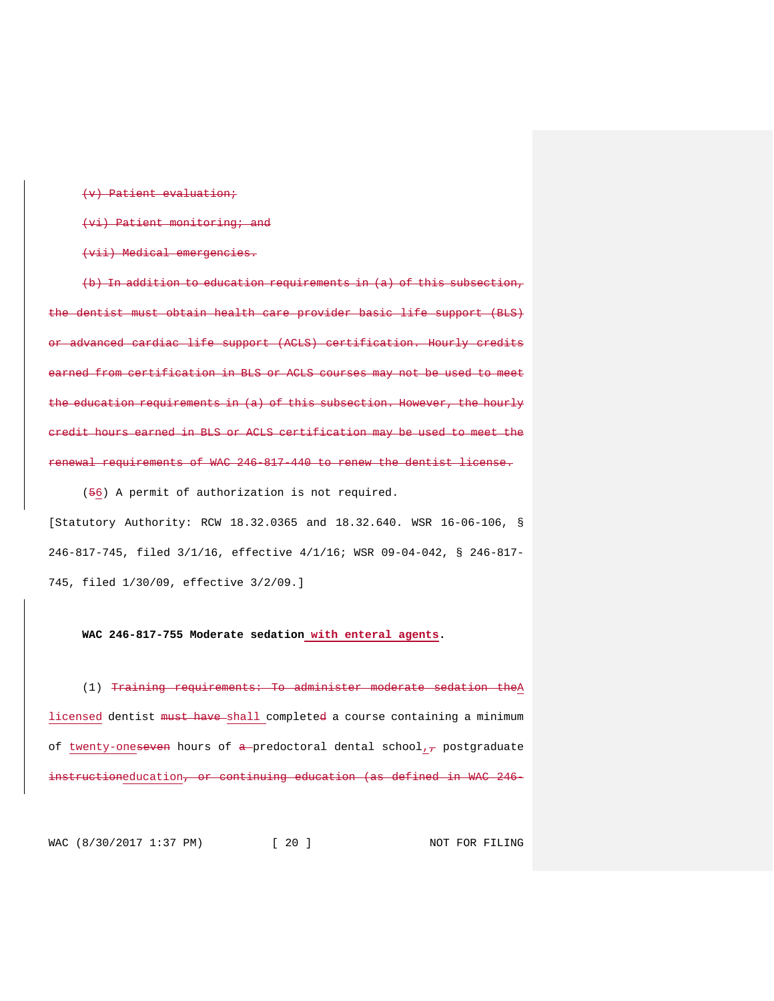(v) Patient evaluation;

(vi) Patient monitoring; and

(vii) Medical emergencies.

(b) In addition to education requirements in (a) of this subsection, dentist must obtain health care provider basic life support (BLS) advanced cardiac life support (ACLS) certification. Hourly credits earned from certification in BLS or ACLS courses may not be used to meet the education requirements in (a) of this subsection. However, the hourly credit hours earned in BLS or ACLS certification may be used to meet the enewal requirements of WAC 246-817-440 to renew the dentist license.

(56) A permit of authorization is not required.

[Statutory Authority: RCW 18.32.0365 and 18.32.640. WSR 16-06-106, § 246-817-745, filed 3/1/16, effective 4/1/16; WSR 09-04-042, § 246-817- 745, filed 1/30/09, effective 3/2/09.]

**WAC 246-817-755 Moderate sedation with enteral agents.**

(1) Training requirements: To administer moderate sedation theA licensed dentist must have shall completed a course containing a minimum of twenty-oneseven hours of a predoctoral dental school, $_7$  postgraduate instructioneducation<del>, or continuing education (as defined in WAC 246-</del>

WAC (8/30/2017 1:37 PM) [ 20 ] NOT FOR FILING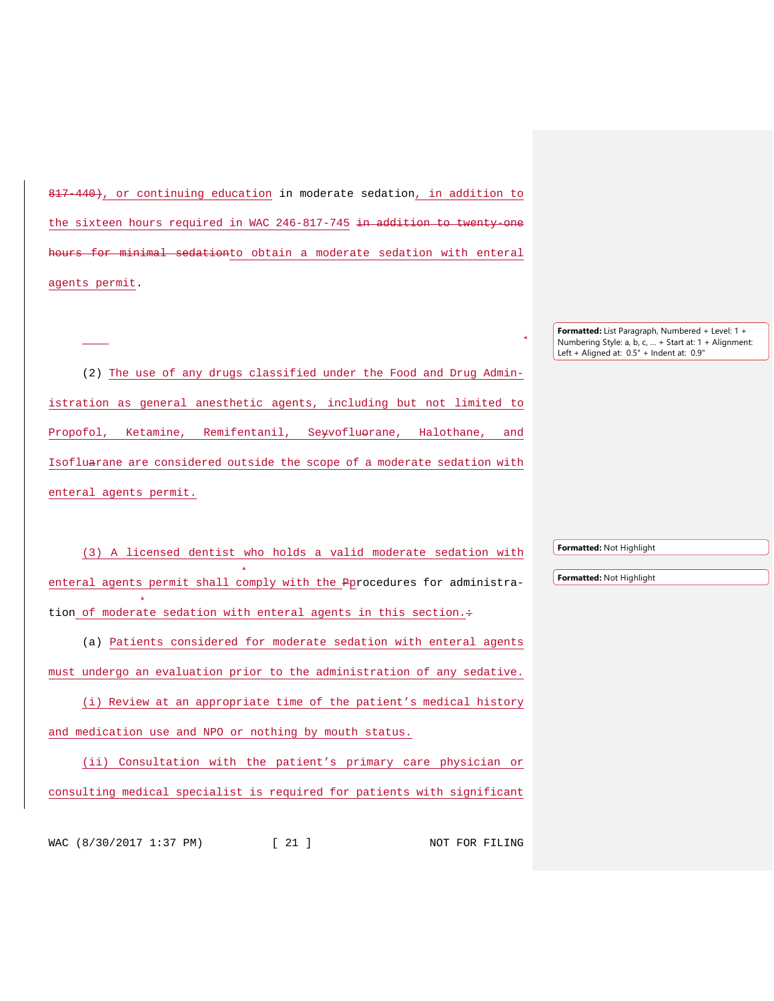817-440), or continuing education in moderate sedation, in addition to the sixteen hours required in WAC 246-817-745 in addition to twenty one hours for minimal sedationto obtain a moderate sedation with enteral agents permit.

(2) The use of any drugs classified under the Food and Drug Administration as general anesthetic agents, including but not limited to Propofol, Ketamine, Remifentanil, Se<del>y</del>vofluorane, Halothane, and Isofluarane are considered outside the scope of a moderate sedation with enteral agents permit.

(3) A licensed dentist who holds a valid moderate sedation with enteral agents permit shall comply with the Pprocedures for administration of moderate sedation with enteral agents in this section.+

(a) Patients considered for moderate sedation with enteral agents must undergo an evaluation prior to the administration of any sedative.

(i) Review at an appropriate time of the patient's medical history and medication use and NPO or nothing by mouth status.

(ii) Consultation with the patient's primary care physician or consulting medical specialist is required for patients with significant

WAC (8/30/2017 1:37 PM) [ 21 ] NOT FOR FILING

**Formatted:** Not Highlight

**Formatted:** Not Highlight

**Formatted:** List Paragraph, Numbered + Level: 1 + Numbering Style: a, b, c, … + Start at: 1 + Alignment: Left + Aligned at: 0.5" + Indent at: 0.9"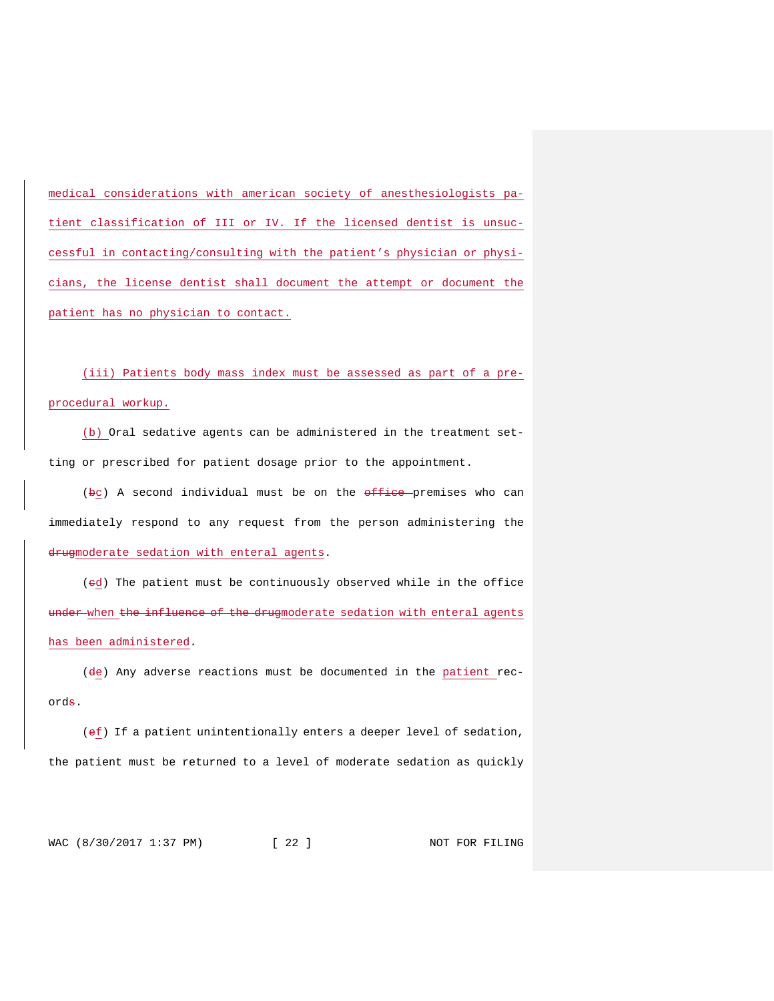medical considerations with american society of anesthesiologists patient classification of III or IV. If the licensed dentist is unsuccessful in contacting/consulting with the patient's physician or physicians, the license dentist shall document the attempt or document the patient has no physician to contact.

(iii) Patients body mass index must be assessed as part of a preprocedural workup.

(b) Oral sedative agents can be administered in the treatment setting or prescribed for patient dosage prior to the appointment.

(bc) A second individual must be on the office premises who can immediately respond to any request from the person administering the drugmoderate sedation with enteral agents.

(ed) The patient must be continuously observed while in the office under when the influence of the drugmoderate sedation with enteral agents has been administered.

(de) Any adverse reactions must be documented in the patient records.

(ef) If a patient unintentionally enters a deeper level of sedation, the patient must be returned to a level of moderate sedation as quickly

WAC (8/30/2017 1:37 PM) [ 22 ] NOT FOR FILING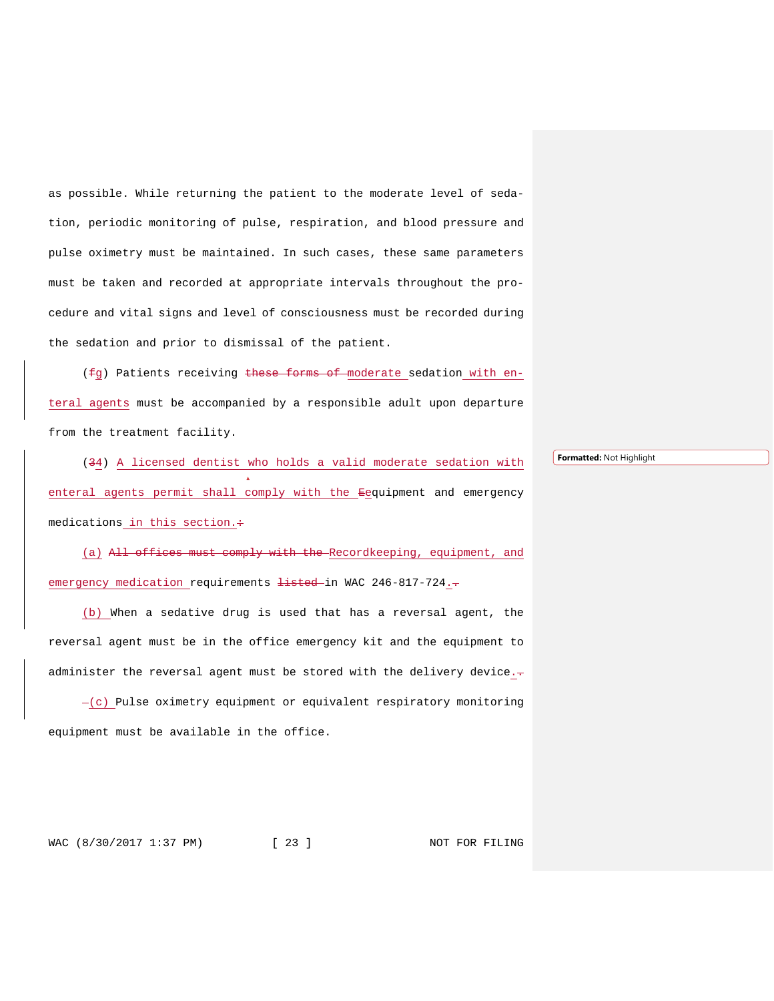as possible. While returning the patient to the moderate level of sedation, periodic monitoring of pulse, respiration, and blood pressure and pulse oximetry must be maintained. In such cases, these same parameters must be taken and recorded at appropriate intervals throughout the procedure and vital signs and level of consciousness must be recorded during the sedation and prior to dismissal of the patient.

(fg) Patients receiving these forms of moderate sedation with enteral agents must be accompanied by a responsible adult upon departure from the treatment facility.

(34) A licensed dentist who holds a valid moderate sedation with enteral agents permit shall comply with the <del>E</del>equipment and emergency medications in this section. $\div$ 

(a) All offices must comply with the Recordkeeping, equipment, and emergency medication requirements <del>listed</del> in WAC 246-817-724.

(b) When a sedative drug is used that has a reversal agent, the reversal agent must be in the office emergency kit and the equipment to administer the reversal agent must be stored with the delivery device. $\frac{1}{r}$ 

 $-(c)$  Pulse oximetry equipment or equivalent respiratory monitoring equipment must be available in the office.

WAC (8/30/2017 1:37 PM) [ 23 ] NOT FOR FILING

**Formatted:** Not Highlight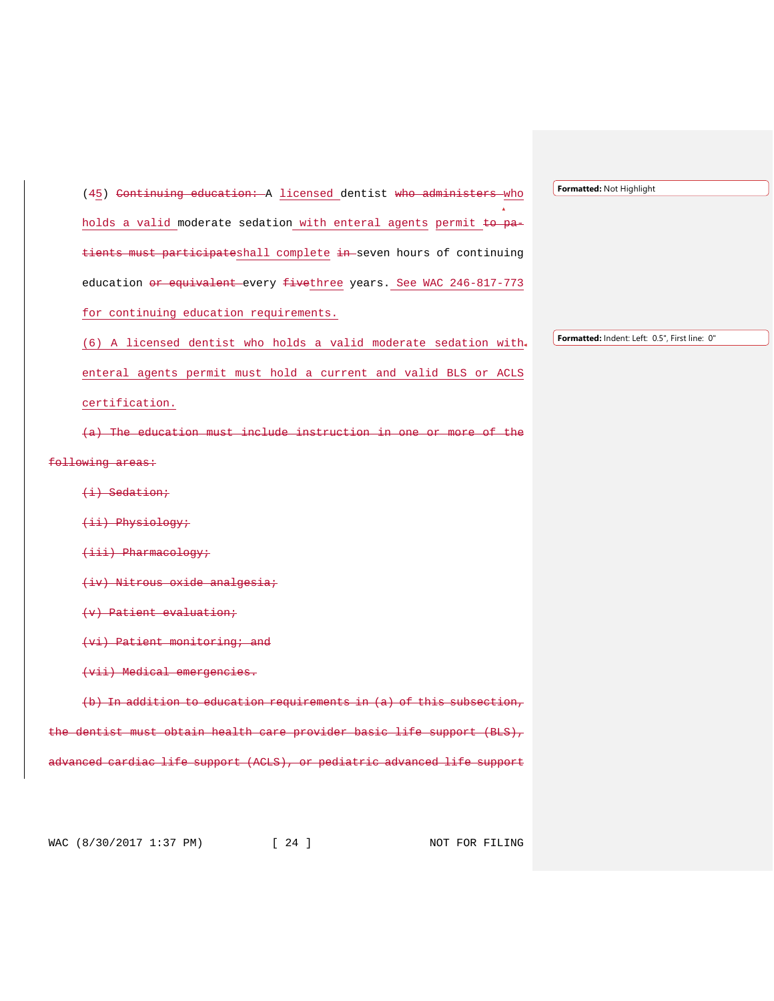(45) Continuing education: A licensed dentist who administers who holds a valid moderate sedation with enteral agents permit  $t_0$  patients must participateshall complete in seven hours of continuing education or equivalent every fivethree years. See WAC 246-817-773 for continuing education requirements. (6) A licensed dentist who holds a valid moderate sedation with enteral agents permit must hold a current and valid BLS or ACLS certification. (a) The education must include instruction in one or more of the o<del>llowing areas:</del> (i) Sedation; (ii) Physiology; (iii) Pharmacology; (iv) Nitrous oxide analgesia; (v) Patient evaluation; (vi) Patient monitoring; and (vii) Medical emergencies. In addition to education requirements in  $(a)$  of this subsection, dentist must obtain health care provider basic life support (BLS), nced cardiac life support (ACLS), or pediatric advanced life support **Formatted:** Indent: Left: 0.5", First line: 0"

**Formatted:** Not Highlight

WAC (8/30/2017 1:37 PM) [ 24 ] NOT FOR FILING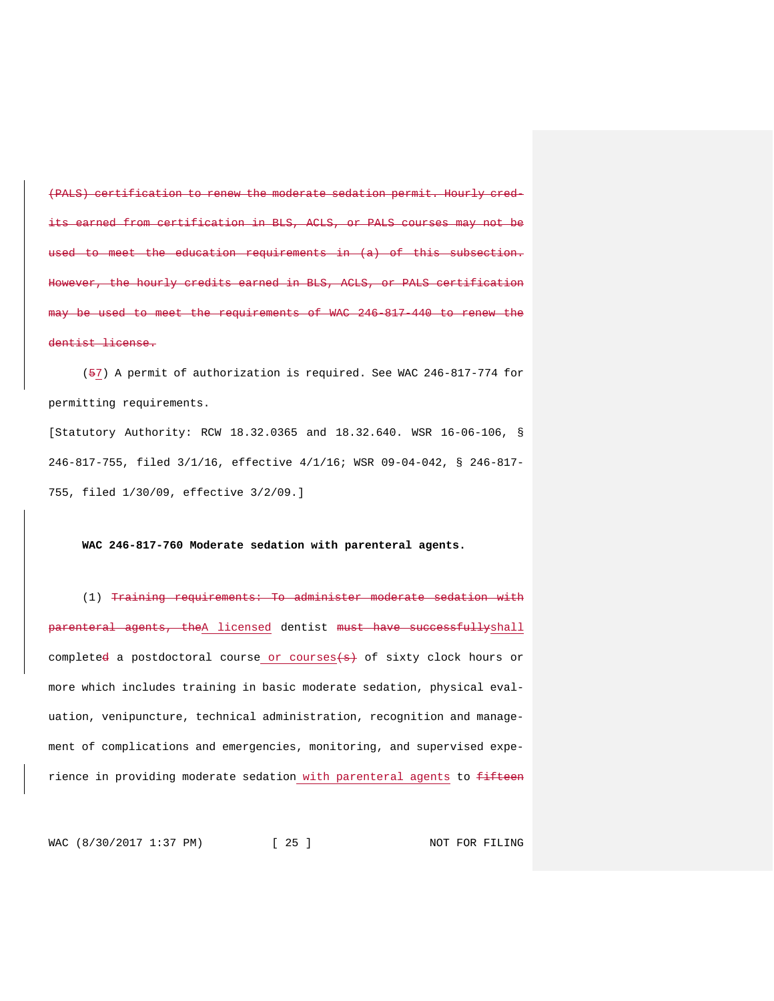(PALS) certification to renew the moderate sedation permit. Hourly credcarned from certification in BLS, ACLS, or PALS courses may not be meet the education requirements in  $(a)$  of this subsection. the hourly credits earned in BLS, ACLS, or PALS certification used to meet the requirements of WAC 246-817-440 to renew the lentist license.

(57) A permit of authorization is required. See WAC 246-817-774 for permitting requirements.

[Statutory Authority: RCW 18.32.0365 and 18.32.640. WSR 16-06-106, § 246-817-755, filed 3/1/16, effective 4/1/16; WSR 09-04-042, § 246-817- 755, filed 1/30/09, effective 3/2/09.]

#### **WAC 246-817-760 Moderate sedation with parenteral agents.**

(1) Training requirements: To administer moderate sedation with arenteral agents, theA licensed dentist must have successfullyshall complete<del>d</del> a postdoctoral course or courses(s) of sixty clock hours or more which includes training in basic moderate sedation, physical evaluation, venipuncture, technical administration, recognition and management of complications and emergencies, monitoring, and supervised experience in providing moderate sedation with parenteral agents to fifteen

WAC (8/30/2017 1:37 PM) [ 25 ] NOT FOR FILING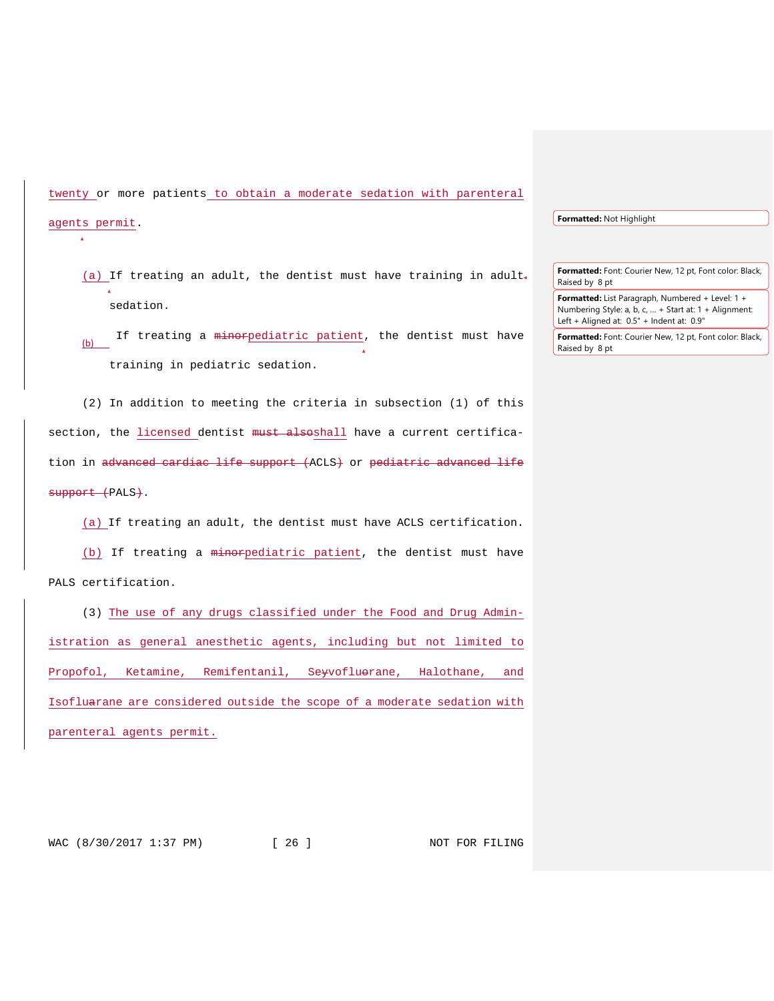twenty or more patients to obtain a moderate sedation with parenteral

#### agents permit.

- (a) If treating an adult, the dentist must have training in adult. sedation.
- (b) If treating a  $\frac{minopediatric \ patient}{minim}$ , the dentist must have training in pediatric sedation.

(2) In addition to meeting the criteria in subsection (1) of this section, the licensed dentist must alsoshall have a current certification in advanced cardiac life support (ACLS) or pediatric advanced life support (PALS).

(a) If treating an adult, the dentist must have ACLS certification.

(b) If treating a minorpediatric patient, the dentist must have PALS certification.

(3) The use of any drugs classified under the Food and Drug Administration as general anesthetic agents, including but not limited to Propofol, Ketamine, Remifentanil, Servofluerane, Halothane, and Isofluarane are considered outside the scope of a moderate sedation with parenteral agents permit.

**Formatted:** Not Highlight

**Formatted:** Font: Courier New, 12 pt, Font color: Black, Raised by 8 pt

- **Formatted:** List Paragraph, Numbered + Level: 1 + Numbering Style: a, b, c, … + Start at: 1 + Alignment: Left + Aligned at: 0.5" + Indent at: 0.9"
- **Formatted:** Font: Courier New, 12 pt, Font color: Black, Raised by 8 pt

WAC (8/30/2017 1:37 PM) [ 26 ] NOT FOR FILING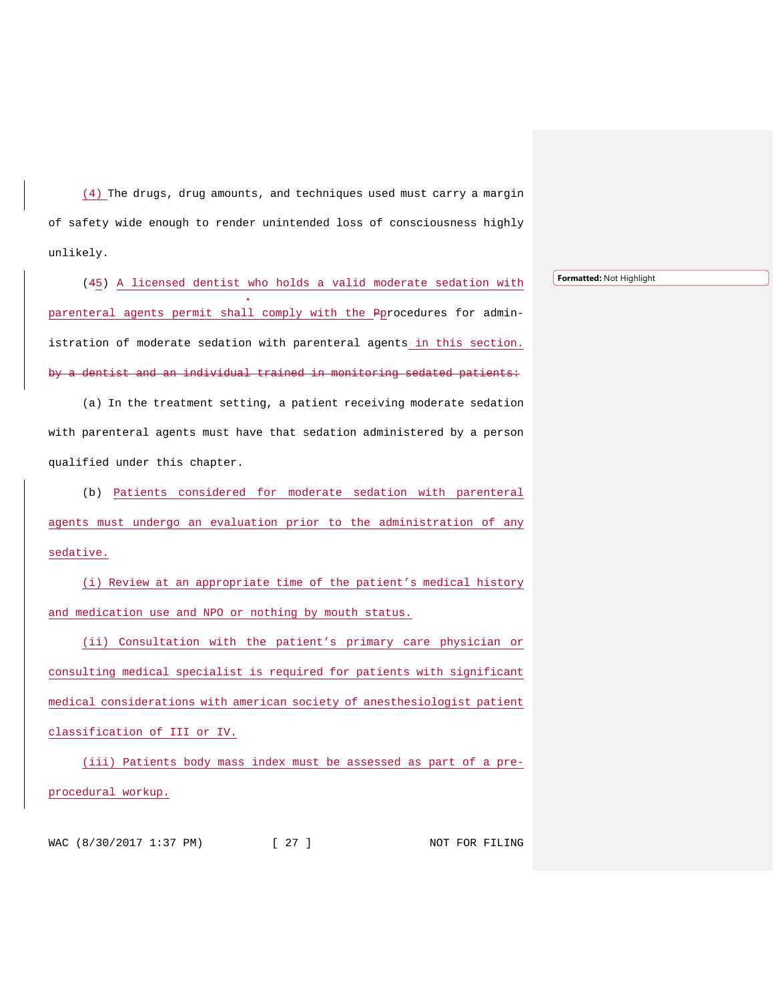(4) The drugs, drug amounts, and techniques used must carry a margin of safety wide enough to render unintended loss of consciousness highly unlikely.

(45) A licensed dentist who holds a valid moderate sedation with parenteral agents permit shall comply with the Pprocedures for administration of moderate sedation with parenteral agents in this section. by a dentist and an individual trained in monitoring sedated patients:

(a) In the treatment setting, a patient receiving moderate sedation with parenteral agents must have that sedation administered by a person qualified under this chapter.

(b) Patients considered for moderate sedation with parenteral agents must undergo an evaluation prior to the administration of any sedative.

(i) Review at an appropriate time of the patient's medical history and medication use and NPO or nothing by mouth status.

(ii) Consultation with the patient's primary care physician or consulting medical specialist is required for patients with significant medical considerations with american society of anesthesiologist patient classification of III or IV.

(iii) Patients body mass index must be assessed as part of a preprocedural workup.

WAC (8/30/2017 1:37 PM) [ 27 ] NOT FOR FILING

**Formatted:** Not Highlight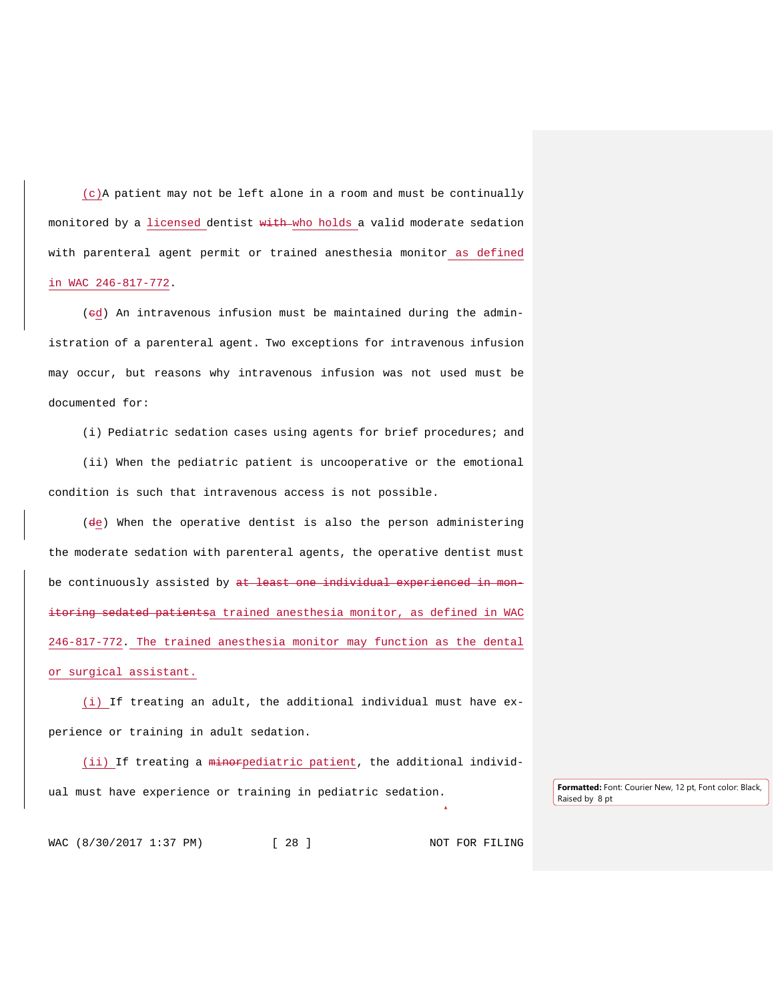(c)A patient may not be left alone in a room and must be continually monitored by a licensed dentist with who holds a valid moderate sedation with parenteral agent permit or trained anesthesia monitor as defined in WAC 246-817-772.

(ed) An intravenous infusion must be maintained during the administration of a parenteral agent. Two exceptions for intravenous infusion may occur, but reasons why intravenous infusion was not used must be documented for:

(i) Pediatric sedation cases using agents for brief procedures; and

(ii) When the pediatric patient is uncooperative or the emotional condition is such that intravenous access is not possible.

(de) When the operative dentist is also the person administering the moderate sedation with parenteral agents, the operative dentist must be continuously assisted by at least one individual experienced in monitoring sedated patientsa trained anesthesia monitor, as defined in WAC 246-817-772. The trained anesthesia monitor may function as the dental or surgical assistant.

(i) If treating an adult, the additional individual must have experience or training in adult sedation.

(ii) If treating a minorpediatric patient, the additional individual must have experience or training in pediatric sedation. **Formatted:** Font: Courier New, 12 pt, Font color: Black,

Raised by 8 pt

WAC (8/30/2017 1:37 PM) [ 28 ] NOT FOR FILING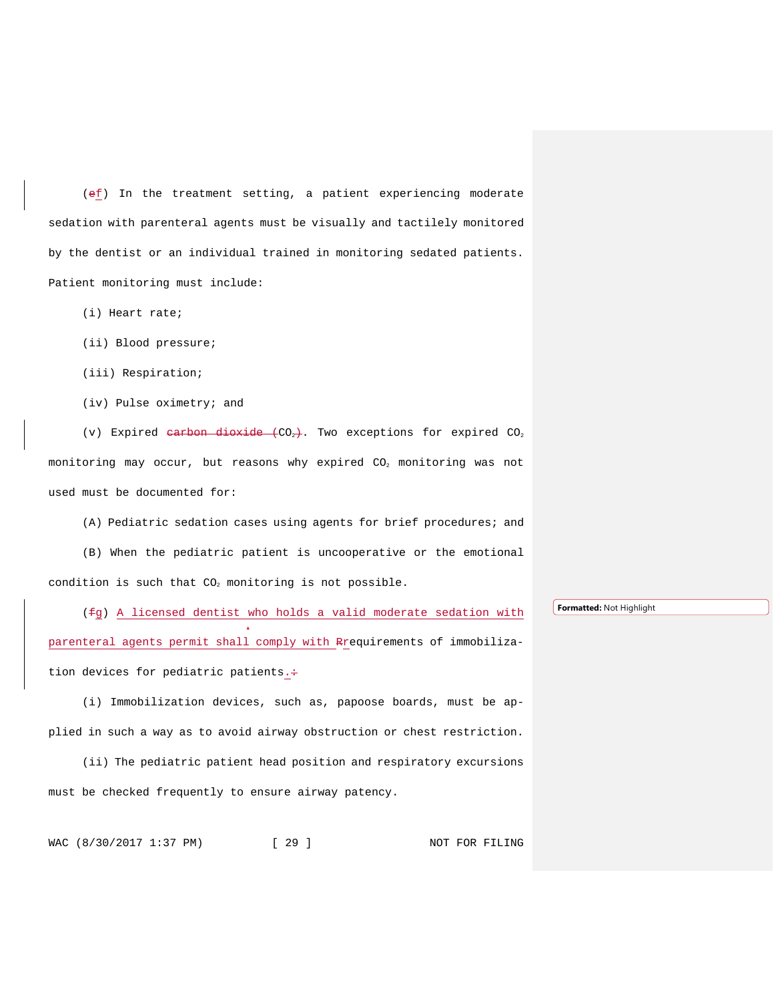(ef) In the treatment setting, a patient experiencing moderate sedation with parenteral agents must be visually and tactilely monitored by the dentist or an individual trained in monitoring sedated patients. Patient monitoring must include:

- (i) Heart rate;
- (ii) Blood pressure;
- (iii) Respiration;
- (iv) Pulse oximetry; and

(v) Expired carbon dioxide  $(CO_2)$ . Two exceptions for expired  $CO_2$ monitoring may occur, but reasons why expired CO<sub>2</sub> monitoring was not used must be documented for:

(A) Pediatric sedation cases using agents for brief procedures; and

(B) When the pediatric patient is uncooperative or the emotional condition is such that  $CO<sub>2</sub>$  monitoring is not possible.

(fg) A licensed dentist who holds a valid moderate sedation with parenteral agents permit shall comply with Rrequirements of immobilization devices for pediatric patients.+

(i) Immobilization devices, such as, papoose boards, must be applied in such a way as to avoid airway obstruction or chest restriction.

(ii) The pediatric patient head position and respiratory excursions must be checked frequently to ensure airway patency.

WAC (8/30/2017 1:37 PM) [ 29 ] NOT FOR FILING

**Formatted:** Not Highlight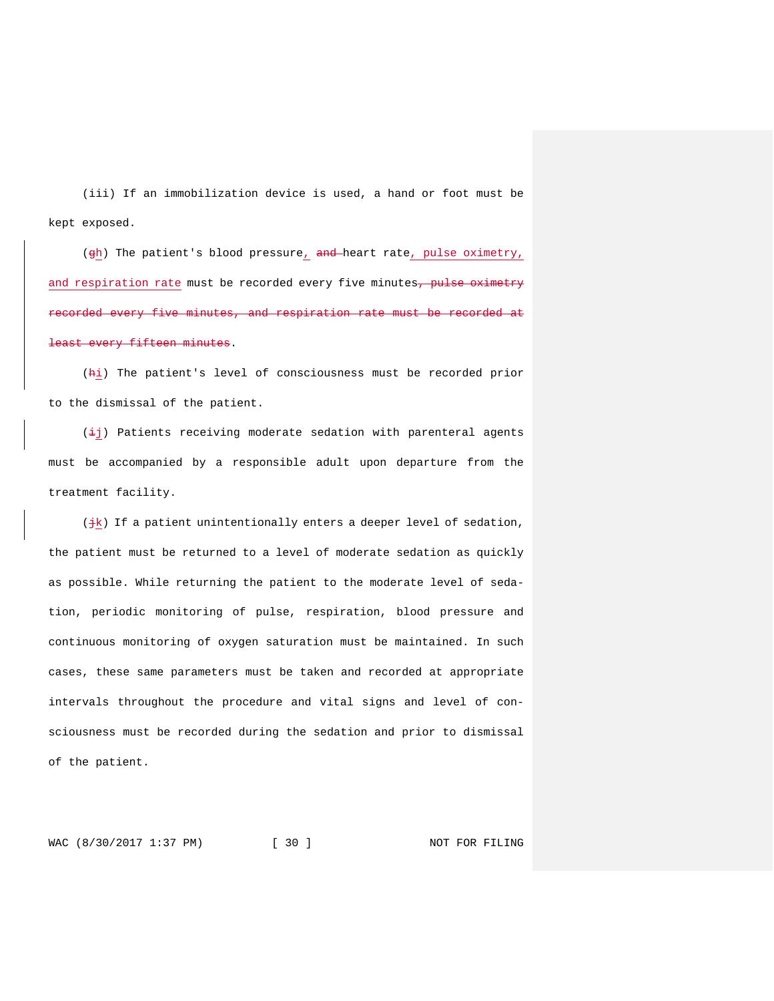(iii) If an immobilization device is used, a hand or foot must be kept exposed.

(gh) The patient's blood pressure, and heart rate, pulse oximetry, and respiration rate must be recorded every five minutes, pulse oximetry recorded every five minutes, and respiration rate must be recorded at east every fifteen minutes.

(hi) The patient's level of consciousness must be recorded prior to the dismissal of the patient.

 $(\pm j)$  Patients receiving moderate sedation with parenteral agents must be accompanied by a responsible adult upon departure from the treatment facility.

( $\frac{1}{2}$ k) If a patient unintentionally enters a deeper level of sedation, the patient must be returned to a level of moderate sedation as quickly as possible. While returning the patient to the moderate level of sedation, periodic monitoring of pulse, respiration, blood pressure and continuous monitoring of oxygen saturation must be maintained. In such cases, these same parameters must be taken and recorded at appropriate intervals throughout the procedure and vital signs and level of consciousness must be recorded during the sedation and prior to dismissal of the patient.

WAC (8/30/2017 1:37 PM) [ 30 ] NOT FOR FILING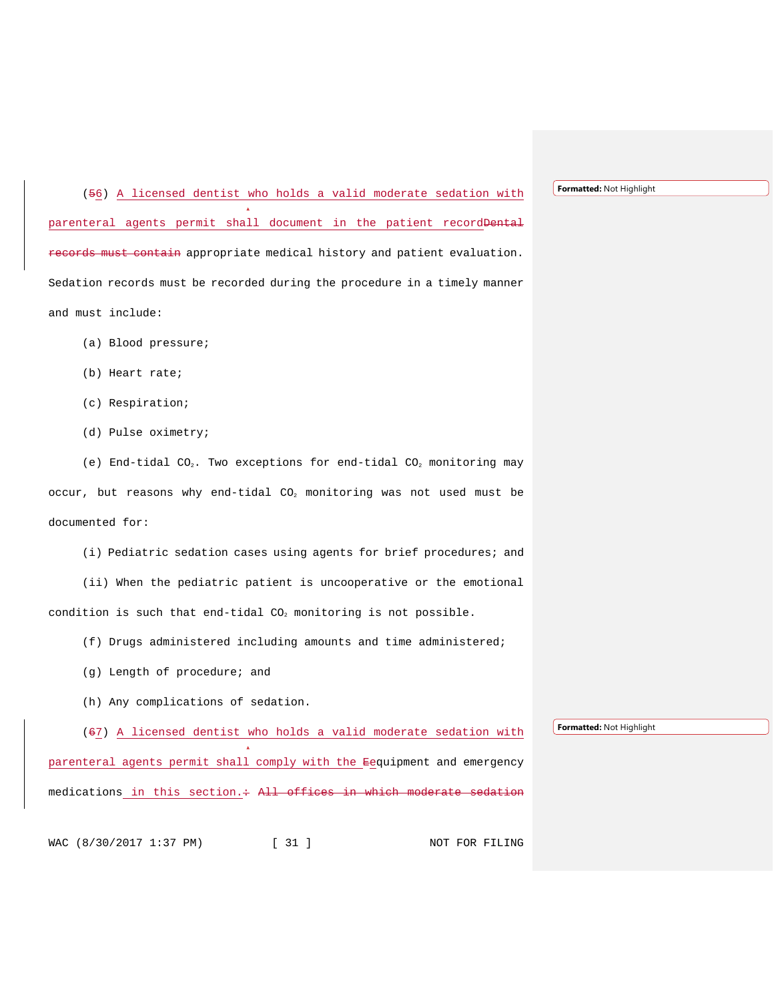(56) A licensed dentist who holds a valid moderate sedation with parenteral agents permit shall document in the patient recordDental records must contain appropriate medical history and patient evaluation. Sedation records must be recorded during the procedure in a timely manner and must include:

- (a) Blood pressure;
- (b) Heart rate;
- (c) Respiration;
- (d) Pulse oximetry;

(e) End-tidal CO<sub>2</sub>. Two exceptions for end-tidal CO<sub>2</sub> monitoring may occur, but reasons why end-tidal  $CO<sub>2</sub>$  monitoring was not used must be documented for:

(i) Pediatric sedation cases using agents for brief procedures; and

(ii) When the pediatric patient is uncooperative or the emotional condition is such that end-tidal  $CO<sub>2</sub>$  monitoring is not possible.

- (f) Drugs administered including amounts and time administered;
- (g) Length of procedure; and
- (h) Any complications of sedation.

(67) A licensed dentist who holds a valid moderate sedation with

**Formatted:** Not Highlight

parenteral agents permit shall comply with the Eequipment and emergency medications in this section. + All offices in which moderate sedation

WAC (8/30/2017 1:37 PM) [ 31 ] NOT FOR FILING

**Formatted:** Not Highlight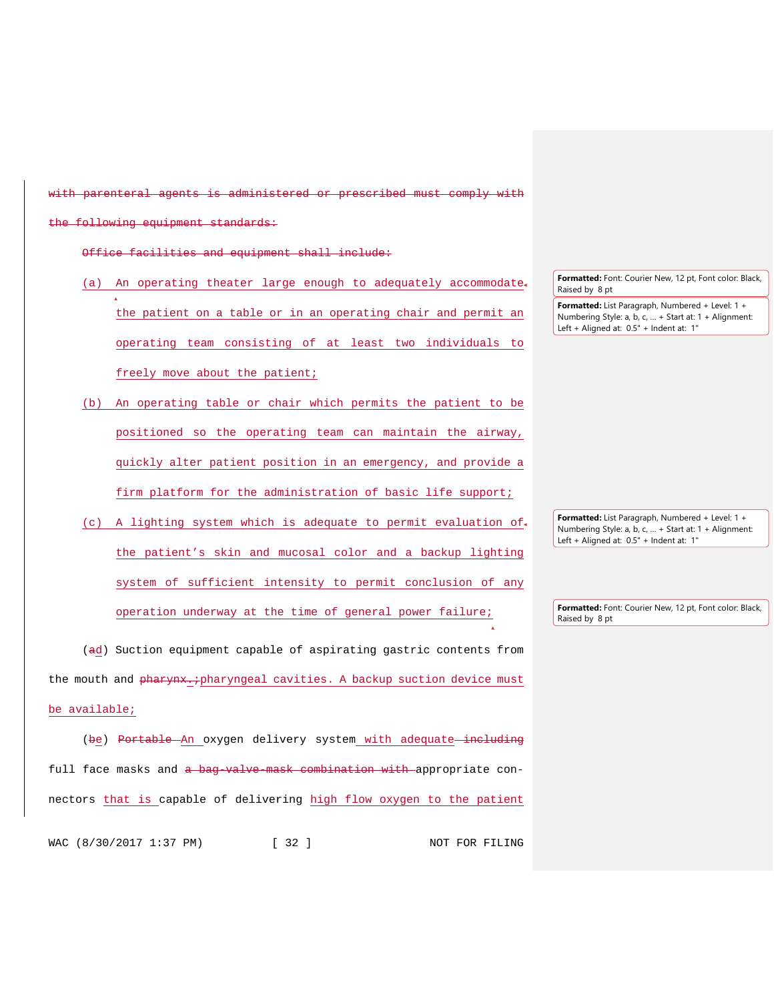with parenteral agents is administered or prescribed must comply with

following equipment standards:

Office facilities and equipment shall include:

- (a) An operating theater large enough to adequately accommodate the patient on a table or in an operating chair and permit an operating team consisting of at least two individuals to freely move about the patient;
- (b) An operating table or chair which permits the patient to be positioned so the operating team can maintain the airway, quickly alter patient position in an emergency, and provide a firm platform for the administration of basic life support;
- (c) A lighting system which is adequate to permit evaluation of the patient's skin and mucosal color and a backup lighting system of sufficient intensity to permit conclusion of any operation underway at the time of general power failure;

(ad) Suction equipment capable of aspirating gastric contents from the mouth and pharynx.; pharyngeal cavities. A backup suction device must be available;

(be) Portable An oxygen delivery system with adequate including full face masks and a bag-valve-mask combination with appropriate connectors that is capable of delivering high flow oxygen to the patient

WAC (8/30/2017 1:37 PM) [ 32 ] NOT FOR FILING

**Formatted:** Font: Courier New, 12 pt, Font color: Black, Raised by 8 pt

**Formatted:** List Paragraph, Numbered + Level: 1 + Numbering Style: a, b, c, … + Start at: 1 + Alignment: Left + Aligned at: 0.5" + Indent at: 1"

**Formatted:** List Paragraph, Numbered + Level: 1 + Numbering Style: a, b, c, … + Start at: 1 + Alignment: Left + Aligned at: 0.5" + Indent at: 1"

**Formatted:** Font: Courier New, 12 pt, Font color: Black, Raised by 8 pt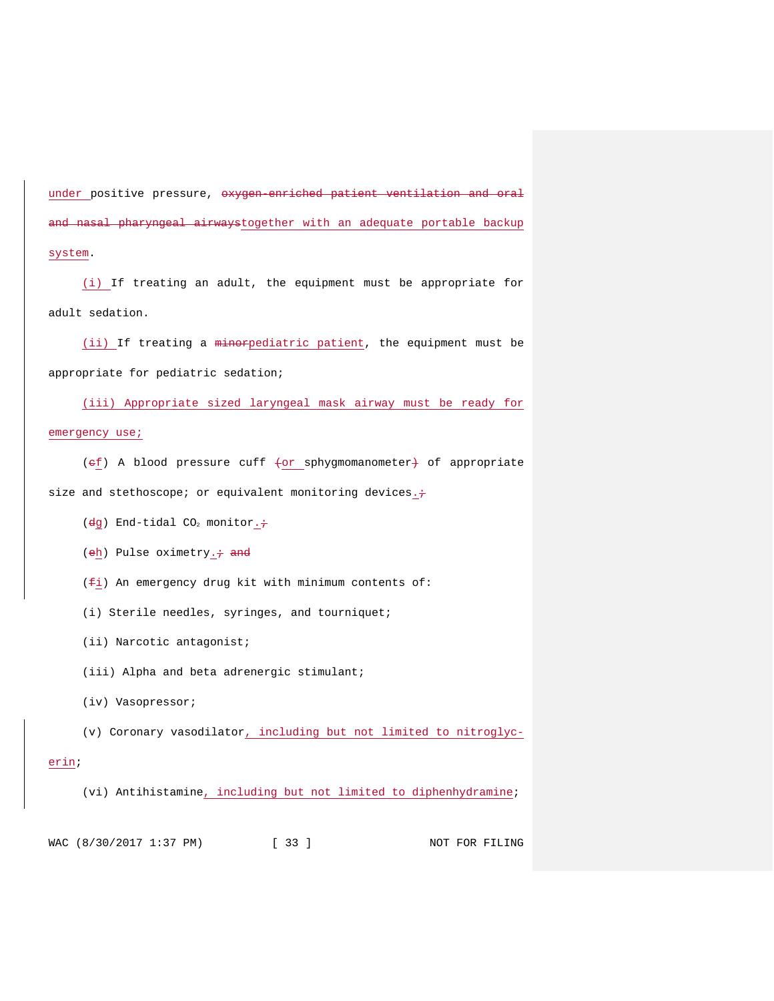under positive pressure, oxygen enriched patient ventilation and oral a<del>nd nasal pharyngeal airways</del>together with an adequate portable backup system.

(i) If treating an adult, the equipment must be appropriate for adult sedation.

(ii) If treating a minorpediatric patient, the equipment must be appropriate for pediatric sedation;

(iii) Appropriate sized laryngeal mask airway must be ready for emergency use;

(ef) A blood pressure cuff (or sphygmomanometer) of appropriate size and stethoscope; or equivalent monitoring devices. $\div$ 

( $dg$ ) End-tidal CO<sub>2</sub> monitor. +

(eh) Pulse oximetry. $\div$  and

 $(f_i)$  An emergency drug kit with minimum contents of:

(i) Sterile needles, syringes, and tourniquet;

(ii) Narcotic antagonist;

(iii) Alpha and beta adrenergic stimulant;

(iv) Vasopressor;

(v) Coronary vasodilator, including but not limited to nitroglyc-

### erin;

(vi) Antihistamine, including but not limited to diphenhydramine;

WAC (8/30/2017 1:37 PM) [ 33 ] NOT FOR FILING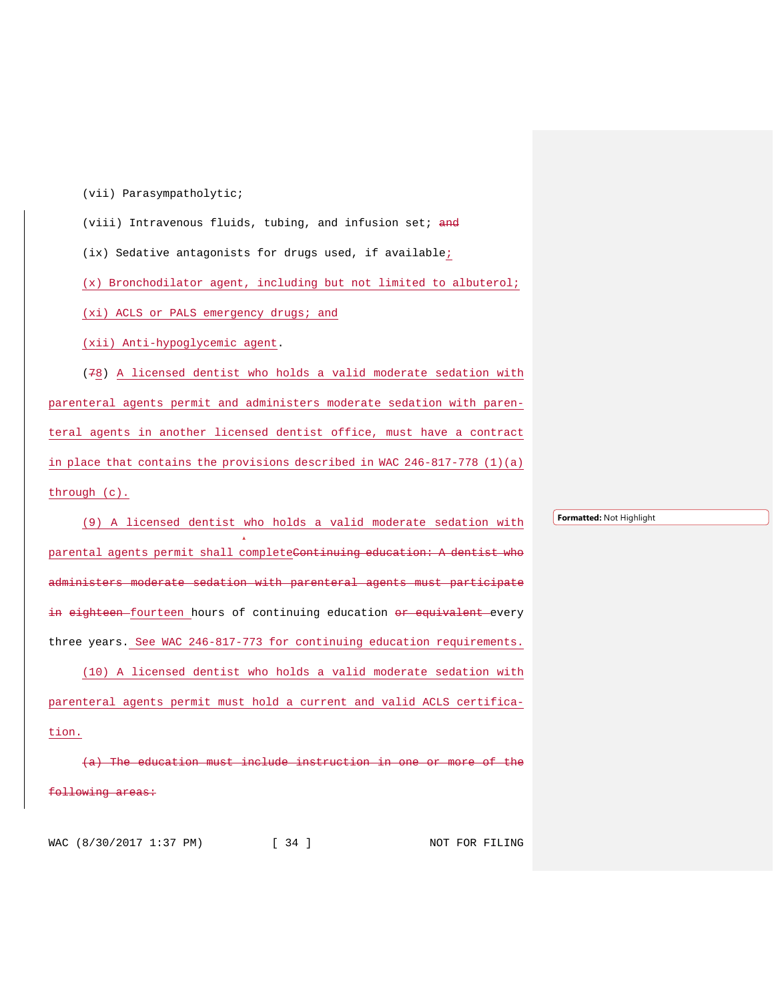(vii) Parasympatholytic;

(viii) Intravenous fluids, tubing, and infusion set; and

(ix) Sedative antagonists for drugs used, if available;

(x) Bronchodilator agent, including but not limited to albuterol;

(xi) ACLS or PALS emergency drugs; and

(xii) Anti-hypoglycemic agent.

(78) A licensed dentist who holds a valid moderate sedation with parenteral agents permit and administers moderate sedation with parenteral agents in another licensed dentist office, must have a contract in place that contains the provisions described in WAC 246-817-778 (1)(a) through (c).

(9) A licensed dentist who holds a valid moderate sedation with parental agents permit shall completeContinuing education: A dentist who administers moderate sedation with parenteral agents must participate in eighteen fourteen hours of continuing education or equivalent every three years. See WAC 246-817-773 for continuing education requirements. (10) A licensed dentist who holds a valid moderate sedation with parenteral agents permit must hold a current and valid ACLS certification.

ducation must include instruction o<del>llowing areas:</del>

**Formatted:** Not Highlight

WAC (8/30/2017 1:37 PM) [ 34 ] NOT FOR FILING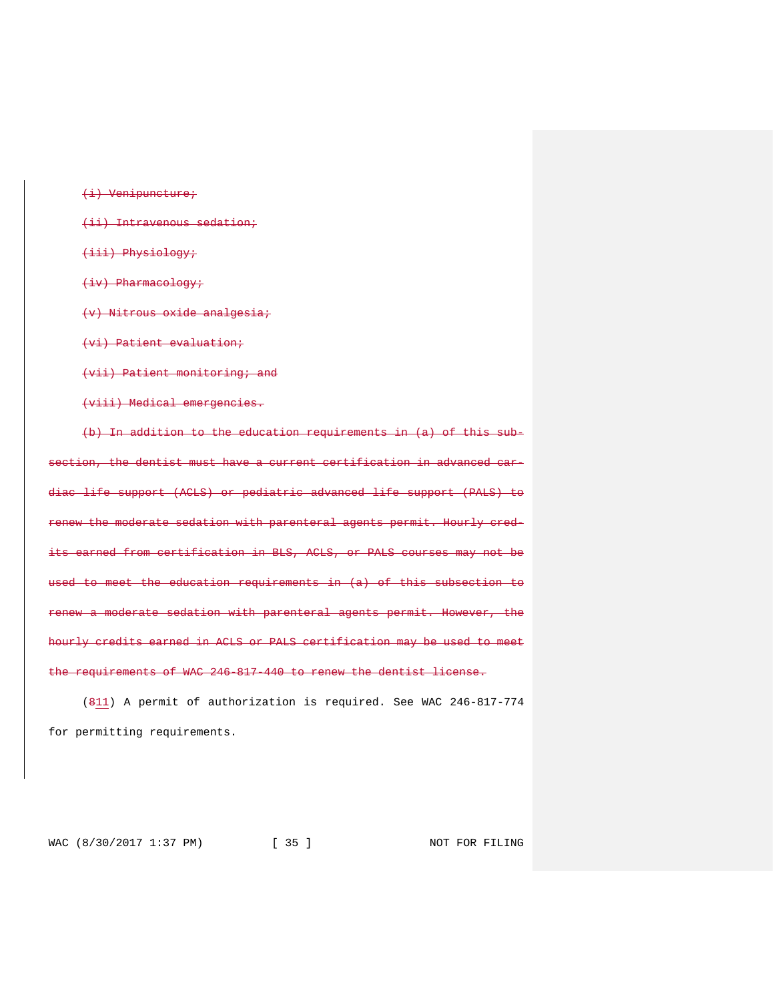(i) Venipuncture; (ii) Intravenous sedation; (iii) Physiology; (iv) Pharmacology; (v) Nitrous oxide analgesia; (vi) Patient evaluation; (vii) Patient monitoring; and (viii) Medical emergencies. (b) In addition to the education requirements in (a) of this subsection, the dentist must have a current certification in advanced car-

diac life support (ACLS) or pediatric advanced life support (PALS) to rent were sedation with parenteral agents permit. Hourly credits earned from certification in BLS, ACLS, or PALS courses may not be to meet the education requirements in (a) of this subsection to a moderate sedation with parenteral agents permit. However, the hourly credits earned in ACLS or PALS certification may be used to meet the requirements of WAC 246-817-440 to renew the dentist license.

(811) A permit of authorization is required. See WAC 246-817-774 for permitting requirements.

WAC (8/30/2017 1:37 PM) [ 35 ] NOT FOR FILING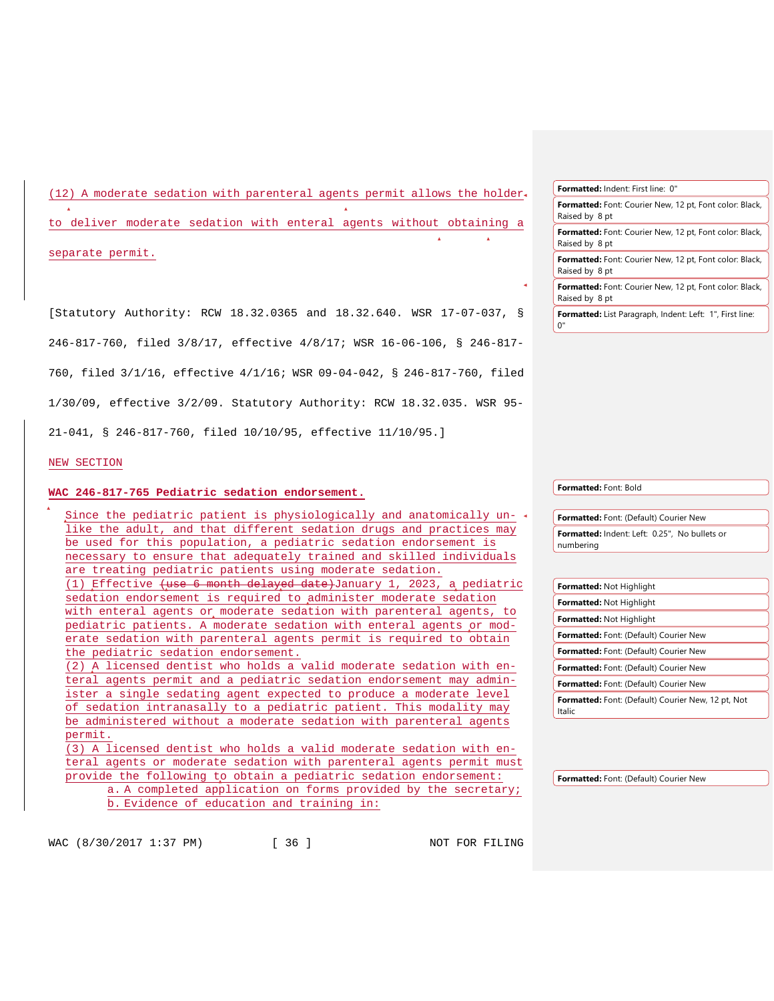(12) A moderate sedation with parenteral agents permit allows the holder

to deliver moderate sedation with enteral agents without obtaining a

separate permit.

[Statutory Authority: RCW 18.32.0365 and 18.32.640. WSR 17-07-037, § 246-817-760, filed 3/8/17, effective 4/8/17; WSR 16-06-106, § 246-817- 760, filed 3/1/16, effective 4/1/16; WSR 09-04-042, § 246-817-760, filed 1/30/09, effective 3/2/09. Statutory Authority: RCW 18.32.035. WSR 95- 21-041, § 246-817-760, filed 10/10/95, effective 11/10/95.]

NEW SECTION

#### **WAC 246-817-765 Pediatric sedation endorsement.**

Since the pediatric patient is physiologically and anatomically un- $\triangleleft$ like the adult, and that different sedation drugs and practices may be used for this population, a pediatric sedation endorsement is necessary to ensure that adequately trained and skilled individuals are treating pediatric patients using moderate sedation. (1) Effective (use 6 month delayed date)January 1, 2023, a pediatric sedation endorsement is required to administer moderate sedation with enteral agents or moderate sedation with parenteral agents, to pediatric patients. A moderate sedation with enteral agents or moderate sedation with parenteral agents permit is required to obtain the pediatric sedation endorsement. (2) A licensed dentist who holds a valid moderate sedation with en-

teral agents permit and a pediatric sedation endorsement may administer a single sedating agent expected to produce a moderate level of sedation intranasally to a pediatric patient. This modality may be administered without a moderate sedation with parenteral agents permit.

(3) A licensed dentist who holds a valid moderate sedation with enteral agents or moderate sedation with parenteral agents permit must provide the following to obtain a pediatric sedation endorsement: a. A completed application on forms provided by the secretary;

b. Evidence of education and training in:

**Formatted:** Font: Bold

0"

**Formatted:** Font: (Default) Courier New **Formatted:** Indent: Left: 0.25", No bullets or numbering

**Formatted:** Not Highlight **Formatted:** Not Highlight **Formatted:** Not Highlight **Formatted:** Font: (Default) Courier New **Formatted:** Font: (Default) Courier New **Formatted:** Font: (Default) Courier New **Formatted:** Font: (Default) Courier New **Formatted:** Font: (Default) Courier New, 12 pt, Not Italic

**Formatted:** Font: (Default) Courier New

WAC (8/30/2017 1:37 PM) [ 36 ] NOT FOR FILING

**Formatted:** Font: Courier New, 12 pt, Font color: Black, Raised by 8 pt **Formatted:** Font: Courier New, 12 pt, Font color: Black, Raised by 8 pt **Formatted:** Font: Courier New, 12 pt, Font color: Black, Raised by 8 pt **Formatted:** Font: Courier New, 12 pt, Font color: Black, Raised by 8 pt **Formatted:** List Paragraph, Indent: Left: 1", First line:

**Formatted:** Indent: First line: 0"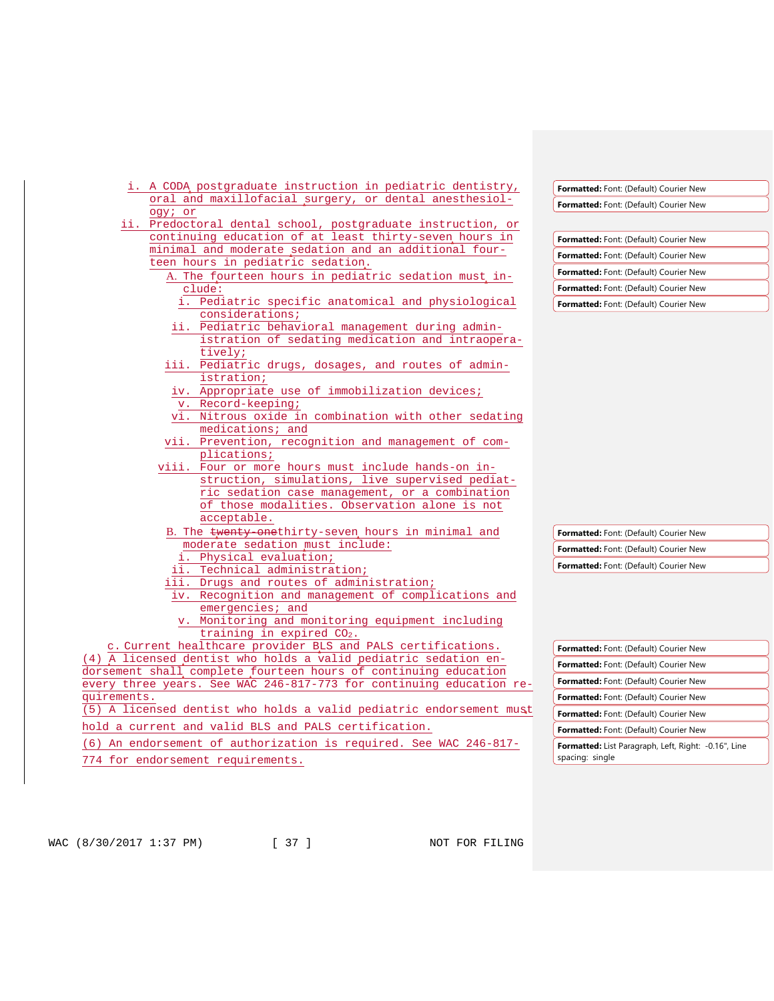| i. A CODA postgraduate instruction in pediatric dentistry,                                                      | Formatted: Font: (Default) Courier New                      |
|-----------------------------------------------------------------------------------------------------------------|-------------------------------------------------------------|
| oral and maxillofacial surgery, or dental anesthesiol-                                                          | <b>Formatted:</b> Font: (Default) Courier New               |
| ogy; or                                                                                                         |                                                             |
| ii. Predoctoral dental school, postgraduate instruction, or                                                     |                                                             |
| continuing education of at least thirty-seven hours in<br>minimal and moderate sedation and an additional four- | Formatted: Font: (Default) Courier New                      |
| teen hours in pediatric sedation.                                                                               | Formatted: Font: (Default) Courier New                      |
| A. The fourteen hours in pediatric sedation must in-                                                            | <b>Formatted:</b> Font: (Default) Courier New               |
| clude:                                                                                                          | Formatted: Font: (Default) Courier New                      |
| i. Pediatric specific anatomical and physiological                                                              | Formatted: Font: (Default) Courier New                      |
| considerations;                                                                                                 |                                                             |
| ii. Pediatric behavioral management during admin-                                                               |                                                             |
| istration of sedating medication and intraopera-                                                                |                                                             |
| tively;                                                                                                         |                                                             |
| iii. Pediatric drugs, dosages, and routes of admin-                                                             |                                                             |
| <i>istration;</i>                                                                                               |                                                             |
| iv. Appropriate use of immobilization devices;                                                                  |                                                             |
| v. Record-keeping;                                                                                              |                                                             |
| vi. Nitrous oxide in combination with other sedating                                                            |                                                             |
| medications; and                                                                                                |                                                             |
| vii. Prevention, recognition and management of com-                                                             |                                                             |
| plications;                                                                                                     |                                                             |
| viii. Four or more hours must include hands-on in-                                                              |                                                             |
| struction, simulations, live supervised pediat-                                                                 |                                                             |
| ric sedation case management, or a combination<br>of those modalities. Observation alone is not                 |                                                             |
| acceptable.                                                                                                     |                                                             |
| B. The twenty onethirty-seven hours in minimal and                                                              |                                                             |
| moderate sedation must include:                                                                                 | <b>Formatted:</b> Font: (Default) Courier New               |
| i. Physical evaluation;                                                                                         | <b>Formatted:</b> Font: (Default) Courier New               |
| ii. Technical administration;                                                                                   | <b>Formatted:</b> Font: (Default) Courier New               |
| iii. Drugs and routes of administration;                                                                        |                                                             |
| iv. Recognition and management of complications and                                                             |                                                             |
| emergencies; and                                                                                                |                                                             |
| v. Monitoring and monitoring equipment including                                                                |                                                             |
| training in expired $CO2$ .                                                                                     |                                                             |
| c. Current healthcare provider BLS and PALS certifications.                                                     | Formatted: Font: (Default) Courier New                      |
| (4) A licensed dentist who holds a valid pediatric sedation en-                                                 | <b>Formatted:</b> Font: (Default) Courier New               |
| dorsement shall complete fourteen hours of continuing education                                                 |                                                             |
| every three years. See WAC 246-817-773 for continuing education re-                                             | <b>Formatted:</b> Font: (Default) Courier New               |
| quirements.                                                                                                     | Formatted: Font: (Default) Courier New                      |
| (5) A licensed dentist who holds a valid pediatric endorsement must                                             | Formatted: Font: (Default) Courier New                      |
| hold a current and valid BLS and PALS certification.                                                            | <b>Formatted:</b> Font: (Default) Courier New               |
| (6) An endorsement of authorization is required. See WAC 246-817-                                               | <b>Formatted:</b> List Paragraph, Left, Right: -0.16", Line |
| 774 for endorsement requirements.                                                                               | spacing: single                                             |
|                                                                                                                 |                                                             |

WAC (8/30/2017 1:37 PM) [ 37 ] NOT FOR FILING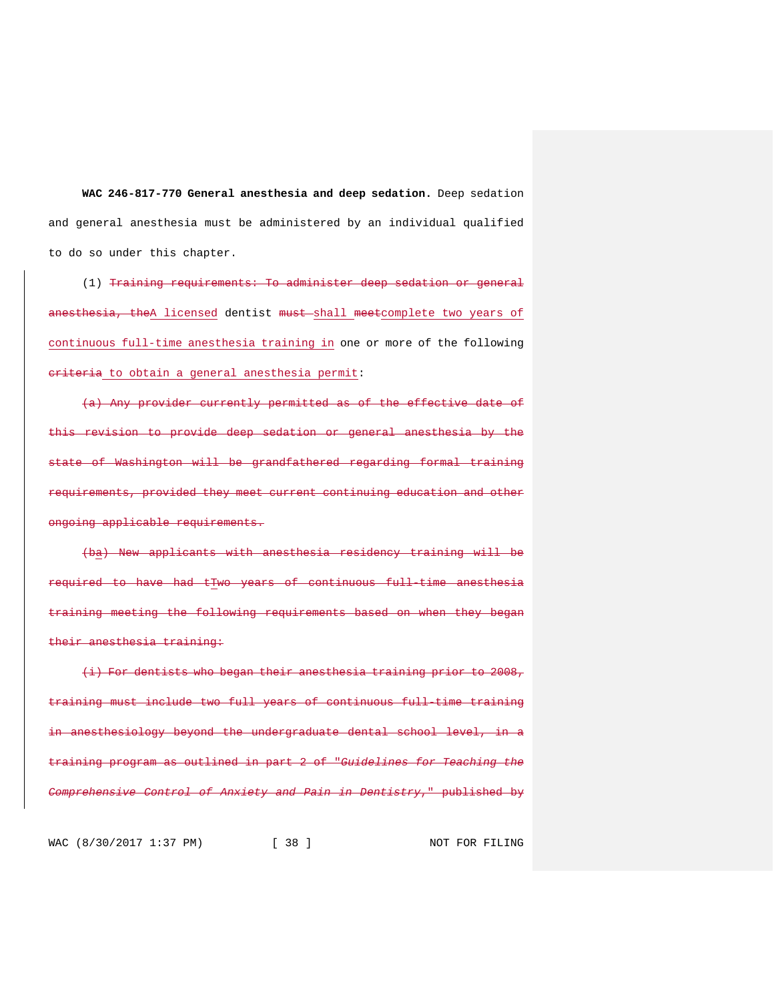**WAC 246-817-770 General anesthesia and deep sedation.** Deep sedation and general anesthesia must be administered by an individual qualified to do so under this chapter.

(1) Training requirements: To administer deep sedation or general anesthesia, theA licensed dentist must shall meetcomplete two years of continuous full-time anesthesia training in one or more of the following eriteria to obtain a general anesthesia permit:

(a) Any provider currently permitted as of the effective date of this revision to provide deep sedation or general anesthesia by the state of Washington will be grandfathered regarding formal training equirements, provided they meet current continuing education and other ongoing applicable requirements.

(ba) New applicants with anesthesia residency training will be to have had tTwo years of continuous full-time anesthesia training meeting the following requirements based on when they began their anesthesia training:

(i) For dentists who began their anesthesia training prior to 2008, must include two full years of continuous full time training anesthesiology beyond the undergraduate dental school level, in training program as outlined in part 2 of "*Guidelines for Teaching the Comprehensive Control of Anxiety and Pain in Dentistry*," published by

WAC (8/30/2017 1:37 PM) [ 38 ] NOT FOR FILING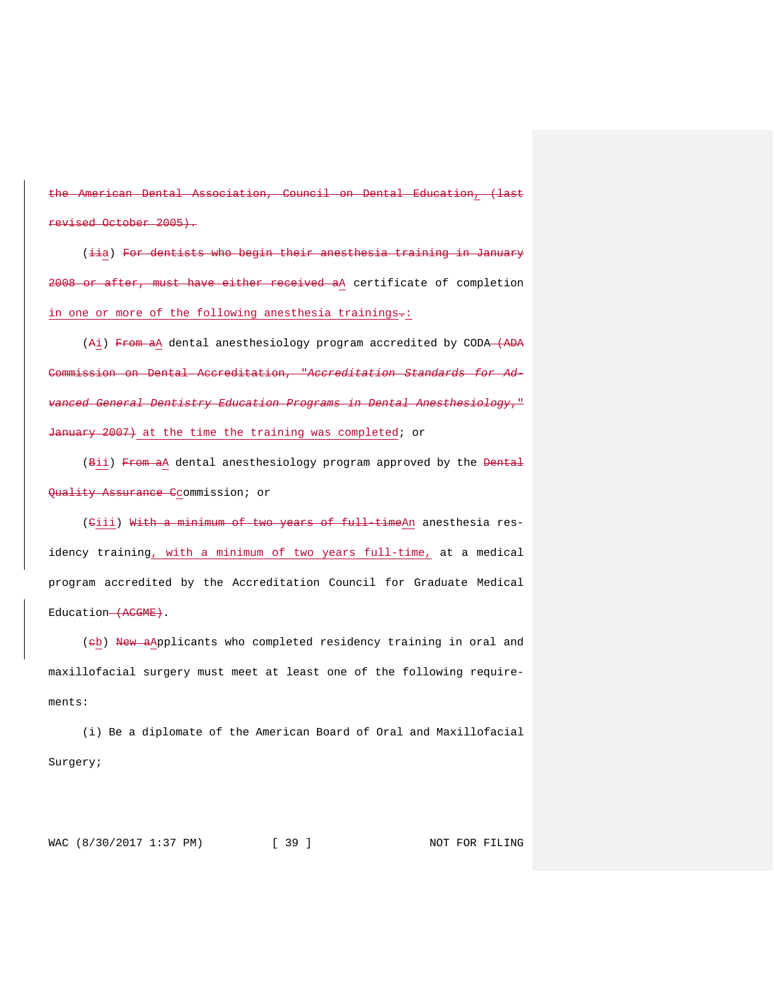American Dental Association, Council on Dental Education, (last revised October 2005).

(iia) For dentists who begin their anesthesia training in January 2008 or after, must have either received aA certificate of completion in one or more of the following anesthesia trainings-:

(Ai) From aA dental anesthesiology program accredited by CODA-(ADA Commission on Dental Accreditation, "*Accreditation Standards for Advanced General Dentistry Education Programs in Dental Anesthesiology*," January 2007) at the time the training was completed; or

(Bii) From aA dental anesthesiology program approved by the Bental Quality Assurance Ccommission; or

(Ciii) With a minimum of two years of full-timeAn anesthesia residency training, with a minimum of two years full-time, at a medical program accredited by the Accreditation Council for Graduate Medical Education-(ACGME).

(eb) New aApplicants who completed residency training in oral and maxillofacial surgery must meet at least one of the following requirements:

(i) Be a diplomate of the American Board of Oral and Maxillofacial Surgery;

WAC (8/30/2017 1:37 PM) [ 39 ] NOT FOR FILING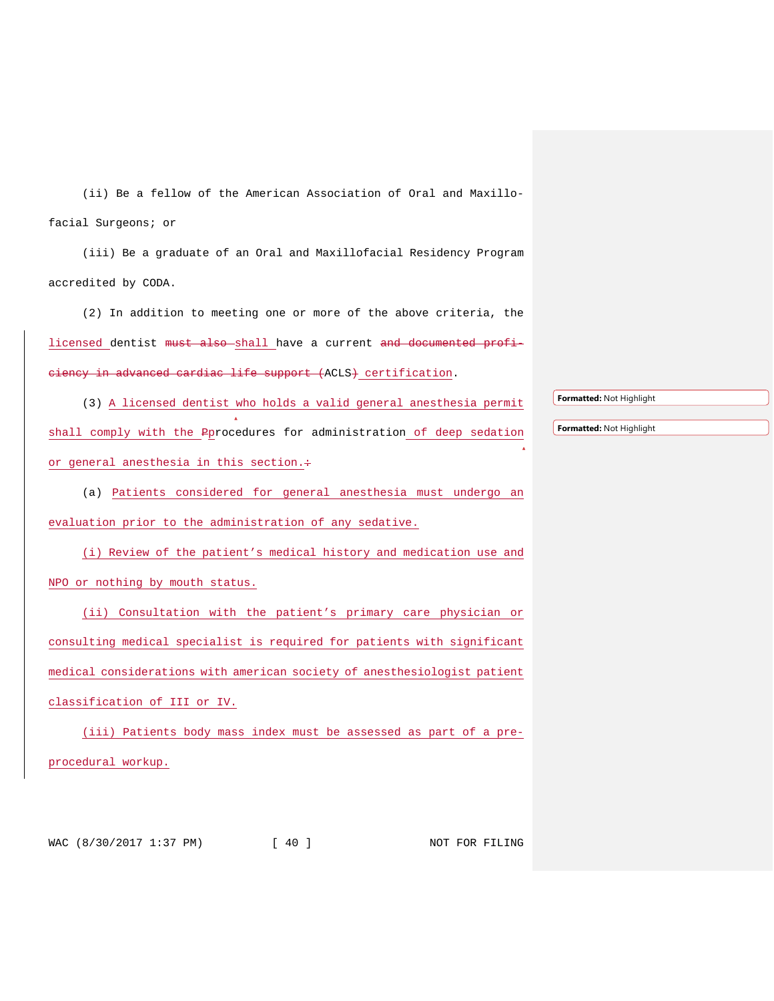(ii) Be a fellow of the American Association of Oral and Maxillofacial Surgeons; or

(iii) Be a graduate of an Oral and Maxillofacial Residency Program accredited by CODA.

(2) In addition to meeting one or more of the above criteria, the licensed dentist must also shall have a current and documented proficiency in advanced cardiac life support (ACLS) certification.

(3) A licensed dentist who holds a valid general anesthesia permit shall comply with the Pprocedures for administration of deep sedation or general anesthesia in this section. $\div$ 

(a) Patients considered for general anesthesia must undergo an evaluation prior to the administration of any sedative.

(i) Review of the patient's medical history and medication use and NPO or nothing by mouth status.

(ii) Consultation with the patient's primary care physician or consulting medical specialist is required for patients with significant medical considerations with american society of anesthesiologist patient classification of III or IV.

(iii) Patients body mass index must be assessed as part of a preprocedural workup.

WAC (8/30/2017 1:37 PM) [ 40 ] NOT FOR FILING

**Formatted:** Not Highlight

**Formatted:** Not Highlight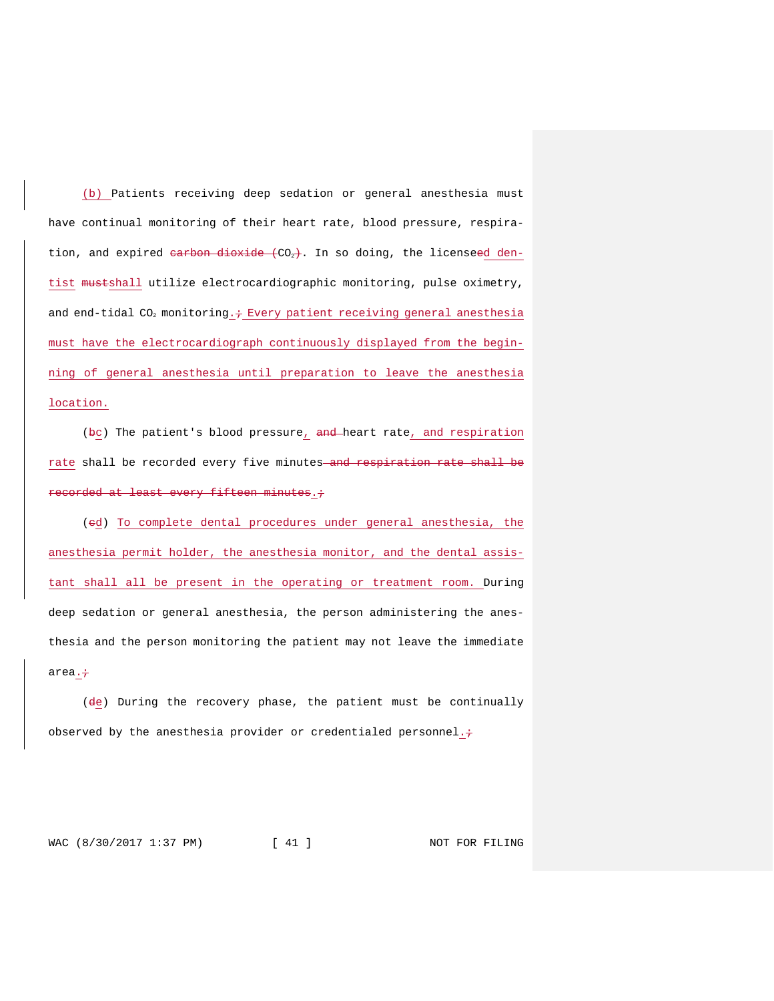(b) Patients receiving deep sedation or general anesthesia must have continual monitoring of their heart rate, blood pressure, respiration, and expired <del>carbon dioxide (</del>CO<sub>2</sub>). In so doing, the licenseed dentist mustshall utilize electrocardiographic monitoring, pulse oximetry, and end-tidal  $CO<sub>2</sub>$  monitoring.  $\div$  Every patient receiving general anesthesia must have the electrocardiograph continuously displayed from the beginning of general anesthesia until preparation to leave the anesthesia location.

(bc) The patient's blood pressure, and heart rate, and respiration rate shall be recorded every five minutes and respiration rate shall be recorded at least every fifteen minutes..

(ed) To complete dental procedures under general anesthesia, the anesthesia permit holder, the anesthesia monitor, and the dental assistant shall all be present in the operating or treatment room. During deep sedation or general anesthesia, the person administering the anesthesia and the person monitoring the patient may not leave the immediate area. $\div$ 

 $(d_{\frac{e}{c}})$  During the recovery phase, the patient must be continually observed by the anesthesia provider or credentialed personnel. $\div$ 

WAC (8/30/2017 1:37 PM) [ 41 ] NOT FOR FILING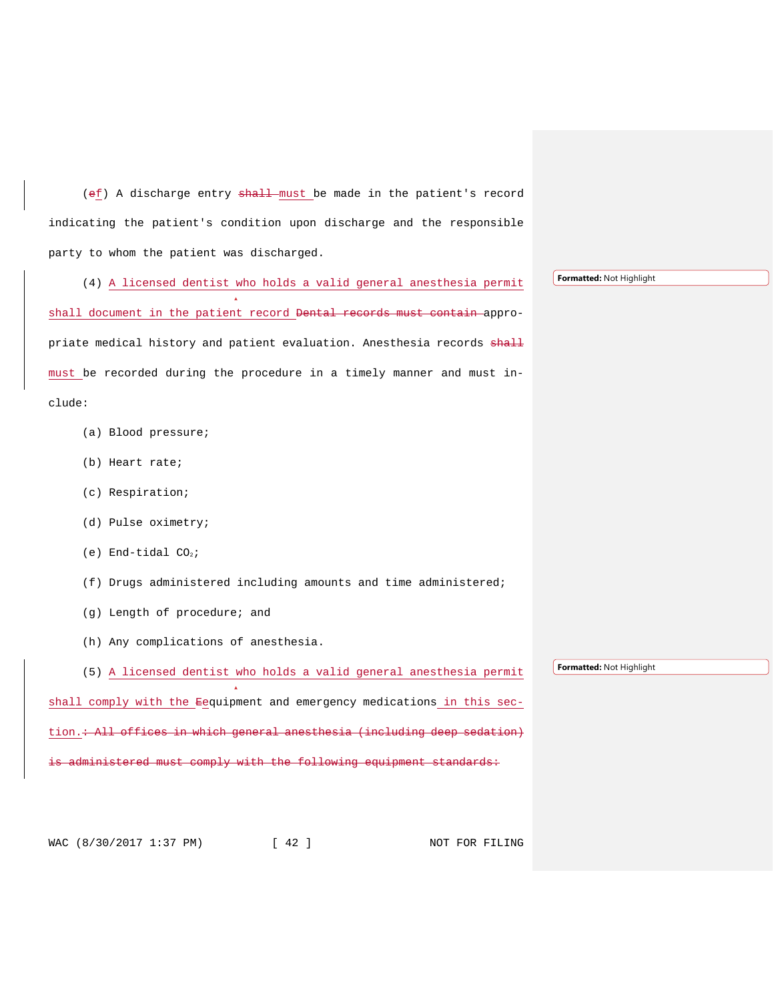(ef) A discharge entry shall must be made in the patient's record indicating the patient's condition upon discharge and the responsible party to whom the patient was discharged.

(4) A licensed dentist who holds a valid general anesthesia permit shall document in the patient record <del>Dental records must contain a</del>ppropriate medical history and patient evaluation. Anesthesia records  $\frac{1}{n+1}$ must be recorded during the procedure in a timely manner and must include:

- (a) Blood pressure;
- (b) Heart rate;
- (c) Respiration;
- (d) Pulse oximetry;
- (e) End-tidal  $CO<sub>2</sub>$ ;
- (f) Drugs administered including amounts and time administered;
- (g) Length of procedure; and
- (h) Any complications of anesthesia.

(5) A licensed dentist who holds a valid general anesthesia permit shall comply with the Eequipment and emergency medications in this section.<del>: All offices in which general anesthesia (including deep sedation)</del>  ${\tt dministered}$  must comply with the following equipment standards:

WAC (8/30/2017 1:37 PM) [ 42 ] NOT FOR FILING

**Formatted:** Not Highlight

**Formatted:** Not Highlight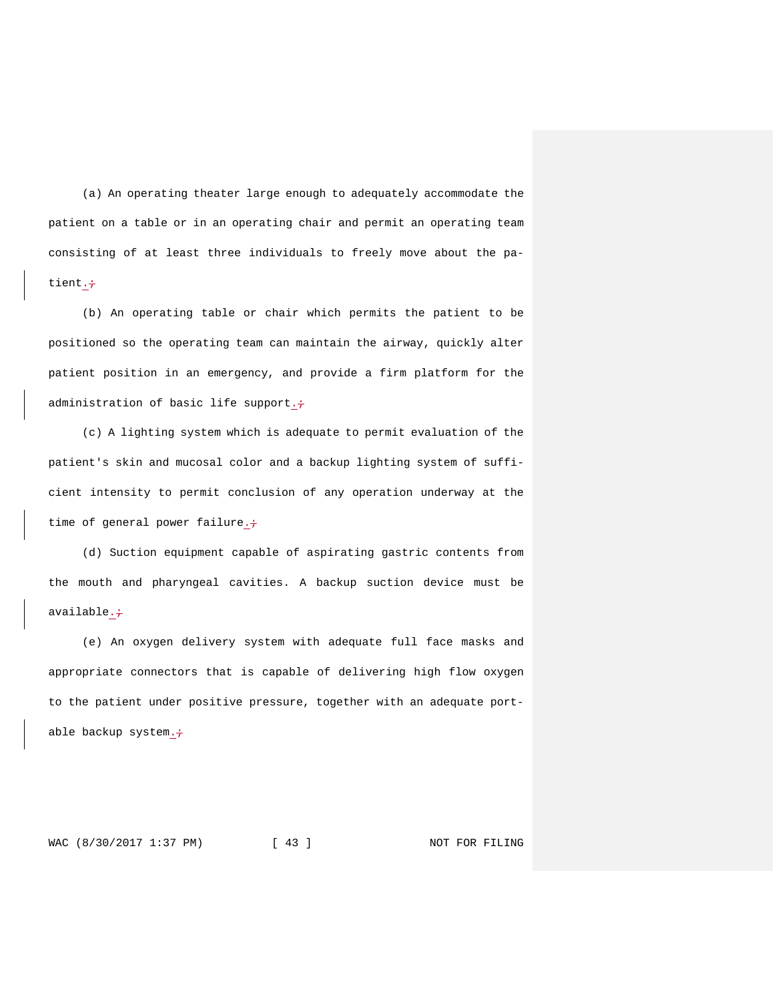(a) An operating theater large enough to adequately accommodate the patient on a table or in an operating chair and permit an operating team consisting of at least three individuals to freely move about the patient.÷

(b) An operating table or chair which permits the patient to be positioned so the operating team can maintain the airway, quickly alter patient position in an emergency, and provide a firm platform for the administration of basic life support. $\div$ 

(c) A lighting system which is adequate to permit evaluation of the patient's skin and mucosal color and a backup lighting system of sufficient intensity to permit conclusion of any operation underway at the time of general power failure. $\div$ 

(d) Suction equipment capable of aspirating gastric contents from the mouth and pharyngeal cavities. A backup suction device must be available. $\div$ 

(e) An oxygen delivery system with adequate full face masks and appropriate connectors that is capable of delivering high flow oxygen to the patient under positive pressure, together with an adequate portable backup system. $\div$ 

WAC (8/30/2017 1:37 PM) [ 43 ] NOT FOR FILING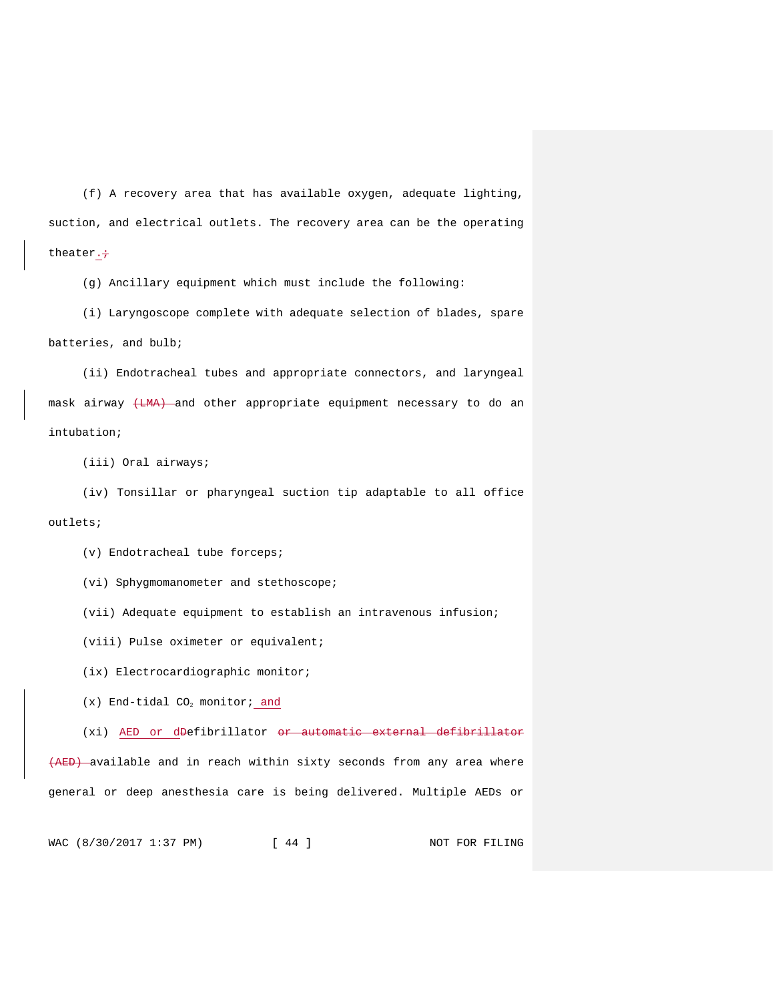(f) A recovery area that has available oxygen, adequate lighting, suction, and electrical outlets. The recovery area can be the operating theater. $\div$ 

(g) Ancillary equipment which must include the following:

(i) Laryngoscope complete with adequate selection of blades, spare batteries, and bulb;

(ii) Endotracheal tubes and appropriate connectors, and laryngeal mask airway (LMA) and other appropriate equipment necessary to do an intubation;

(iii) Oral airways;

(iv) Tonsillar or pharyngeal suction tip adaptable to all office outlets;

(v) Endotracheal tube forceps;

(vi) Sphygmomanometer and stethoscope;

(vii) Adequate equipment to establish an intravenous infusion;

(viii) Pulse oximeter or equivalent;

(ix) Electrocardiographic monitor;

 $(x)$  End-tidal CO<sub>2</sub> monitor; and

(xi) AED or d<del>D</del>efibrillator <del>or automatic external defibrillator</del> (AED) available and in reach within sixty seconds from any area where

general or deep anesthesia care is being delivered. Multiple AEDs or

WAC (8/30/2017 1:37 PM) [ 44 ] NOT FOR FILING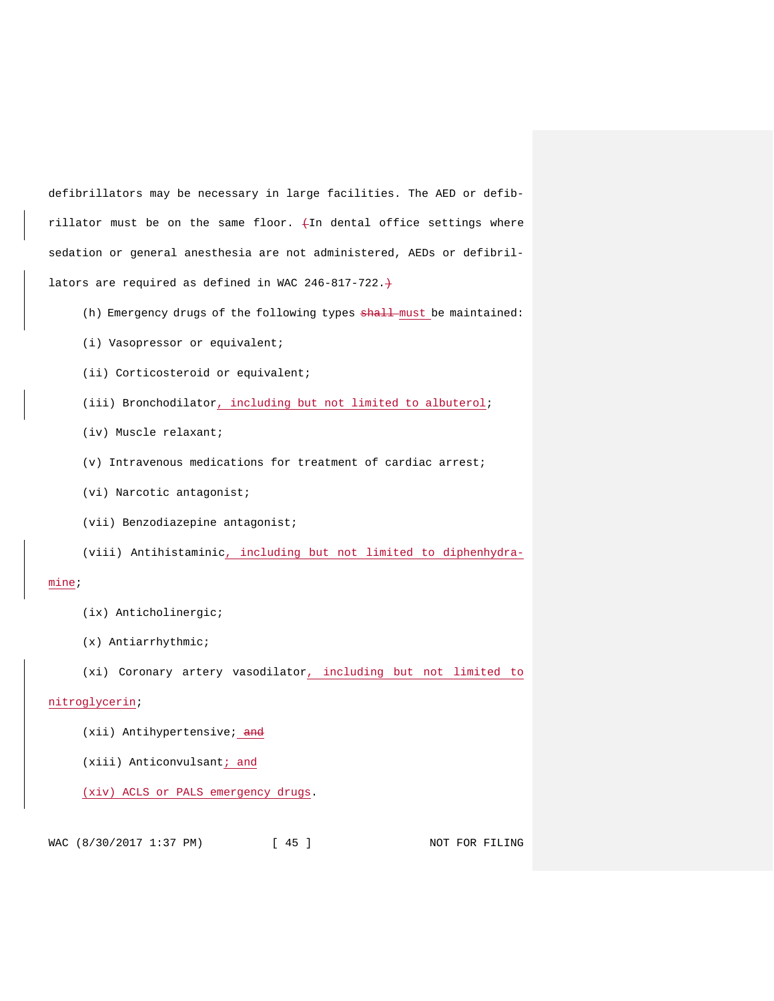defibrillators may be necessary in large facilities. The AED or defibrillator must be on the same floor.  $+$ In dental office settings where sedation or general anesthesia are not administered, AEDs or defibrillators are required as defined in WAC 246-817-722. $+$ 

- (h) Emergency drugs of the following types shall must be maintained:
- (i) Vasopressor or equivalent;
- (ii) Corticosteroid or equivalent;
- (iii) Bronchodilator, including but not limited to albuterol;
- (iv) Muscle relaxant;
- (v) Intravenous medications for treatment of cardiac arrest;
- (vi) Narcotic antagonist;
- (vii) Benzodiazepine antagonist;
- (viii) Antihistaminic, including but not limited to diphenhydra-

#### mine;

- (ix) Anticholinergic;
- (x) Antiarrhythmic;
- (xi) Coronary artery vasodilator, including but not limited to

### nitroglycerin;

- (xii) Antihypertensive; and
- (xiii) Anticonvulsant; and

### (xiv) ACLS or PALS emergency drugs.

WAC (8/30/2017 1:37 PM) [ 45 ] NOT FOR FILING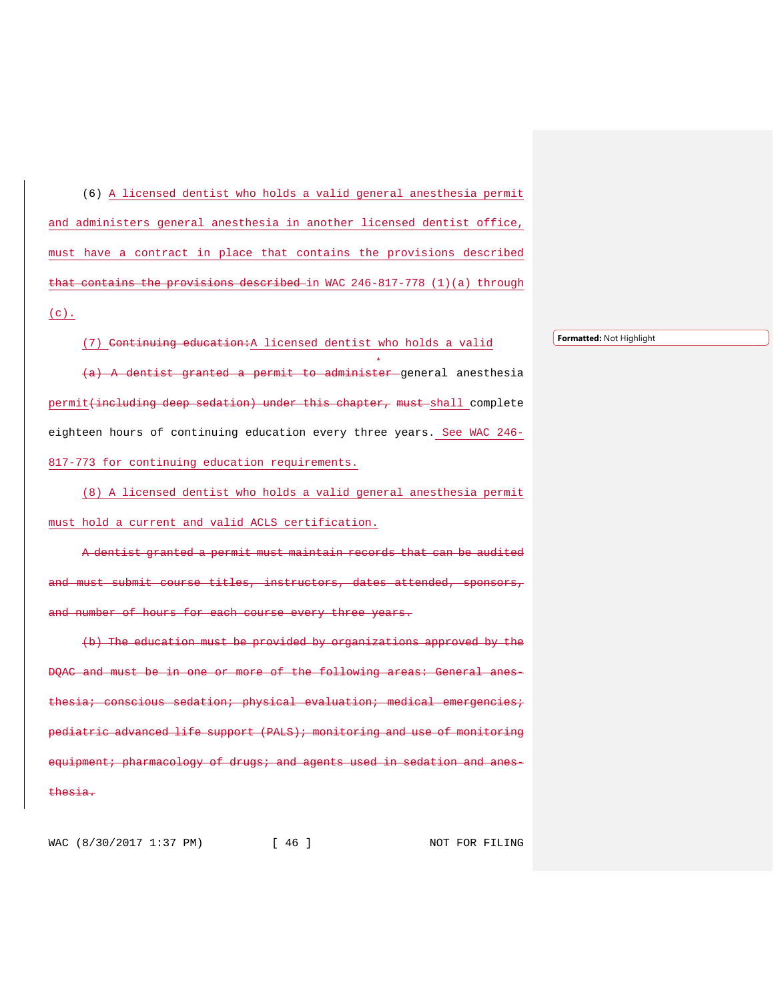(6) A licensed dentist who holds a valid general anesthesia permit and administers general anesthesia in another licensed dentist office, must have a contract in place that contains the provisions described that contains the provisions described in WAC 246-817-778 (1)(a) through  $(c)$ .

(7) Continuing education:A licensed dentist who holds a valid (a) A dentist granted a permit to administer general anesthesia permit<del>(including deep sedation) under this chapter, must</del>-shall complete eighteen hours of continuing education every three years. See WAC 246- 817-773 for continuing education requirements.

(8) A licensed dentist who holds a valid general anesthesia permit must hold a current and valid ACLS certification.

A dentist granted a permit must maintain records that can be audited submit course titles, instructors, dates attended, sponsors, nd number of hours for each course every three years.

(b) The education must be provided by organizations approved by the DQAC and must be in one or more of the following areas: General anesconscious sedation; physical evaluation; medical pediatric advanced life support (PALS); monitoring and use of monitoring equipment; pharmacology of drugs; and agents used in sedation and anesthesia.

WAC (8/30/2017 1:37 PM) [ 46 ] NOT FOR FILING

**Formatted:** Not Highlight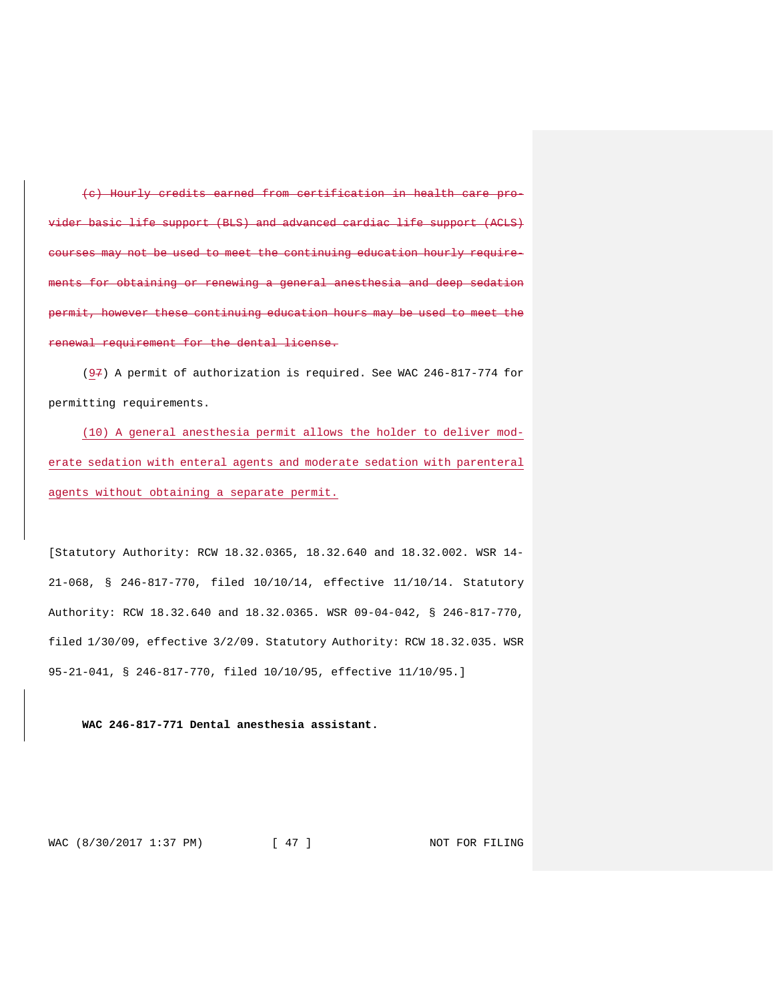(c) Hourly credits earned from certification in health care provider basic life support (BLS) and advanced cardiac life support (ACLS) courses may not be used to meet the continuing education hourly requireents for obtaining or renewing a general anesthesia and deep sedation permit, however these continuing education hours may be used to meet the renewal requirement for the dental license.

(97) A permit of authorization is required. See WAC 246-817-774 for permitting requirements.

(10) A general anesthesia permit allows the holder to deliver moderate sedation with enteral agents and moderate sedation with parenteral agents without obtaining a separate permit.

[Statutory Authority: RCW 18.32.0365, 18.32.640 and 18.32.002. WSR 14- 21-068, § 246-817-770, filed 10/10/14, effective 11/10/14. Statutory Authority: RCW 18.32.640 and 18.32.0365. WSR 09-04-042, § 246-817-770, filed 1/30/09, effective 3/2/09. Statutory Authority: RCW 18.32.035. WSR 95-21-041, § 246-817-770, filed 10/10/95, effective 11/10/95.]

**WAC 246-817-771 Dental anesthesia assistant.**

WAC (8/30/2017 1:37 PM) [ 47 ] NOT FOR FILING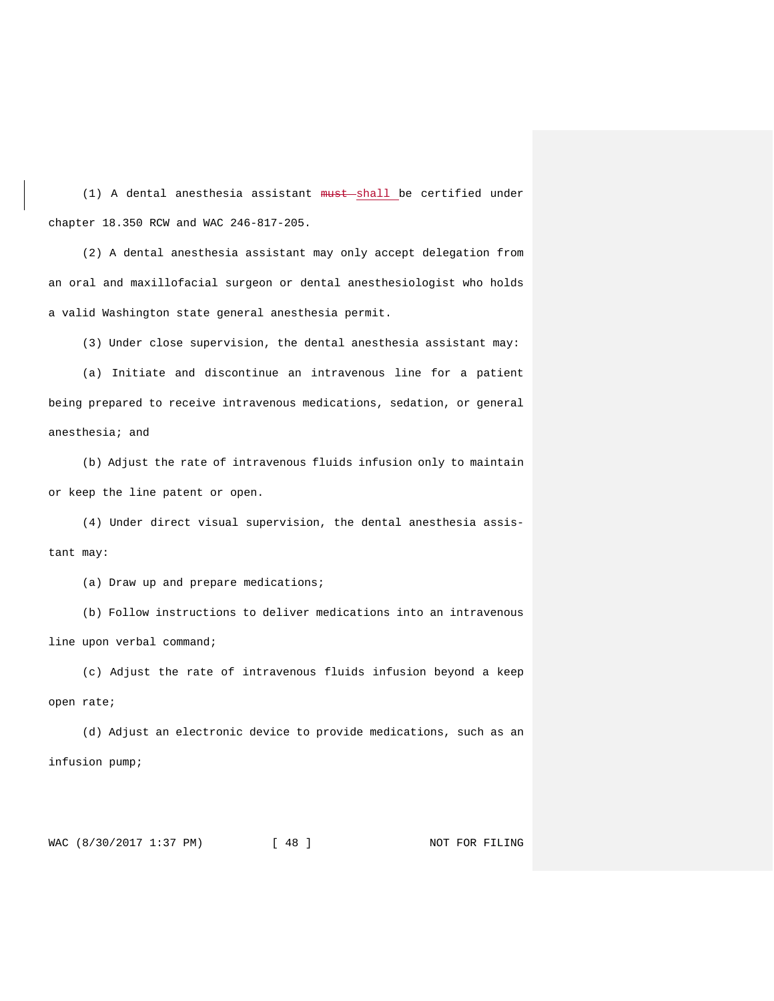$(1)$  A dental anesthesia assistant  $must$ -shall be certified under chapter 18.350 RCW and WAC 246-817-205.

(2) A dental anesthesia assistant may only accept delegation from an oral and maxillofacial surgeon or dental anesthesiologist who holds a valid Washington state general anesthesia permit.

(3) Under close supervision, the dental anesthesia assistant may:

(a) Initiate and discontinue an intravenous line for a patient being prepared to receive intravenous medications, sedation, or general anesthesia; and

(b) Adjust the rate of intravenous fluids infusion only to maintain or keep the line patent or open.

(4) Under direct visual supervision, the dental anesthesia assistant may:

(a) Draw up and prepare medications;

(b) Follow instructions to deliver medications into an intravenous line upon verbal command;

(c) Adjust the rate of intravenous fluids infusion beyond a keep open rate;

(d) Adjust an electronic device to provide medications, such as an infusion pump;

WAC (8/30/2017 1:37 PM) [ 48 ] NOT FOR FILING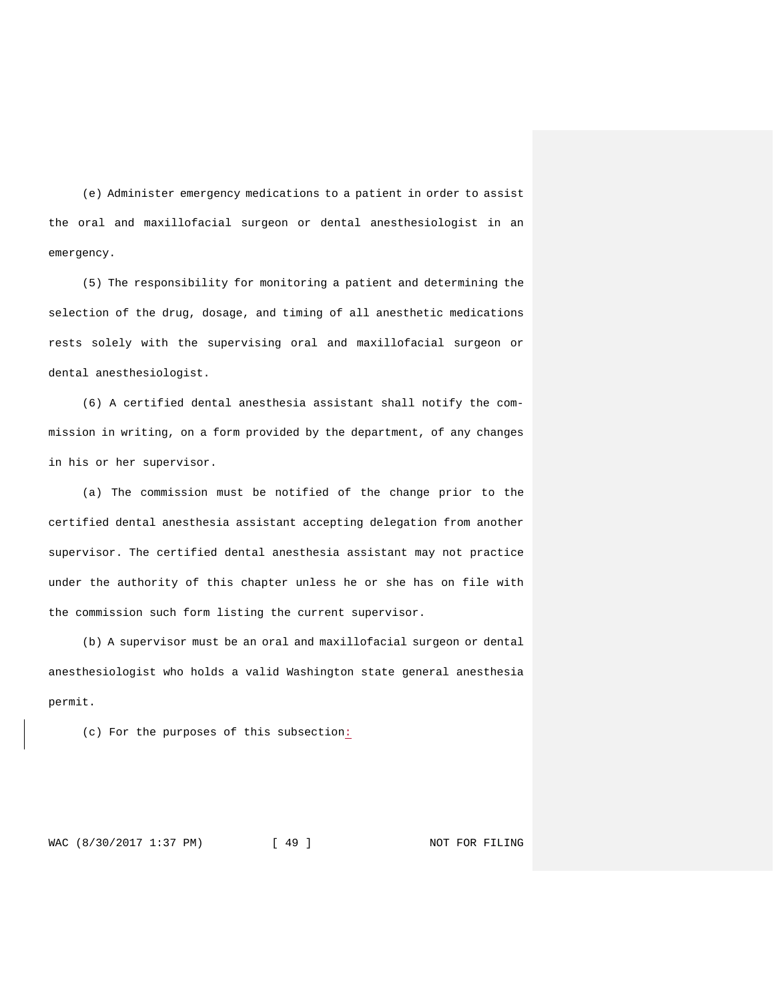(e) Administer emergency medications to a patient in order to assist the oral and maxillofacial surgeon or dental anesthesiologist in an emergency.

(5) The responsibility for monitoring a patient and determining the selection of the drug, dosage, and timing of all anesthetic medications rests solely with the supervising oral and maxillofacial surgeon or dental anesthesiologist.

(6) A certified dental anesthesia assistant shall notify the commission in writing, on a form provided by the department, of any changes in his or her supervisor.

(a) The commission must be notified of the change prior to the certified dental anesthesia assistant accepting delegation from another supervisor. The certified dental anesthesia assistant may not practice under the authority of this chapter unless he or she has on file with the commission such form listing the current supervisor.

(b) A supervisor must be an oral and maxillofacial surgeon or dental anesthesiologist who holds a valid Washington state general anesthesia permit.

(c) For the purposes of this subsection:

WAC (8/30/2017 1:37 PM) [ 49 ] NOT FOR FILING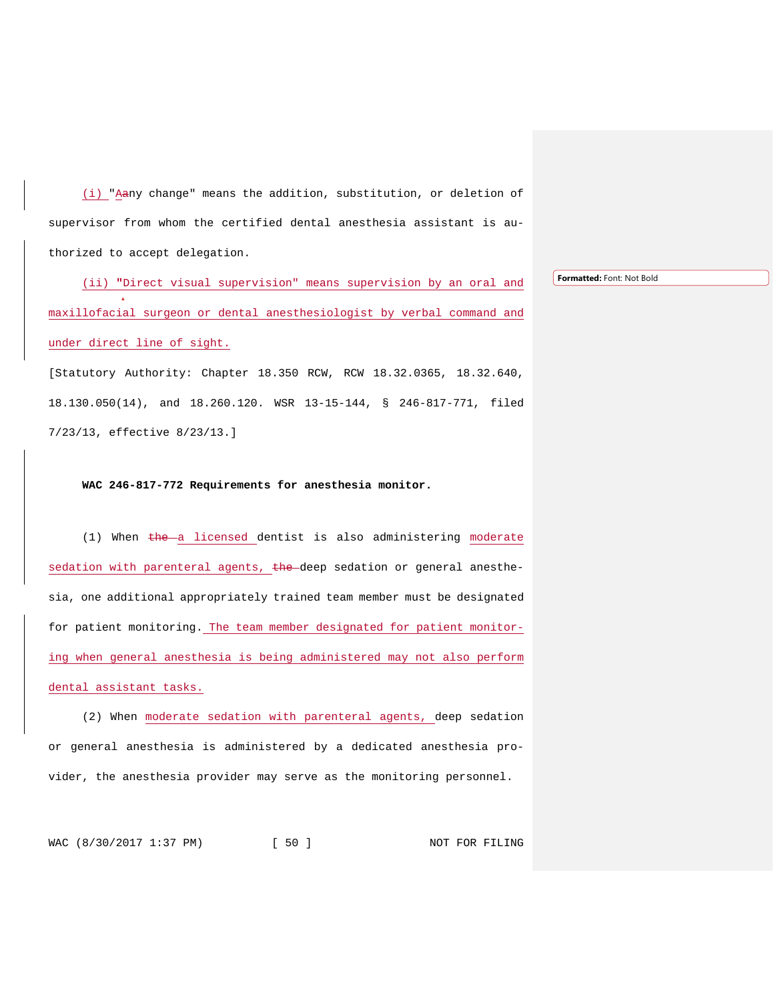(i) "Aany change" means the addition, substitution, or deletion of supervisor from whom the certified dental anesthesia assistant is authorized to accept delegation.

(ii) **"**Direct visual supervision" means supervision by an oral and maxillofacial surgeon or dental anesthesiologist by verbal command and under direct line of sight.

[Statutory Authority: Chapter 18.350 RCW, RCW 18.32.0365, 18.32.640, 18.130.050(14), and 18.260.120. WSR 13-15-144, § 246-817-771, filed 7/23/13, effective 8/23/13.]

# **WAC 246-817-772 Requirements for anesthesia monitor.**

(1) When  $t$ he a licensed dentist is also administering moderate sedation with parenteral agents, the deep sedation or general anesthesia, one additional appropriately trained team member must be designated for patient monitoring. The team member designated for patient monitoring when general anesthesia is being administered may not also perform dental assistant tasks.

(2) When moderate sedation with parenteral agents, deep sedation or general anesthesia is administered by a dedicated anesthesia provider, the anesthesia provider may serve as the monitoring personnel.

WAC (8/30/2017 1:37 PM) [ 50 ] NOT FOR FILING

**Formatted:** Font: Not Bold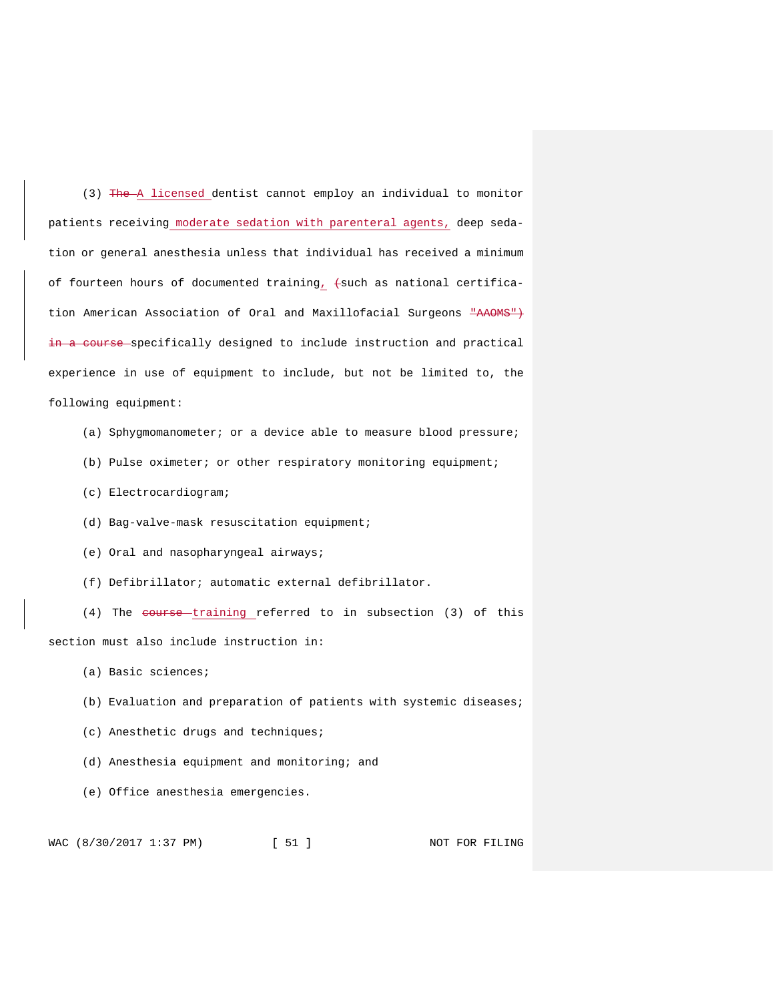(3) The A licensed dentist cannot employ an individual to monitor patients receiving moderate sedation with parenteral agents, deep sedation or general anesthesia unless that individual has received a minimum of fourteen hours of documented training,  $+$ such as national certification American Association of Oral and Maxillofacial Surgeons "AAOMS") in a course specifically designed to include instruction and practical experience in use of equipment to include, but not be limited to, the following equipment:

- (a) Sphygmomanometer; or a device able to measure blood pressure;
- (b) Pulse oximeter; or other respiratory monitoring equipment;
- (c) Electrocardiogram;
- (d) Bag-valve-mask resuscitation equipment;
- (e) Oral and nasopharyngeal airways;
- (f) Defibrillator; automatic external defibrillator.

(4) The course training referred to in subsection (3) of this section must also include instruction in:

- (a) Basic sciences;
- (b) Evaluation and preparation of patients with systemic diseases;
- (c) Anesthetic drugs and techniques;
- (d) Anesthesia equipment and monitoring; and
- (e) Office anesthesia emergencies.

WAC (8/30/2017 1:37 PM) [ 51 ] NOT FOR FILING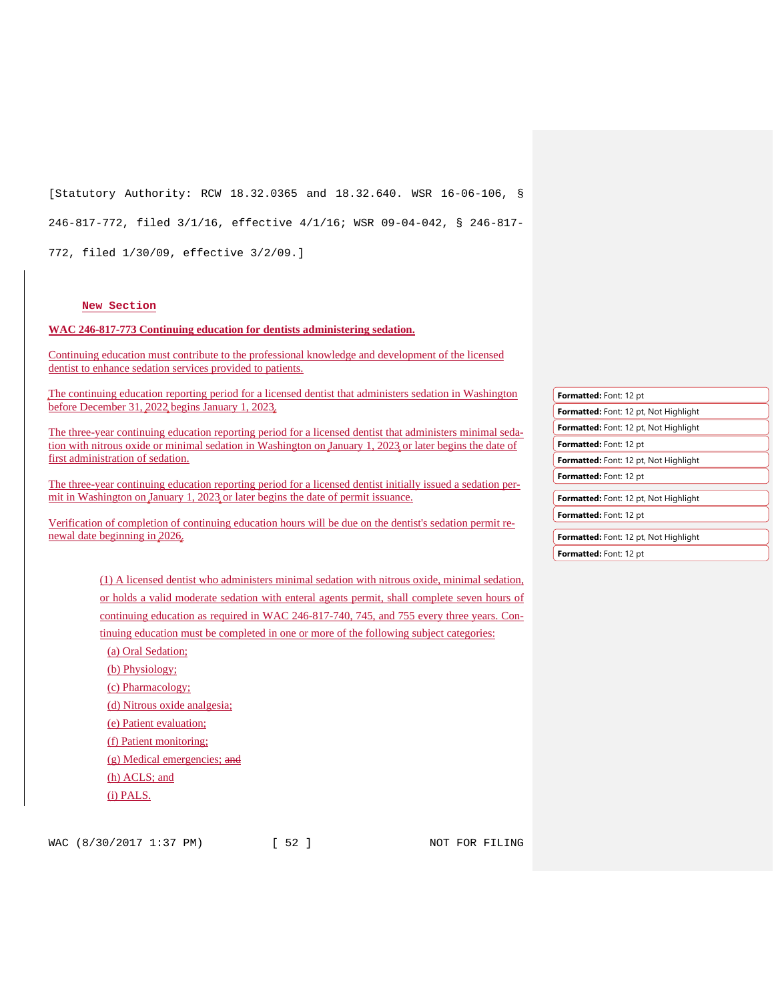[Statutory Authority: RCW 18.32.0365 and 18.32.640. WSR 16-06-106, § 246-817-772, filed 3/1/16, effective 4/1/16; WSR 09-04-042, § 246-817- 772, filed 1/30/09, effective 3/2/09.]

#### **New Section**

**WAC 246-817-773 Continuing education for dentists administering sedation.** 

Continuing education must contribute to the professional knowledge and development of the licensed dentist to enhance sedation services provided to patients.

The continuing education reporting period for a licensed dentist that administers sedation in Washington before December 31, 2022 begins January 1, 2023.

The three-year continuing education reporting period for a licensed dentist that administers minimal sedation with nitrous oxide or minimal sedation in Washington on January 1, 2023 or later begins the date of first administration of sedation.

The three-year continuing education reporting period for a licensed dentist initially issued a sedation permit in Washington on January 1, 2023 or later begins the date of permit issuance.

Verification of completion of continuing education hours will be due on the dentist's sedation permit renewal date beginning in 2026.

| <b>Formatted: Font: 12 pt</b>                |
|----------------------------------------------|
| <b>Formatted:</b> Font: 12 pt, Not Highlight |
| Formatted: Font: 12 pt, Not Highlight        |
| <b>Formatted:</b> Font: 12 pt                |
| <b>Formatted:</b> Font: 12 pt, Not Highlight |
| Formatted: Font: 12 pt                       |
| <b>Formatted:</b> Font: 12 pt, Not Highlight |
| Formatted: Font: 12 pt                       |
| <b>Formatted:</b> Font: 12 pt, Not Highlight |
| Formatted: Font: 12 pt                       |
|                                              |

(1) A licensed dentist who administers minimal sedation with nitrous oxide, minimal sedation, or holds a valid moderate sedation with enteral agents permit, shall complete seven hours of continuing education as required in WAC 246-817-740, 745, and 755 every three years. Continuing education must be completed in one or more of the following subject categories:

(a) Oral Sedation;

(b) Physiology;

(c) Pharmacology;

(d) Nitrous oxide analgesia;

(e) Patient evaluation;

(f) Patient monitoring;

(g) Medical emergencies; and

(h) ACLS; and

(i) PALS.

WAC (8/30/2017 1:37 PM) [ 52 ] NOT FOR FILING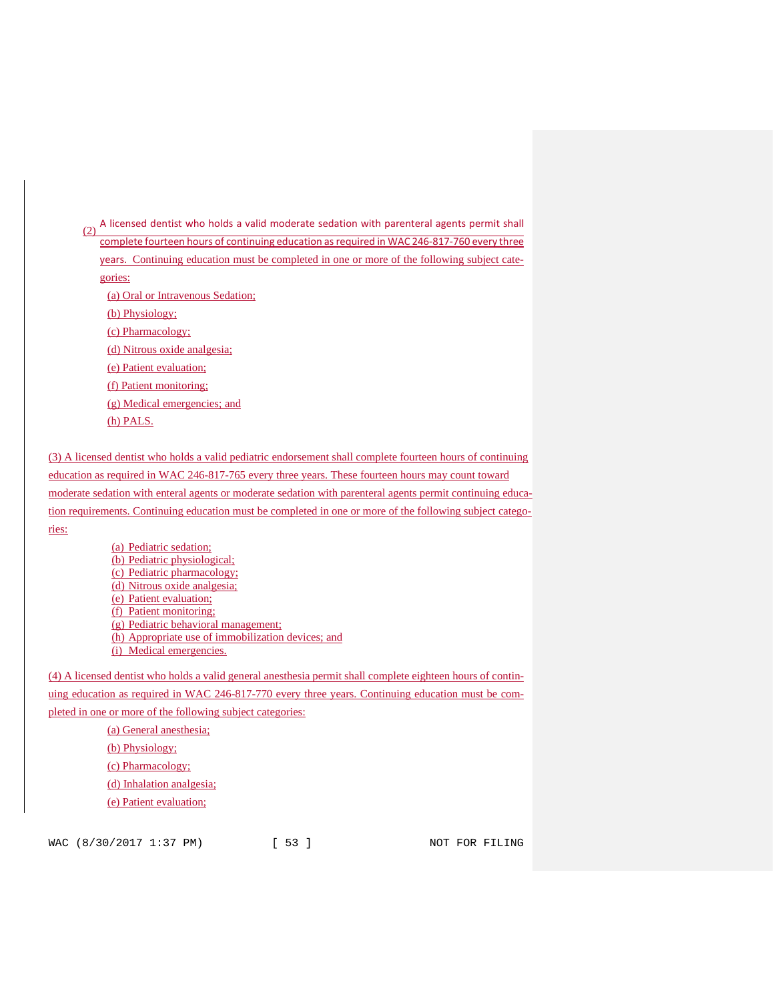$(2)$  A licensed dentist who holds a valid moderate sedation with parenteral agents permit shall complete fourteen hours of continuing education as required in WAC 246-817-760 every three years. Continuing education must be completed in one or more of the following subject categories: (a) Oral or Intravenous Sedation; (b) Physiology; (c) Pharmacology; (d) Nitrous oxide analgesia; (e) Patient evaluation; (f) Patient monitoring; (g) Medical emergencies; and (h) PALS. (3) A licensed dentist who holds a valid pediatric endorsement shall complete fourteen hours of continuing (a) Pediatric sedation; (b) Pediatric physiological; (c) Pediatric pharmacology; (d) Nitrous oxide analgesia;

education as required in WAC 246-817-765 every three years. These fourteen hours may count toward moderate sedation with enteral agents or moderate sedation with parenteral agents permit continuing education requirements. Continuing education must be completed in one or more of the following subject categories:

> (e) Patient evaluation; (f) Patient monitoring; (g) Pediatric behavioral management; (h) Appropriate use of immobilization devices; and (i) Medical emergencies.

(4) A licensed dentist who holds a valid general anesthesia permit shall complete eighteen hours of continuing education as required in WAC 246-817-770 every three years. Continuing education must be completed in one or more of the following subject categories:

> (a) General anesthesia; (b) Physiology; (c) Pharmacology; (d) Inhalation analgesia;

(e) Patient evaluation;

WAC (8/30/2017 1:37 PM) [ 53 ] NOT FOR FILING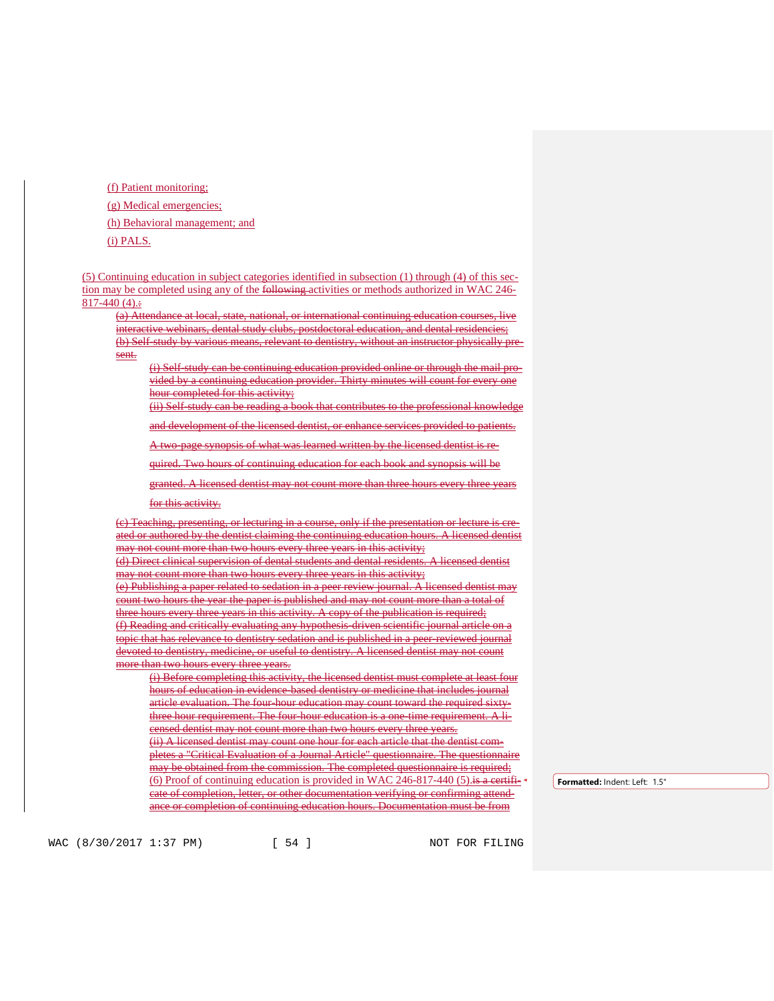(f) Patient monitoring; (g) Medical emergencies; (h) Behavioral management; and (i) PALS.

(5) Continuing education in subject categories identified in subsection (1) through (4) of this section may be completed using any of the following activities or methods authorized in WAC 246- $817-440(4)$ :

(a) Attendance at local, state, national, or international continuing education courses, live interactive webinars, dental study clubs, postdoctoral education, and dental residencies; (b) Self-study by various means, relevant to dentistry, without an instructor physically present.

(i) Self-study can be continuing education provided online or through the mail provided by a continuing education provider. Thirty minutes will count for every one hour completed for this activity;

(ii) Self-study can be reading a book that contributes to the professional knowledge

and development of the licensed dentist, or enhance services provided to patients.

A two-page synopsis of what was learned written by the licensed dentist is re-

quired. Two hours of continuing education for each book and synopsis will be

granted. A licensed dentist may not count more than three hours every three years for this activity.

(c) Teaching, presenting, or lecturing in a course, only if the presentation or lecture is created or authored by the dentist claiming the continuing education hours. A licensed dentist may not count more than two hours every three years in this activity;

(d) Direct clinical supervision of dental students and dental residents. A licensed dentist may not count more than two hours every three years in this activity;

(e) Publishing a paper related to sedation in a peer review journal. A licensed dentist may count two hours the year the paper is published and may not count more than a total of three hours every three years in this activity. A copy of the publication is required; (f) Reading and critically evaluating any hypothesis-driven scientific journal article on a topic that has relevance to dentistry sedation and is published in a peer-reviewed journal devoted to dentistry, medicine, or useful to dentistry. A licensed dentist may not count more than two hours every three years.

(i) Before completing this activity, the licensed dentist must complete at least four hours of education in evidence-based dentistry or medicine that includes journal article evaluation. The four-hour education may count toward the required sixtythree hour requirement. The four-hour education is a one-time requirement. A licensed dentist may not count more than two hours every three years. (ii) A licensed dentist may count one hour for each article that the dentist completes a "Critical Evaluation of a Journal Article" questionnaire. The questionnaire may be obtained from the commission. The completed questionnaire is required; (6) Proof of continuing education is provided in WAC 246-817-440  $(5)$ . is a certificate of completion, letter, or other documentation verifying or confirming attendance or completion of continuing education hours. Documentation must be from

**Formatted:** Indent: Left: 1.5"

WAC (8/30/2017 1:37 PM) [ 54 ] NOT FOR FILING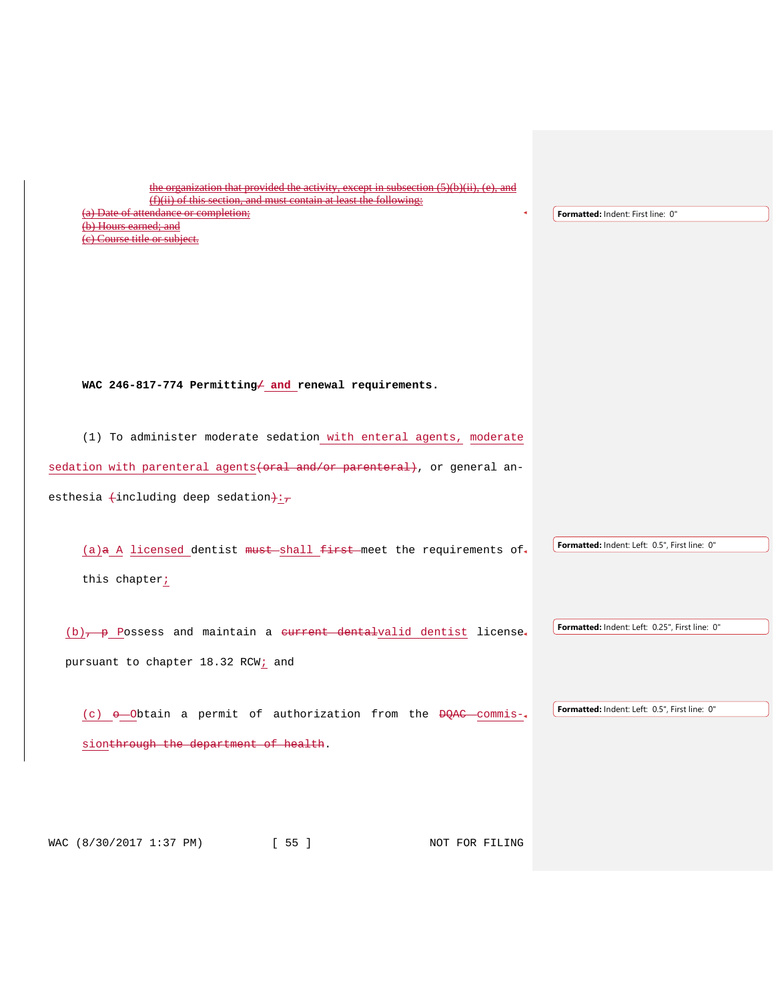| the organization that provided the activity, except in subsection (5)(b)(ii), (e), and<br>$(f)(ii)$ of this section, and must contain at least the following:<br>(a) Date of attendance or completion;<br>(b) Hours earned; and<br>(e) Course title or subject. | Formatted: Indent: First line: 0"              |
|-----------------------------------------------------------------------------------------------------------------------------------------------------------------------------------------------------------------------------------------------------------------|------------------------------------------------|
| WAC 246-817-774 Permitting and renewal requirements.                                                                                                                                                                                                            |                                                |
| (1) To administer moderate sedation with enteral agents, moderate<br>sedation with parenteral agents (oral and/or parenteral), or general an-<br>esthesia $\text{+including deep sedation}$ ;                                                                   |                                                |
| (a)a A licensed dentist must shall first meet the requirements of<br>this chapter;                                                                                                                                                                              | Formatted: Indent: Left: 0.5", First line: 0"  |
| $(b)$ , p Possess and maintain a current dentalvalid dentist license.<br>pursuant to chapter 18.32 RCW; and                                                                                                                                                     | Formatted: Indent: Left: 0.25", First line: 0" |
| (c) o-Obtain a permit of authorization from the DOAC commis-<br>sionthrough the department of health.                                                                                                                                                           | Formatted: Indent: Left: 0.5", First line: 0"  |
| WAC (8/30/2017 1:37 PM) [ 55 ]<br>NOT FOR FILING                                                                                                                                                                                                                |                                                |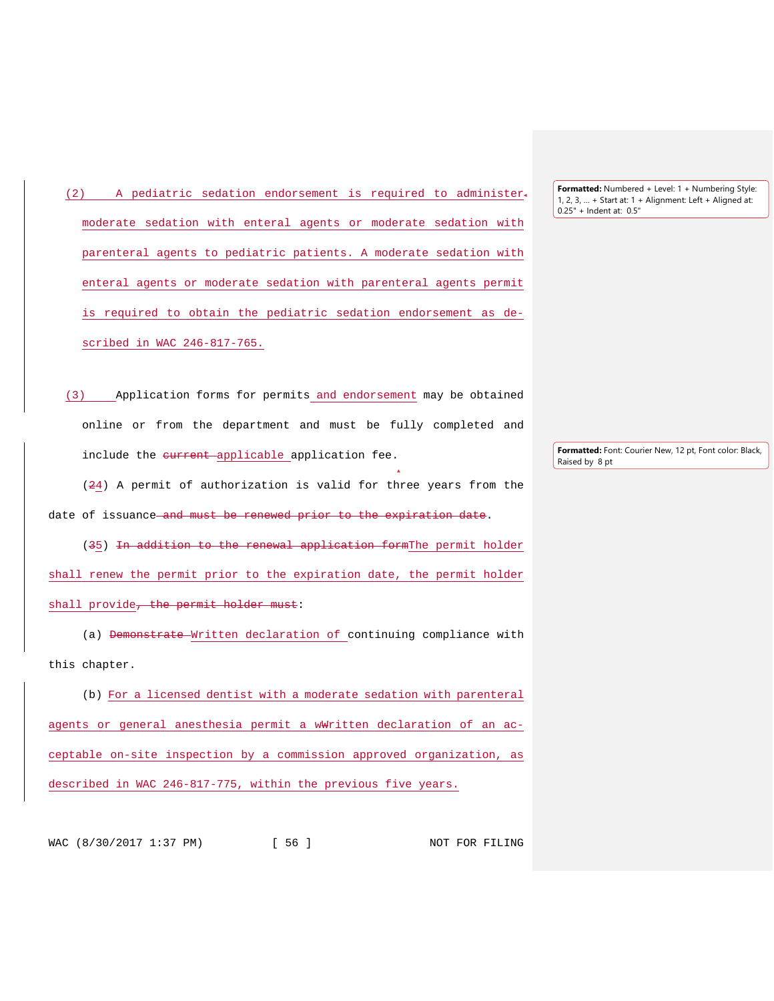(2) A pediatric sedation endorsement is required to administer moderate sedation with enteral agents or moderate sedation with parenteral agents to pediatric patients. A moderate sedation with enteral agents or moderate sedation with parenteral agents permit is required to obtain the pediatric sedation endorsement as described in WAC 246-817-765.

(3) Application forms for permits and endorsement may be obtained online or from the department and must be fully completed and include the eurrent applicable application fee.

(24) A permit of authorization is valid for three years from the date of issuance and must be renewed prior to the expiration date.

(35) In addition to the renewal application formThe permit holder shall renew the permit prior to the expiration date, the permit holder shall provide<del>, the permit holder must</del>:

(a) Demonstrate Written declaration of continuing compliance with this chapter.

(b) For a licensed dentist with a moderate sedation with parenteral agents or general anesthesia permit a w#ritten declaration of an acceptable on-site inspection by a commission approved organization, as described in WAC 246-817-775, within the previous five years.

**Formatted:** Numbered + Level: 1 + Numbering Style: 1, 2, 3, … + Start at: 1 + Alignment: Left + Aligned at: 0.25" + Indent at: 0.5"

**Formatted:** Font: Courier New, 12 pt, Font color: Black, Raised by 8 pt

WAC (8/30/2017 1:37 PM) [ 56 ] NOT FOR FILING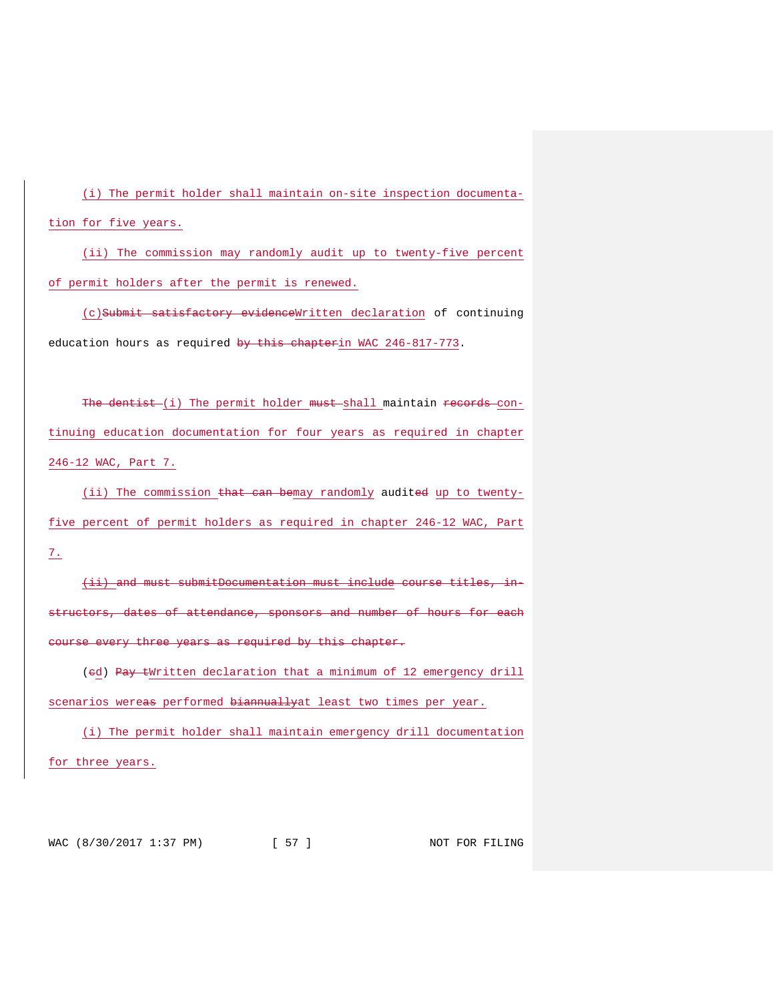(i) The permit holder shall maintain on-site inspection documentation for five years.

(ii) The commission may randomly audit up to twenty-five percent of permit holders after the permit is renewed.

(c)Submit satisfactory evidenceWritten declaration of continuing education hours as required by this chapterin WAC 246-817-773.

The dentist (i) The permit holder must shall maintain records continuing education documentation for four years as required in chapter 246-12 WAC, Part 7.

(ii) The commission that can bemay randomly audited up to twentyfive percent of permit holders as required in chapter 246-12 WAC, Part 7.

(ii) and must submitDocumentation must include course titles, instructors, dates of attendance, sponsors and number of hours for each course every three years as required by this chapter.

(ed) Pay tWritten declaration that a minimum of 12 emergency drill scenarios wereas performed biannuallyat least two times per year.

(i) The permit holder shall maintain emergency drill documentation for three years.

WAC (8/30/2017 1:37 PM) [ 57 ] NOT FOR FILING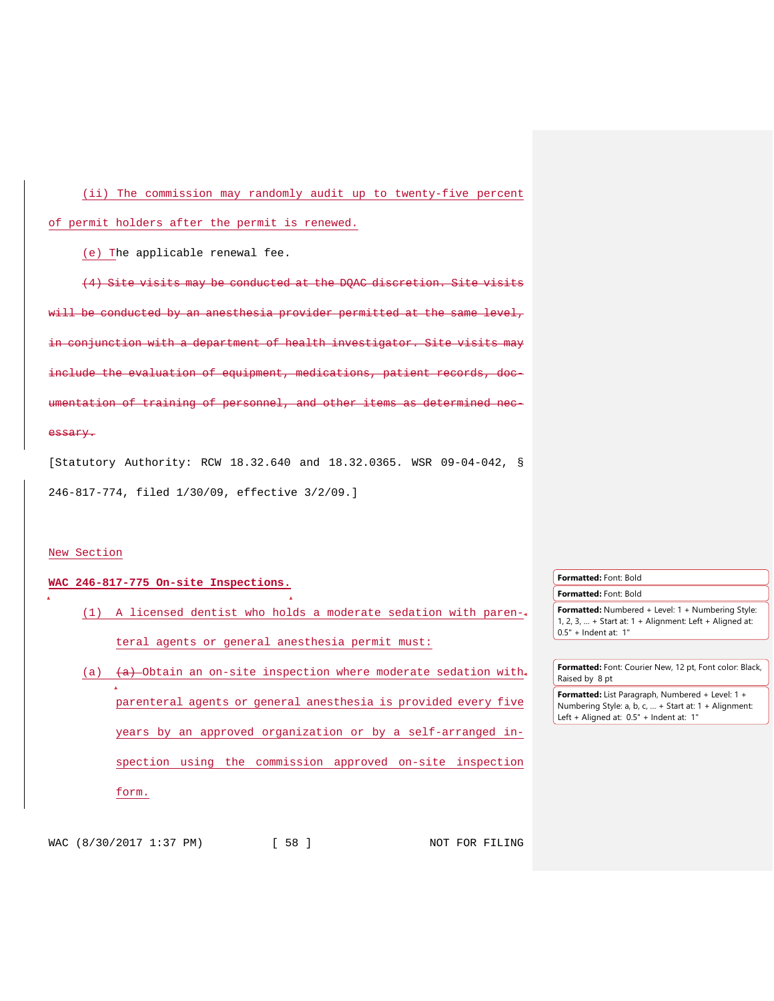(ii) The commission may randomly audit up to twenty-five percent of permit holders after the permit is renewed.

(e) The applicable renewal fee.

(4) Site visits may be conducted at the DQAC discretion. Site visits will be conducted by an anesthesia provider permitted at the same level, conjunction with a department of health investigator. include the evaluation of equipment, medications, patient records, ntation of training of personnel, and other items essary.

[Statutory Authority: RCW 18.32.640 and 18.32.0365. WSR 09-04-042, § 246-817-774, filed 1/30/09, effective 3/2/09.]

#### New Section

# **WAC 246-817-775 On-site Inspections.**

- (1) A licensed dentist who holds a moderate sedation with parenteral agents or general anesthesia permit must:
- (a)  $(a)$   $(a)$  -Obtain an on-site inspection where moderate sedation with. parenteral agents or general anesthesia is provided every five years by an approved organization or by a self-arranged inspection using the commission approved on-site inspection form.
- **Formatted:** Font: Bold **Formatted:** Font: Bold **Formatted:** Numbered + Level: 1 + Numbering Style:
- 1, 2, 3, … + Start at: 1 + Alignment: Left + Aligned at: 0.5" + Indent at: 1"
- **Formatted:** Font: Courier New, 12 pt, Font color: Black, Raised by 8 pt **Formatted:** List Paragraph, Numbered + Level: 1 +
- Numbering Style: a, b, c, … + Start at: 1 + Alignment: Left + Aligned at: 0.5" + Indent at: 1"

WAC (8/30/2017 1:37 PM) [ 58 ] NOT FOR FILING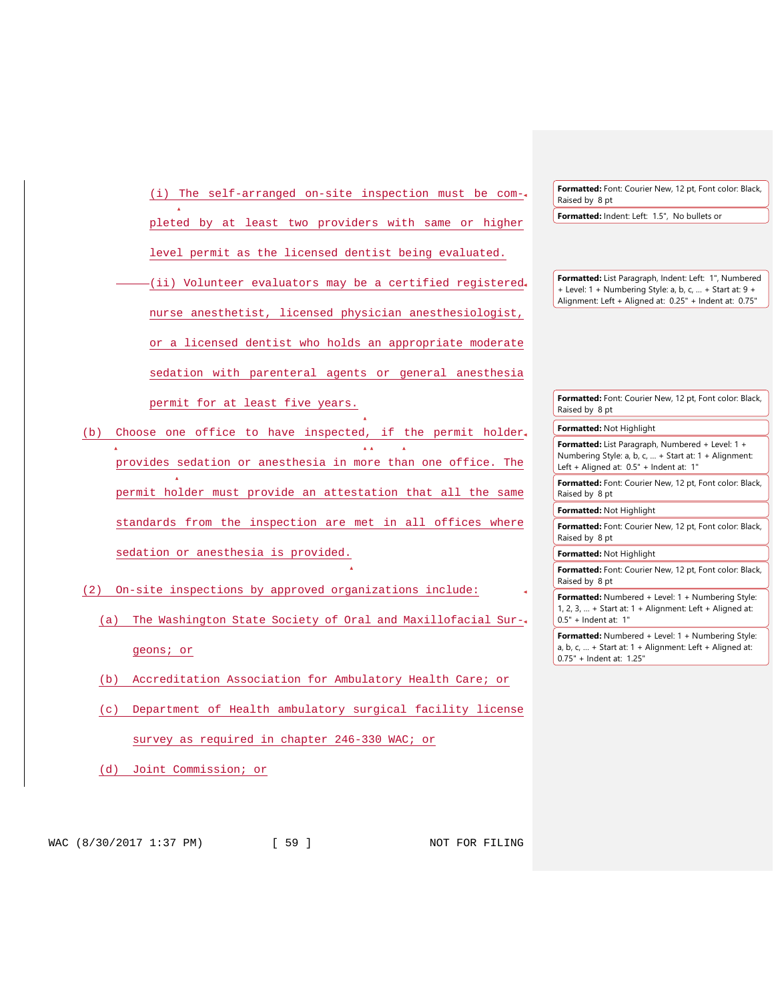(i) The self-arranged on-site inspection must be completed by at least two providers with same or higher

level permit as the licensed dentist being evaluated.

- (ii) Volunteer evaluators may be a certified registered nurse anesthetist, licensed physician anesthesiologist, or a licensed dentist who holds an appropriate moderate sedation with parenteral agents or general anesthesia permit for at least five years.
- (b) Choose one office to have inspected, if the permit holder provides sedation or anesthesia in more than one office. The permit holder must provide an attestation that all the same standards from the inspection are met in all offices where sedation or anesthesia is provided.
- (2) On-site inspections by approved organizations include:
	- (a) The Washington State Society of Oral and Maxillofacial Surgeons; or
	- (b) Accreditation Association for Ambulatory Health Care; or
	- (c) Department of Health ambulatory surgical facility license survey as required in chapter 246-330 WAC; or
	- (d) Joint Commission; or

**Formatted:** Font: Courier New, 12 pt, Font color: Black, Raised by 8 pt

**Formatted:** Indent: Left: 1.5", No bullets or

**Formatted:** List Paragraph, Indent: Left: 1", Numbered + Level: 1 + Numbering Style: a, b, c, … + Start at: 9 + Alignment: Left + Aligned at: 0.25" + Indent at: 0.75"

**Formatted:** Font: Courier New, 12 pt, Font color: Black, Raised by 8 pt **Formatted:** Not Highlight

**Formatted:** List Paragraph, Numbered + Level: 1 + Numbering Style: a, b, c, … + Start at: 1 + Alignment: Left + Aligned at: 0.5" + Indent at: 1"

**Formatted:** Font: Courier New, 12 pt, Font color: Black, Raised by 8 pt

**Formatted:** Not Highlight

**Formatted:** Font: Courier New, 12 pt, Font color: Black, Raised by 8 pt

**Formatted:** Not Highlight

**Formatted:** Font: Courier New, 12 pt, Font color: Black, Raised by 8 pt

**Formatted:** Numbered + Level: 1 + Numbering Style: 1, 2, 3, … + Start at: 1 + Alignment: Left + Aligned at: 0.5" + Indent at: 1"

**Formatted:** Numbered + Level: 1 + Numbering Style: a, b, c, … + Start at: 1 + Alignment: Left + Aligned at: 0.75" + Indent at: 1.25"

WAC (8/30/2017 1:37 PM) [ 59 ] NOT FOR FILING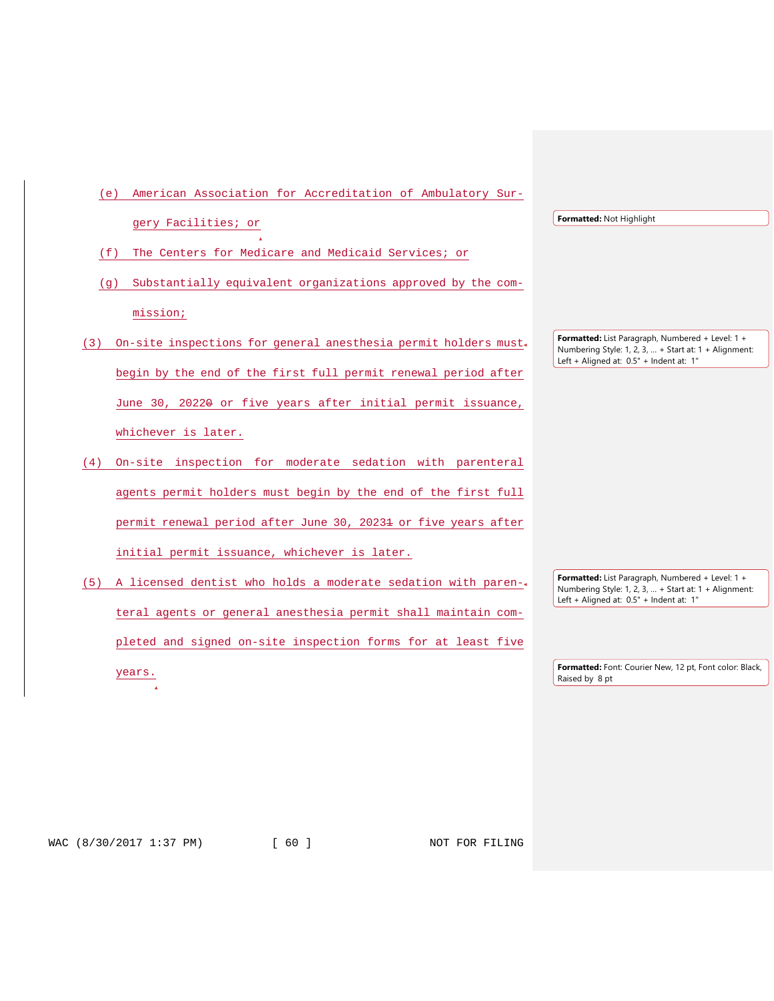| American Association for Accreditation of Ambulatory Sur-<br>(e)        |                                                                                                                                                      |
|-------------------------------------------------------------------------|------------------------------------------------------------------------------------------------------------------------------------------------------|
| gery Facilities; or                                                     | Formatted: Not Highlight                                                                                                                             |
| The Centers for Medicare and Medicaid Services; or<br>(f)               |                                                                                                                                                      |
| Substantially equivalent organizations approved by the com-<br>(q)      |                                                                                                                                                      |
| mission;                                                                |                                                                                                                                                      |
| On-site inspections for general anesthesia permit holders must.<br>(3)  | Formatted: List Paragraph, Numbered + Level: 1 +<br>Numbering Style: 1, 2, 3,  + Start at: 1 + Alignment:                                            |
| begin by the end of the first full permit renewal period after          | Left + Aligned at: 0.5" + Indent at: 1"                                                                                                              |
| June 30, 2022 <del>0</del> or five years after initial permit issuance, |                                                                                                                                                      |
| whichever is later.                                                     |                                                                                                                                                      |
| On-site inspection for moderate sedation with parenteral<br>(4)         |                                                                                                                                                      |
| agents permit holders must begin by the end of the first full           |                                                                                                                                                      |
| permit renewal period after June 30, 20231 or five years after          |                                                                                                                                                      |
| initial permit issuance, whichever is later.                            |                                                                                                                                                      |
| A licensed dentist who holds a moderate sedation with paren-<br>(5)     | Formatted: List Paragraph, Numbered + Level: 1 +<br>Numbering Style: 1, 2, 3,  + Start at: 1 + Alignment:<br>Left + Aligned at: 0.5" + Indent at: 1" |
| teral agents or general anesthesia permit shall maintain com-           |                                                                                                                                                      |
| pleted and signed on-site inspection forms for at least five            |                                                                                                                                                      |
| years.                                                                  | Formatted: Font: Courier New, 12 pt, Font color: Black,<br>Raised by 8 pt                                                                            |
|                                                                         |                                                                                                                                                      |

WAC (8/30/2017 1:37 PM) [ 60 ] NOT FOR FILING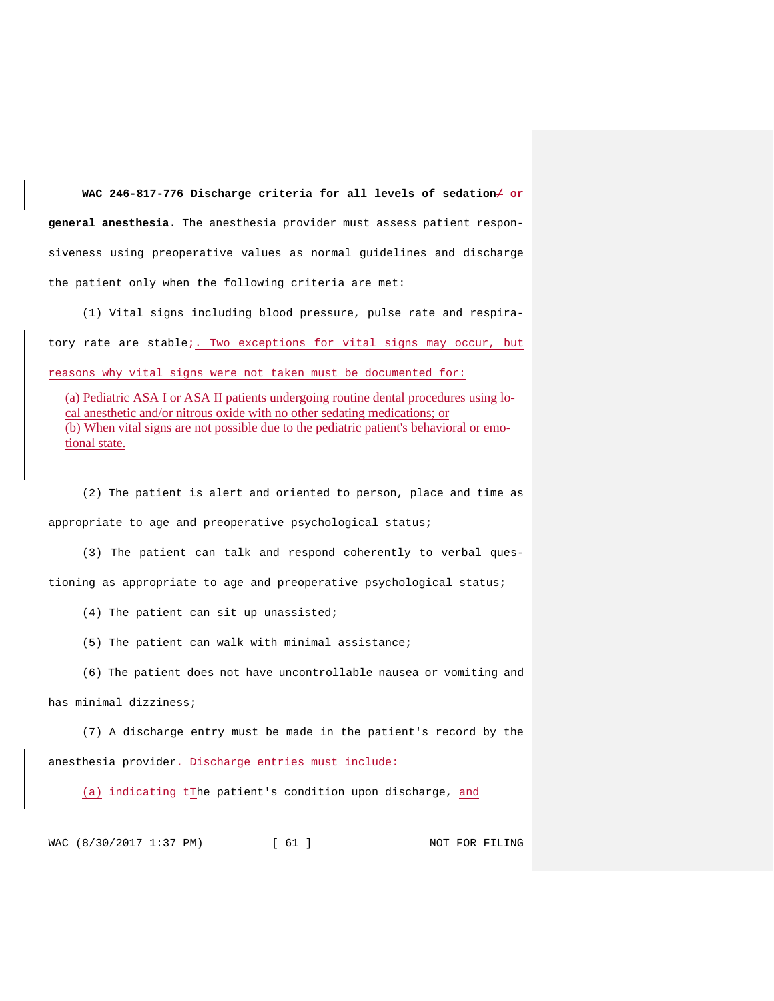WAC 246-817-776 Discharge criteria for all levels of sedation/ or **general anesthesia.** The anesthesia provider must assess patient responsiveness using preoperative values as normal guidelines and discharge the patient only when the following criteria are met:

(1) Vital signs including blood pressure, pulse rate and respiratory rate are stable; Two exceptions for vital signs may occur, but reasons why vital signs were not taken must be documented for:

(a) Pediatric ASA I or ASA II patients undergoing routine dental procedures using local anesthetic and/or nitrous oxide with no other sedating medications; or (b) When vital signs are not possible due to the pediatric patient's behavioral or emotional state.

(2) The patient is alert and oriented to person, place and time as appropriate to age and preoperative psychological status;

(3) The patient can talk and respond coherently to verbal questioning as appropriate to age and preoperative psychological status;

(4) The patient can sit up unassisted;

(5) The patient can walk with minimal assistance;

(6) The patient does not have uncontrollable nausea or vomiting and

#### has minimal dizziness;

(7) A discharge entry must be made in the patient's record by the anesthesia provider. Discharge entries must include:

(a) indicating tThe patient's condition upon discharge, and

WAC (8/30/2017 1:37 PM) [ 61 ] NOT FOR FILING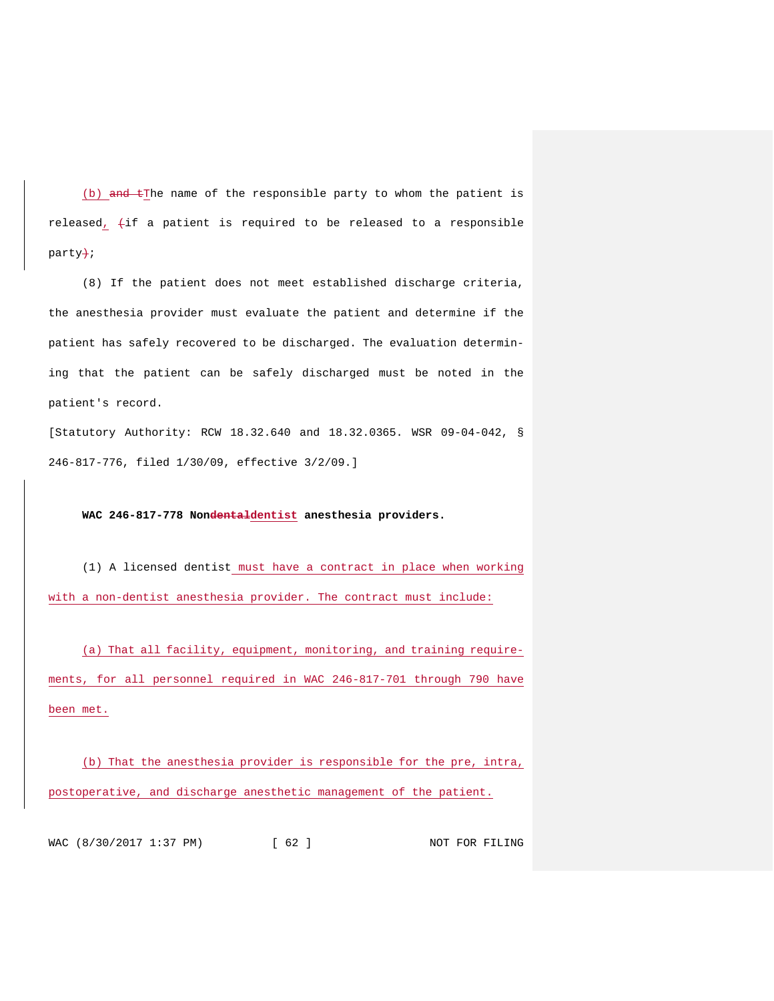(b)  $\theta$  and tThe name of the responsible party to whom the patient is released,  $\leftrightarrow$ if a patient is required to be released to a responsible party+;

(8) If the patient does not meet established discharge criteria, the anesthesia provider must evaluate the patient and determine if the patient has safely recovered to be discharged. The evaluation determining that the patient can be safely discharged must be noted in the patient's record.

[Statutory Authority: RCW 18.32.640 and 18.32.0365. WSR 09-04-042, § 246-817-776, filed 1/30/09, effective 3/2/09.]

# **WAC 246-817-778 Nondentaldentist anesthesia providers.**

(1) A licensed dentist must have a contract in place when working with a non-dentist anesthesia provider. The contract must include:

(a) That all facility, equipment, monitoring, and training requirements, for all personnel required in WAC 246-817-701 through 790 have been met.

(b) That the anesthesia provider is responsible for the pre, intra, postoperative, and discharge anesthetic management of the patient.

WAC (8/30/2017 1:37 PM) [ 62 ] NOT FOR FILING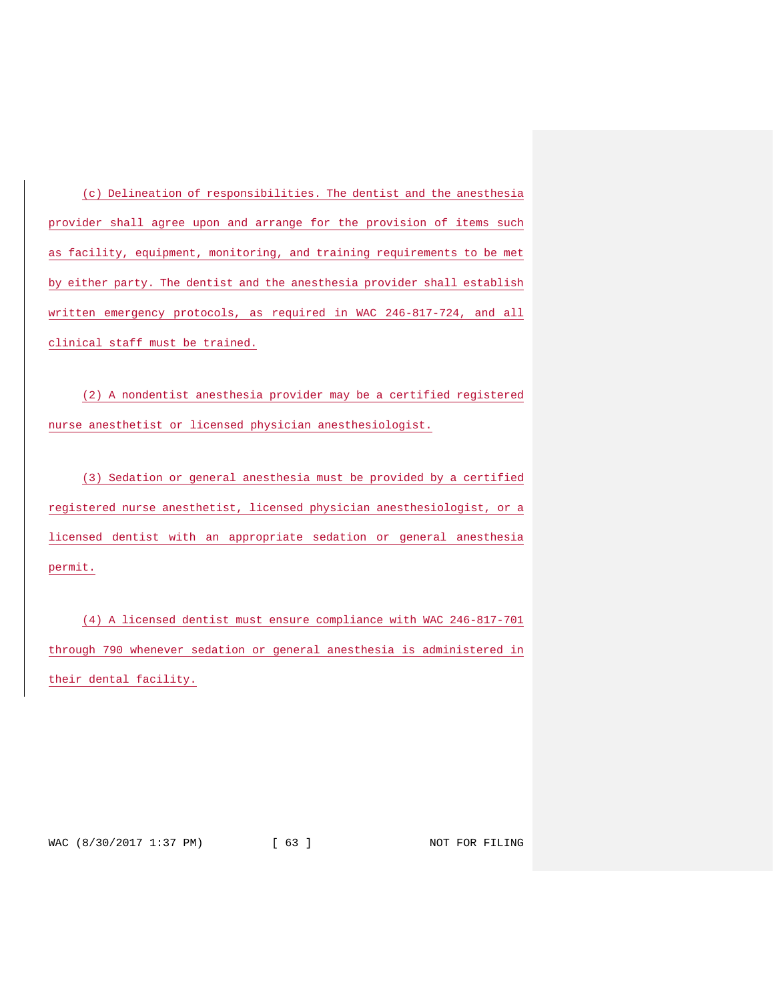(c) Delineation of responsibilities. The dentist and the anesthesia provider shall agree upon and arrange for the provision of items such as facility, equipment, monitoring, and training requirements to be met by either party. The dentist and the anesthesia provider shall establish written emergency protocols, as required in WAC 246-817-724, and all clinical staff must be trained.

(2) A nondentist anesthesia provider may be a certified registered nurse anesthetist or licensed physician anesthesiologist.

(3) Sedation or general anesthesia must be provided by a certified registered nurse anesthetist, licensed physician anesthesiologist, or a licensed dentist with an appropriate sedation or general anesthesia permit.

(4) A licensed dentist must ensure compliance with WAC 246-817-701 through 790 whenever sedation or general anesthesia is administered in their dental facility.

WAC (8/30/2017 1:37 PM) [ 63 ] NOT FOR FILING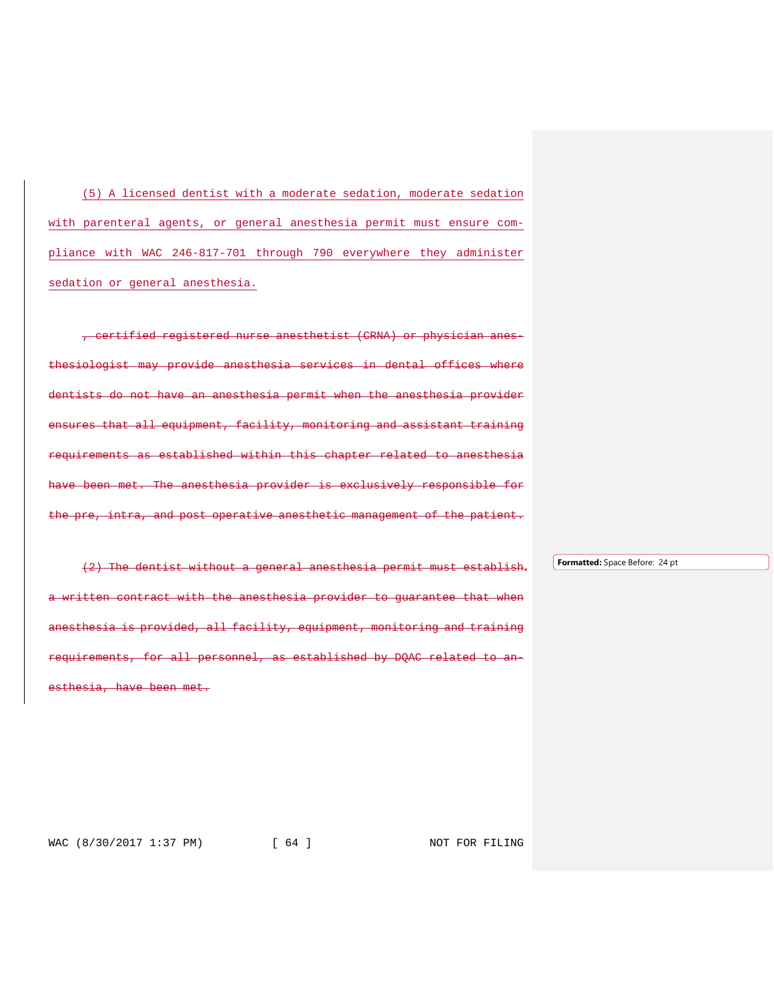(5) A licensed dentist with a moderate sedation, moderate sedation with parenteral agents, or general anesthesia permit must ensure compliance with WAC 246-817-701 through 790 everywhere they administer sedation or general anesthesia.

, certified registered nurse anesthetist (CRNA) or physician thesiologist may provide anesthesia services in dental offices where an anesthesia permit when the anesthesia provider ensures that all equipment, facility, monitoring and assistant training requirements as established within this chapter related to anesthesia The anesthesia provider is exclusively responsible for intra, and post operative anesthetic management of the patient.

(2) The dentist without a general anesthesia permit must establish written contract with the anesthesia provider to quarantee that anesthesia is provided, all facility, equipment, monitoring and training rements, for all personnel, as established by DQAC related esthesia, have been met.

**Formatted:** Space Before: 24 pt

WAC (8/30/2017 1:37 PM) [ 64 ] NOT FOR FILING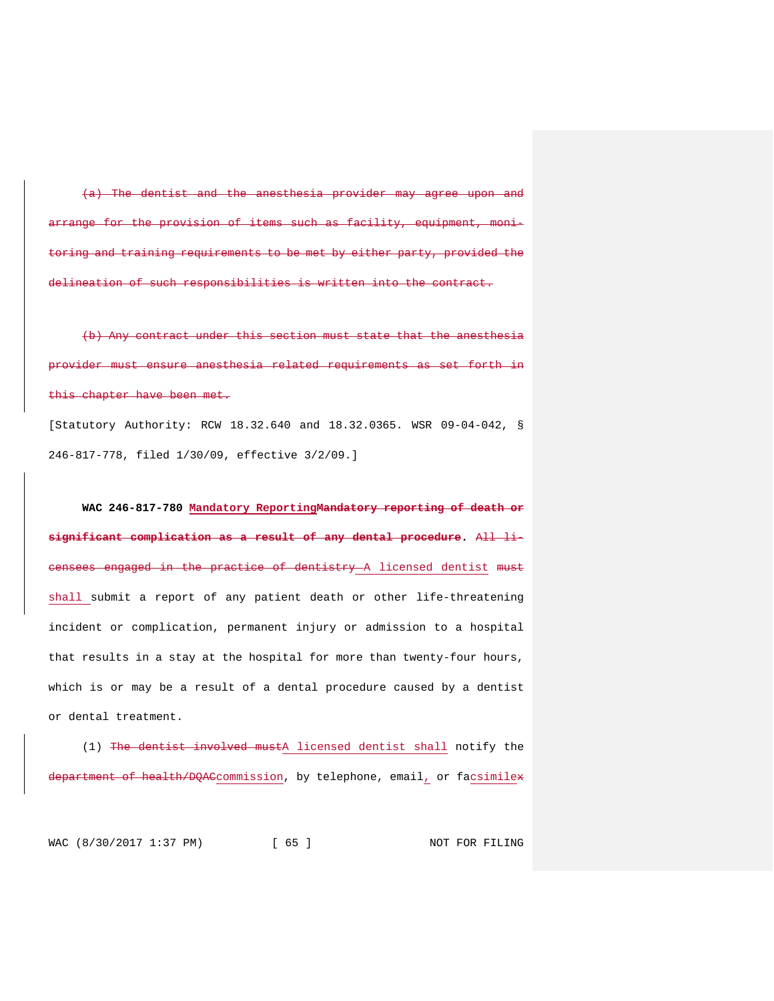(a) The dentist and the anesthesia provider may agree upon and for the provision of items such as facility, equipment, monitoring and training requirements to be met by either party, provided the delineation of such responsibilities is written into the contract.

contract under this section must state that the anesthesia ensure anesthesia related requirements as set forth in this chapter have been met.

[Statutory Authority: RCW 18.32.640 and 18.32.0365. WSR 09-04-042, § 246-817-778, filed 1/30/09, effective 3/2/09.]

**WAC 246-817-780 Mandatory ReportingMandatory reporting of death or significant complication as a result of any dental procedure.** All licensees engaged in the practice of dentistry A licensed dentist must shall submit a report of any patient death or other life-threatening incident or complication, permanent injury or admission to a hospital that results in a stay at the hospital for more than twenty-four hours, which is or may be a result of a dental procedure caused by a dentist or dental treatment.

(1) The dentist involved mustA licensed dentist shall notify the department of health/DQACcommission, by telephone, email, or facsimilex

WAC (8/30/2017 1:37 PM) [ 65 ] NOT FOR FILING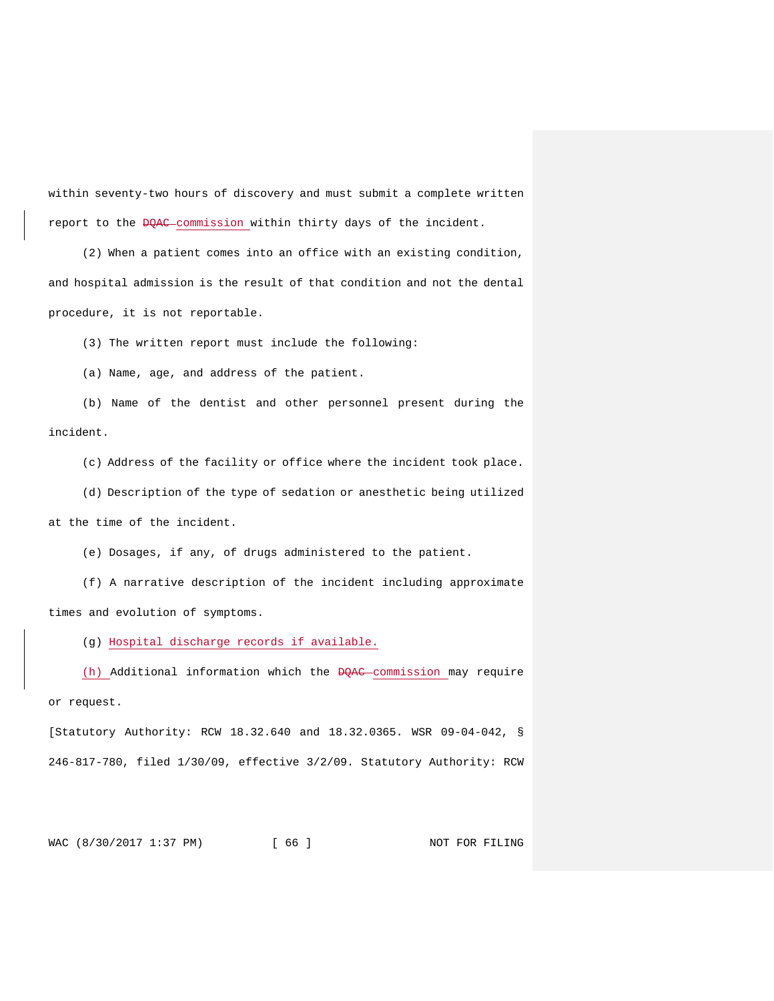within seventy-two hours of discovery and must submit a complete written report to the DOAC commission within thirty days of the incident.

(2) When a patient comes into an office with an existing condition, and hospital admission is the result of that condition and not the dental procedure, it is not reportable.

(3) The written report must include the following:

(a) Name, age, and address of the patient.

(b) Name of the dentist and other personnel present during the incident.

(c) Address of the facility or office where the incident took place.

(d) Description of the type of sedation or anesthetic being utilized at the time of the incident.

(e) Dosages, if any, of drugs administered to the patient.

(f) A narrative description of the incident including approximate times and evolution of symptoms.

(g) Hospital discharge records if available.

(h) Additional information which the DQAC commission may require or request.

[Statutory Authority: RCW 18.32.640 and 18.32.0365. WSR 09-04-042, § 246-817-780, filed 1/30/09, effective 3/2/09. Statutory Authority: RCW

WAC (8/30/2017 1:37 PM) [ 66 ] NOT FOR FILING